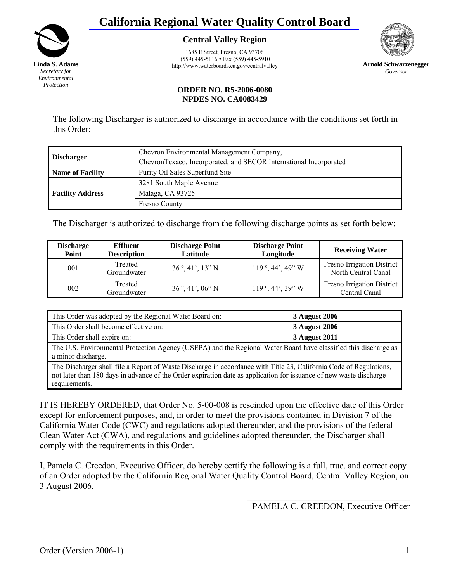# **California Regional Water Quality Control Board**



#### **Central Valley Region**

1685 E Street, Fresno, CA 93706 (559) 445-5116 • Fax (559) 445-5910 http://www.waterboards.ca.gov/centralvalley



**Arnold Schwarzenegger** *Governor* 

#### **ORDER NO. R5-2006-0080 NPDES NO. CA0083429**

The following Discharger is authorized to discharge in accordance with the conditions set forth in this Order:

| <b>Discharger</b>       | Chevron Environmental Management Company,                         |
|-------------------------|-------------------------------------------------------------------|
|                         | ChevronTexaco, Incorporated; and SECOR International Incorporated |
| <b>Name of Facility</b> | Purity Oil Sales Superfund Site                                   |
|                         | 3281 South Maple Avenue                                           |
| <b>Facility Address</b> | Malaga, CA 93725                                                  |
|                         | Fresno County                                                     |

The Discharger is authorized to discharge from the following discharge points as set forth below:

| <b>Discharge</b><br>Point | <b>Effluent</b><br><b>Description</b> | <b>Discharge Point</b><br>Latitude         | <b>Discharge Point</b><br>Longitude | <b>Receiving Water</b>                            |
|---------------------------|---------------------------------------|--------------------------------------------|-------------------------------------|---------------------------------------------------|
| 001                       | Treated<br>Groundwater                | $36^\circ, 41^\prime, 13^{\prime\prime}$ N | $119^\circ$ , 44', 49" W            | Fresno Irrigation District<br>North Central Canal |
| 002                       | Treated<br>Groundwater                | $36^\circ, 41^\prime, 06^\prime$ N         | $119^\circ$ , 44', 39" W            | Fresno Irrigation District<br>Central Canal       |

| This Order was adopted by the Regional Water Board on:                                                                                                                                                                                                                                    | 3 August 2006 |
|-------------------------------------------------------------------------------------------------------------------------------------------------------------------------------------------------------------------------------------------------------------------------------------------|---------------|
| This Order shall become effective on:                                                                                                                                                                                                                                                     | 3 August 2006 |
| This Order shall expire on:                                                                                                                                                                                                                                                               | 3 August 2011 |
| $\Gamma$ and $\Gamma$ if $\Gamma$ is the set of $\Gamma$ $\Gamma$ $\Gamma$ in $\Gamma$ is the set of $\Gamma$ is the set of $\Gamma$ is the set of $\Gamma$ is the set of $\Gamma$ is the set of $\Gamma$ is the set of $\Gamma$ is the set of $\Gamma$ is the set of $\Gamma$ is the set |               |

The U.S. Environmental Protection Agency (USEPA) and the Regional Water Board have classified this discharge as a minor discharge.

The Discharger shall file a Report of Waste Discharge in accordance with Title 23, California Code of Regulations, not later than 180 days in advance of the Order expiration date as application for issuance of new waste discharge requirements.

IT IS HEREBY ORDERED, that Order No. 5-00-008 is rescinded upon the effective date of this Order except for enforcement purposes, and, in order to meet the provisions contained in Division 7 of the California Water Code (CWC) and regulations adopted thereunder, and the provisions of the federal Clean Water Act (CWA), and regulations and guidelines adopted thereunder, the Discharger shall comply with the requirements in this Order.

I, Pamela C. Creedon, Executive Officer, do hereby certify the following is a full, true, and correct copy of an Order adopted by the California Regional Water Quality Control Board, Central Valley Region, on 3 August 2006.

PAMELA C. CREEDON, Executive Officer

 $\mathcal{L}_\text{max}$  , and the set of the set of the set of the set of the set of the set of the set of the set of the set of the set of the set of the set of the set of the set of the set of the set of the set of the set of the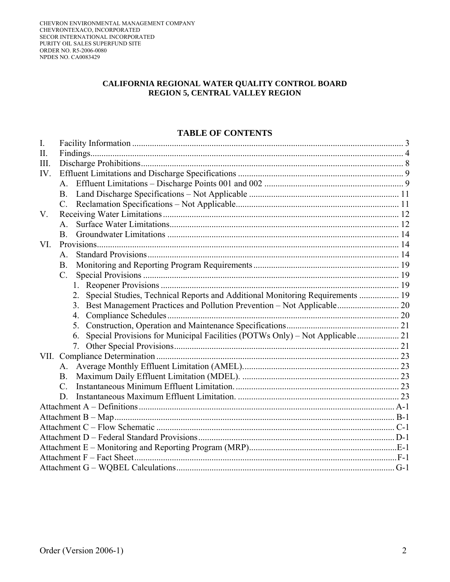#### **CALIFORNIA REGIONAL WATER QUALITY CONTROL BOARD REGION 5, CENTRAL VALLEY REGION**

#### **TABLE OF CONTENTS**

| $I_{\cdot}$ |                                                                                     |  |
|-------------|-------------------------------------------------------------------------------------|--|
| II.         |                                                                                     |  |
| III.        |                                                                                     |  |
| IV.         |                                                                                     |  |
|             |                                                                                     |  |
|             |                                                                                     |  |
|             | $C_{\cdot}$                                                                         |  |
| V.          |                                                                                     |  |
|             |                                                                                     |  |
|             | B.                                                                                  |  |
| VI.         |                                                                                     |  |
|             | $\mathsf{A}$                                                                        |  |
|             | <b>B.</b>                                                                           |  |
|             | $C_{\cdot}$                                                                         |  |
|             |                                                                                     |  |
|             | Special Studies, Technical Reports and Additional Monitoring Requirements  19<br>2. |  |
|             | 3.                                                                                  |  |
|             | 4.                                                                                  |  |
|             |                                                                                     |  |
|             |                                                                                     |  |
|             | 7.                                                                                  |  |
| VII.        |                                                                                     |  |
|             | $A_{-}$                                                                             |  |
|             | B.                                                                                  |  |
|             | $C_{\cdot}$                                                                         |  |
|             | D.                                                                                  |  |
|             |                                                                                     |  |
|             |                                                                                     |  |
|             |                                                                                     |  |
|             |                                                                                     |  |
|             |                                                                                     |  |
|             |                                                                                     |  |
|             |                                                                                     |  |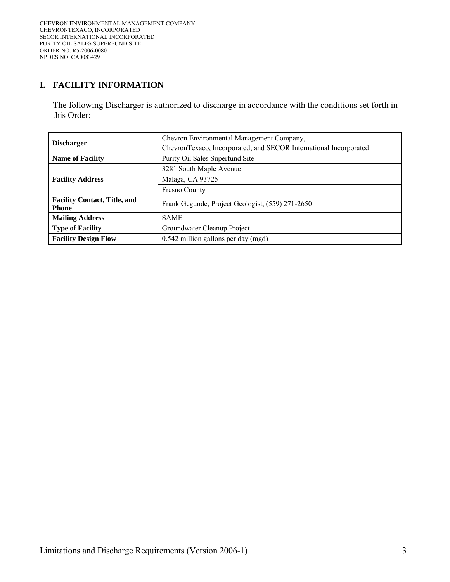## <span id="page-2-0"></span>**I. FACILITY INFORMATION**

The following Discharger is authorized to discharge in accordance with the conditions set forth in this Order:

|                                                     | Chevron Environmental Management Company,                         |
|-----------------------------------------------------|-------------------------------------------------------------------|
| <b>Discharger</b>                                   | ChevronTexaco, Incorporated; and SECOR International Incorporated |
| <b>Name of Facility</b>                             | Purity Oil Sales Superfund Site                                   |
|                                                     | 3281 South Maple Avenue                                           |
| <b>Facility Address</b>                             | Malaga, CA 93725                                                  |
|                                                     | Fresno County                                                     |
| <b>Facility Contact, Title, and</b><br><b>Phone</b> | Frank Gegunde, Project Geologist, (559) 271-2650                  |
| <b>Mailing Address</b>                              | <b>SAME</b>                                                       |
| <b>Type of Facility</b>                             | Groundwater Cleanup Project                                       |
| <b>Facility Design Flow</b>                         | 0.542 million gallons per day (mgd)                               |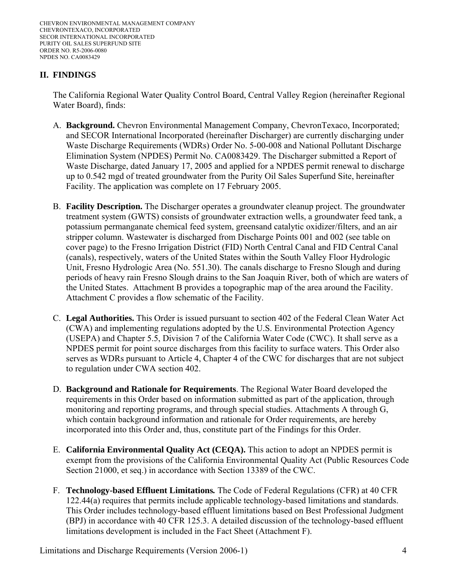## <span id="page-3-0"></span>**II. FINDINGS**

The California Regional Water Quality Control Board, Central Valley Region (hereinafter Regional Water Board), finds:

- A. **Background.** Chevron Environmental Management Company, ChevronTexaco, Incorporated; and SECOR International Incorporated (hereinafter Discharger) are currently discharging under Waste Discharge Requirements (WDRs) Order No. 5-00-008 and National Pollutant Discharge Elimination System (NPDES) Permit No. CA0083429. The Discharger submitted a Report of Waste Discharge, dated January 17, 2005 and applied for a NPDES permit renewal to discharge up to 0.542 mgd of treated groundwater from the Purity Oil Sales Superfund Site, hereinafter Facility. The application was complete on 17 February 2005.
- B. **Facility Description.** The Discharger operates a groundwater cleanup project. The groundwater treatment system (GWTS) consists of groundwater extraction wells, a groundwater feed tank, a potassium permanganate chemical feed system, greensand catalytic oxidizer/filters, and an air stripper column. Wastewater is discharged from Discharge Points 001 and 002 (see table on cover page) to the Fresno Irrigation District (FID) North Central Canal and FID Central Canal (canals), respectively, waters of the United States within the South Valley Floor Hydrologic Unit, Fresno Hydrologic Area (No. 551.30). The canals discharge to Fresno Slough and during periods of heavy rain Fresno Slough drains to the San Joaquin River, both of which are waters of the United States. Attachment B provides a topographic map of the area around the Facility. Attachment C provides a flow schematic of the Facility.
- C. **Legal Authorities.** This Order is issued pursuant to section 402 of the Federal Clean Water Act (CWA) and implementing regulations adopted by the U.S. Environmental Protection Agency (USEPA) and Chapter 5.5, Division 7 of the California Water Code (CWC). It shall serve as a NPDES permit for point source discharges from this facility to surface waters. This Order also serves as WDRs pursuant to Article 4, Chapter 4 of the CWC for discharges that are not subject to regulation under CWA section 402.
- D. **Background and Rationale for Requirements**. The Regional Water Board developed the requirements in this Order based on information submitted as part of the application, through monitoring and reporting programs, and through special studies. Attachments A through G, which contain background information and rationale for Order requirements, are hereby incorporated into this Order and, thus, constitute part of the Findings for this Order.
- E. **California Environmental Quality Act (CEQA).** This action to adopt an NPDES permit is exempt from the provisions of the California Environmental Quality Act (Public Resources Code Section 21000, et seq.) in accordance with Section 13389 of the CWC.
- F. **Technology-based Effluent Limitations***.* The Code of Federal Regulations (CFR) at 40 CFR 122.44(a) requires that permits include applicable technology-based limitations and standards. This Order includes technology-based effluent limitations based on Best Professional Judgment (BPJ) in accordance with 40 CFR 125.3. A detailed discussion of the technology-based effluent limitations development is included in the Fact Sheet (Attachment F).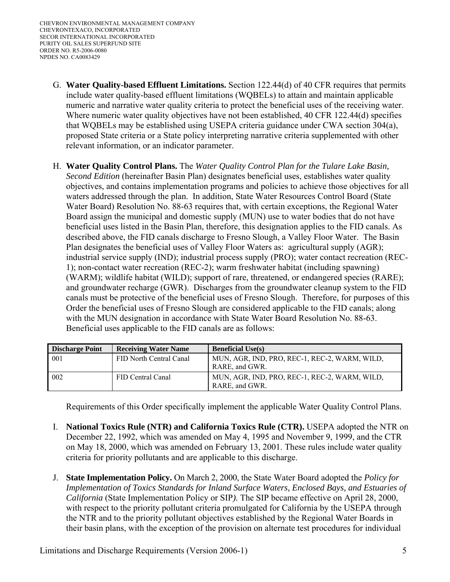- G. **Water Quality-based Effluent Limitations.** Section 122.44(d) of 40 CFR requires that permits include water quality-based effluent limitations (WQBELs) to attain and maintain applicable numeric and narrative water quality criteria to protect the beneficial uses of the receiving water. Where numeric water quality objectives have not been established, 40 CFR 122.44(d) specifies that WQBELs may be established using USEPA criteria guidance under CWA section 304(a), proposed State criteria or a State policy interpreting narrative criteria supplemented with other relevant information, or an indicator parameter.
- H. **Water Quality Control Plans.** The *Water Quality Control Plan for the Tulare Lake Basin, Second Edition* (hereinafter Basin Plan) designates beneficial uses, establishes water quality objectives, and contains implementation programs and policies to achieve those objectives for all waters addressed through the plan. In addition, State Water Resources Control Board (State Water Board) Resolution No. 88-63 requires that, with certain exceptions, the Regional Water Board assign the municipal and domestic supply (MUN) use to water bodies that do not have beneficial uses listed in the Basin Plan, therefore, this designation applies to the FID canals. As described above, the FID canals discharge to Fresno Slough, a Valley Floor Water. The Basin Plan designates the beneficial uses of Valley Floor Waters as: agricultural supply (AGR); industrial service supply (IND); industrial process supply (PRO); water contact recreation (REC-1); non-contact water recreation (REC-2); warm freshwater habitat (including spawning) (WARM); wildlife habitat (WILD); support of rare, threatened, or endangered species (RARE); and groundwater recharge (GWR). Discharges from the groundwater cleanup system to the FID canals must be protective of the beneficial uses of Fresno Slough. Therefore, for purposes of this Order the beneficial uses of Fresno Slough are considered applicable to the FID canals; along with the MUN designation in accordance with State Water Board Resolution No. 88-63. Beneficial uses applicable to the FID canals are as follows:

| <b>Discharge Point</b> | <b>Receiving Water Name</b> | <b>Beneficial Use(s)</b>                                        |
|------------------------|-----------------------------|-----------------------------------------------------------------|
| 001                    | FID North Central Canal     | MUN, AGR, IND, PRO, REC-1, REC-2, WARM, WILD,<br>RARE, and GWR. |
| 002                    | FID Central Canal           | MUN, AGR, IND, PRO, REC-1, REC-2, WARM, WILD,<br>RARE, and GWR. |

Requirements of this Order specifically implement the applicable Water Quality Control Plans.

- I. **National Toxics Rule (NTR) and California Toxics Rule (CTR).** USEPA adopted the NTR on December 22, 1992, which was amended on May 4, 1995 and November 9, 1999, and the CTR on May 18, 2000, which was amended on February 13, 2001. These rules include water quality criteria for priority pollutants and are applicable to this discharge.
- J. **State Implementation Policy.** On March 2, 2000, the State Water Board adopted the *Policy for Implementation of Toxics Standards for Inland Surface Waters, Enclosed Bays, and Estuaries of California* (State Implementation Policy or SIP*).* The SIP became effective on April 28, 2000, with respect to the priority pollutant criteria promulgated for California by the USEPA through the NTR and to the priority pollutant objectives established by the Regional Water Boards in their basin plans, with the exception of the provision on alternate test procedures for individual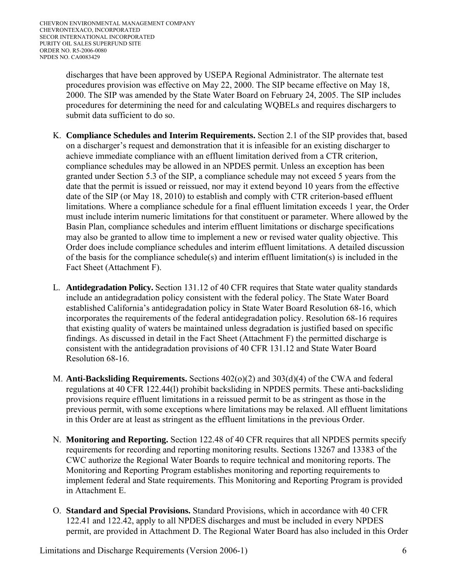discharges that have been approved by USEPA Regional Administrator. The alternate test procedures provision was effective on May 22, 2000. The SIP became effective on May 18, 2000. The SIP was amended by the State Water Board on February 24, 2005. The SIP includes procedures for determining the need for and calculating WQBELs and requires dischargers to submit data sufficient to do so.

- K. **Compliance Schedules and Interim Requirements.** Section 2.1 of the SIP provides that, based on a discharger's request and demonstration that it is infeasible for an existing discharger to achieve immediate compliance with an effluent limitation derived from a CTR criterion, compliance schedules may be allowed in an NPDES permit. Unless an exception has been granted under Section 5.3 of the SIP, a compliance schedule may not exceed 5 years from the date that the permit is issued or reissued, nor may it extend beyond 10 years from the effective date of the SIP (or May 18, 2010) to establish and comply with CTR criterion-based effluent limitations. Where a compliance schedule for a final effluent limitation exceeds 1 year, the Order must include interim numeric limitations for that constituent or parameter. Where allowed by the Basin Plan, compliance schedules and interim effluent limitations or discharge specifications may also be granted to allow time to implement a new or revised water quality objective. This Order does include compliance schedules and interim effluent limitations. A detailed discussion of the basis for the compliance schedule(s) and interim effluent limitation(s) is included in the Fact Sheet (Attachment F).
- L. **Antidegradation Policy.** Section 131.12 of 40 CFR requires that State water quality standards include an antidegradation policy consistent with the federal policy. The State Water Board established California's antidegradation policy in State Water Board Resolution 68-16, which incorporates the requirements of the federal antidegradation policy. Resolution 68-16 requires that existing quality of waters be maintained unless degradation is justified based on specific findings. As discussed in detail in the Fact Sheet (Attachment F) the permitted discharge is consistent with the antidegradation provisions of 40 CFR 131.12 and State Water Board Resolution 68-16.
- M. **Anti-Backsliding Requirements.** Sections 402(o)(2) and 303(d)(4) of the CWA and federal regulations at 40 CFR 122.44(l) prohibit backsliding in NPDES permits. These anti-backsliding provisions require effluent limitations in a reissued permit to be as stringent as those in the previous permit, with some exceptions where limitations may be relaxed. All effluent limitations in this Order are at least as stringent as the effluent limitations in the previous Order.
- N. **Monitoring and Reporting.** Section 122.48 of 40 CFR requires that all NPDES permits specify requirements for recording and reporting monitoring results. Sections 13267 and 13383 of the CWC authorize the Regional Water Boards to require technical and monitoring reports. The Monitoring and Reporting Program establishes monitoring and reporting requirements to implement federal and State requirements. This Monitoring and Reporting Program is provided in Attachment E.
- O. **Standard and Special Provisions.** Standard Provisions, which in accordance with 40 CFR 122.41 and 122.42, apply to all NPDES discharges and must be included in every NPDES permit, are provided in Attachment D. The Regional Water Board has also included in this Order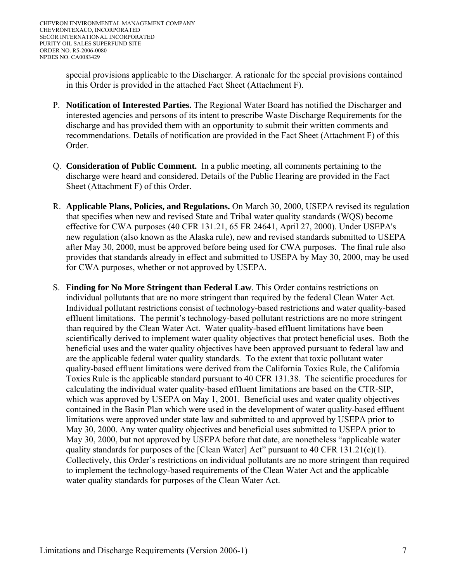special provisions applicable to the Discharger. A rationale for the special provisions contained in this Order is provided in the attached Fact Sheet (Attachment F).

- P. **Notification of Interested Parties.** The Regional Water Board has notified the Discharger and interested agencies and persons of its intent to prescribe Waste Discharge Requirements for the discharge and has provided them with an opportunity to submit their written comments and recommendations. Details of notification are provided in the Fact Sheet (Attachment F) of this Order.
- Q. **Consideration of Public Comment.** In a public meeting, all comments pertaining to the discharge were heard and considered. Details of the Public Hearing are provided in the Fact Sheet (Attachment F) of this Order.
- R. **Applicable Plans, Policies, and Regulations.** On March 30, 2000, USEPA revised its regulation that specifies when new and revised State and Tribal water quality standards (WQS) become effective for CWA purposes (40 CFR 131.21, 65 FR 24641, April 27, 2000). Under USEPA's new regulation (also known as the Alaska rule), new and revised standards submitted to USEPA after May 30, 2000, must be approved before being used for CWA purposes. The final rule also provides that standards already in effect and submitted to USEPA by May 30, 2000, may be used for CWA purposes, whether or not approved by USEPA.
- S. **Finding for No More Stringent than Federal Law**. This Order contains restrictions on individual pollutants that are no more stringent than required by the federal Clean Water Act. Individual pollutant restrictions consist of technology-based restrictions and water quality-based effluent limitations. The permit's technology-based pollutant restrictions are no more stringent than required by the Clean Water Act. Water quality-based effluent limitations have been scientifically derived to implement water quality objectives that protect beneficial uses. Both the beneficial uses and the water quality objectives have been approved pursuant to federal law and are the applicable federal water quality standards. To the extent that toxic pollutant water quality-based effluent limitations were derived from the California Toxics Rule, the California Toxics Rule is the applicable standard pursuant to 40 CFR 131.38. The scientific procedures for calculating the individual water quality-based effluent limitations are based on the CTR-SIP, which was approved by USEPA on May 1, 2001. Beneficial uses and water quality objectives contained in the Basin Plan which were used in the development of water quality-based effluent limitations were approved under state law and submitted to and approved by USEPA prior to May 30, 2000. Any water quality objectives and beneficial uses submitted to USEPA prior to May 30, 2000, but not approved by USEPA before that date, are nonetheless "applicable water quality standards for purposes of the [Clean Water] Act" pursuant to 40 CFR 131.21(c)(1). Collectively, this Order's restrictions on individual pollutants are no more stringent than required to implement the technology-based requirements of the Clean Water Act and the applicable water quality standards for purposes of the Clean Water Act.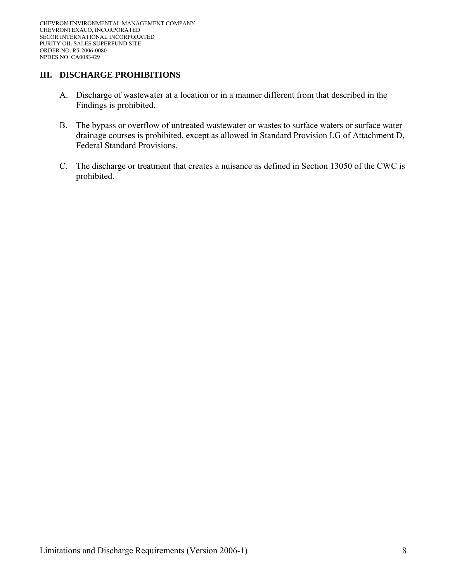### <span id="page-7-0"></span>**III. DISCHARGE PROHIBITIONS**

- A. Discharge of wastewater at a location or in a manner different from that described in the Findings is prohibited.
- B. The bypass or overflow of untreated wastewater or wastes to surface waters or surface water drainage courses is prohibited, except as allowed in Standard Provision I.G of Attachment D, Federal Standard Provisions.
- C. The discharge or treatment that creates a nuisance as defined in Section 13050 of the CWC is prohibited.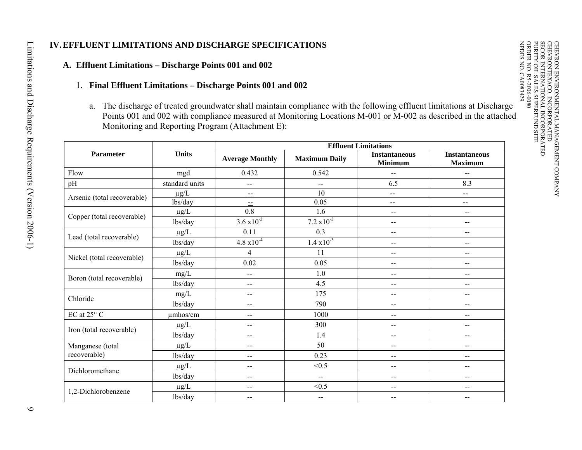<span id="page-8-0"></span>

| 1. Final Effluent Limitations - Discharge Points 001 and 002 |                |                                                  |                                                                                                                                                                                                                                           |                                        |                                               |
|--------------------------------------------------------------|----------------|--------------------------------------------------|-------------------------------------------------------------------------------------------------------------------------------------------------------------------------------------------------------------------------------------------|----------------------------------------|-----------------------------------------------|
|                                                              |                |                                                  |                                                                                                                                                                                                                                           |                                        |                                               |
|                                                              |                | Monitoring and Reporting Program (Attachment E): | a. The discharge of treated groundwater shall maintain compliance with the following effluent limitations at Discharge<br>Points 001 and 002 with compliance measured at Monitoring Locations M-001 or M-002 as described in the attached |                                        |                                               |
|                                                              |                |                                                  |                                                                                                                                                                                                                                           | <b>Effluent Limitations</b>            |                                               |
| Parameter                                                    | <b>Units</b>   | <b>Average Monthly</b>                           | <b>Maximum Daily</b>                                                                                                                                                                                                                      | <b>Instantaneous</b><br><b>Minimum</b> | <b>Instantaneous</b><br><b>Maximum</b>        |
| Flow                                                         | mgd            | 0.432                                            | 0.542                                                                                                                                                                                                                                     |                                        |                                               |
| pH                                                           | standard units | $\overline{\phantom{a}}$                         |                                                                                                                                                                                                                                           | 6.5                                    | 8.3                                           |
| Arsenic (total recoverable)                                  | $\mu$ g/L      | $=$                                              | 10                                                                                                                                                                                                                                        | --                                     |                                               |
|                                                              | lbs/day        | $\overline{\phantom{a}}$                         | 0.05                                                                                                                                                                                                                                      | $\mathbf{H}$                           | $\overline{\phantom{a}}$                      |
| Copper (total recoverable)                                   | $\mu g/L$      | 0.8                                              | 1.6                                                                                                                                                                                                                                       | $\overline{\phantom{a}}$               | $\sim$                                        |
|                                                              | lbs/day        | $3.6 \times 10^{-3}$                             | $7.2 \times 10^{-3}$                                                                                                                                                                                                                      | $\overline{\phantom{a}}$               | $\mathord{\hspace{1pt}\text{--}\hspace{1pt}}$ |
| Lead (total recoverable)                                     | $\mu g/L$      | 0.11                                             | 0.3                                                                                                                                                                                                                                       | $\overline{a}$                         | $-$                                           |
|                                                              | lbs/day        | $4.8 \times 10^{-4}$                             | $1.4 \times 10^{-3}$                                                                                                                                                                                                                      | $\overline{a}$                         | $- -$                                         |
| Nickel (total recoverable)                                   | $\mu$ g/L      | 4                                                | 11                                                                                                                                                                                                                                        | $\mathcal{L}_{\mathcal{F}}$            | $\overline{\phantom{a}}$                      |
|                                                              | lbs/day        | 0.02                                             | 0.05                                                                                                                                                                                                                                      | $\mathcal{L}_{\mathcal{F}}$            | $\overline{\phantom{a}}$                      |
|                                                              | mg/L           | $\mathbf{u}$                                     | 1.0                                                                                                                                                                                                                                       | $-$                                    | $\mathbf{--}$                                 |
| Boron (total recoverable)                                    | lbs/day        | $-$                                              | 4.5                                                                                                                                                                                                                                       | $-$                                    | $\sim$ $\sim$                                 |
|                                                              | mg/L           | $-$                                              | 175                                                                                                                                                                                                                                       | $-$                                    | $-$                                           |
| Chloride                                                     | lbs/day        |                                                  | 790                                                                                                                                                                                                                                       |                                        | $\overline{a}$                                |
| EC at $25^{\circ}$ C                                         | $\mu$ mhos/cm  | $\overline{\phantom{a}}$                         | 1000                                                                                                                                                                                                                                      | $\overline{\phantom{m}}$               | $\overline{\phantom{a}}$                      |
|                                                              | $\mu$ g/L      | $\sim$                                           | 300                                                                                                                                                                                                                                       | $\mathcal{L}_{\mathcal{F}}$            | $\overline{\phantom{a}}$                      |
| Iron (total recoverable)                                     | lbs/day        | $- -$                                            | 1.4                                                                                                                                                                                                                                       | $\mathbf{u}$                           | $\sim$                                        |
| Manganese (total                                             | $\mu$ g/L      | $\overline{\phantom{a}}$                         | 50                                                                                                                                                                                                                                        | $-$                                    | $\overline{\phantom{a}}$                      |
| recoverable)                                                 | lbs/day        | --                                               | 0.23                                                                                                                                                                                                                                      | $\sim$                                 | --                                            |
|                                                              | $\mu g/L$      | $-$                                              | < 0.5                                                                                                                                                                                                                                     | $-$                                    | $\overline{\phantom{a}}$                      |
| Dichloromethane                                              | lbs/day        | $\overline{\phantom{a}}$                         | $\overline{\phantom{a}}$                                                                                                                                                                                                                  | $\mathcal{L}_{\mathcal{F}}$            | $\overline{\phantom{a}}$                      |
|                                                              | $\mu$ g/L      | $\overline{\phantom{a}}$                         | < 0.5                                                                                                                                                                                                                                     | $\mathcal{L}_{\mathcal{F}}$            | $\overline{\phantom{a}}$                      |
| 1,2-Dichlorobenzene                                          | lbs/day        | $\mathbf{u}$                                     | $\overline{\phantom{a}}$                                                                                                                                                                                                                  |                                        |                                               |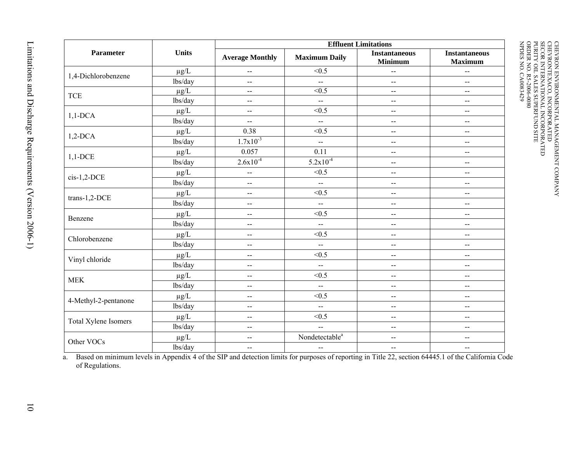|                      |              |                                               |                                               | <b>Effluent Limitations</b>                   |                                               |
|----------------------|--------------|-----------------------------------------------|-----------------------------------------------|-----------------------------------------------|-----------------------------------------------|
| Parameter            | <b>Units</b> | <b>Average Monthly</b>                        | <b>Maximum Daily</b>                          | <b>Instantaneous</b><br><b>Minimum</b>        | <b>Instantaneous</b><br><b>Maximum</b>        |
| 1,4-Dichlorobenzene  | $\mu g/L$    | $\rightarrow$                                 | < 0.5                                         | $\overline{\phantom{a}}$                      | $\overline{a}$                                |
|                      | lbs/day      | $\mathbf{u}$                                  | $\mathord{\hspace{1pt}\text{--}\hspace{1pt}}$ | $\overline{\phantom{a}}$                      | $\overline{\phantom{a}}$                      |
| <b>TCE</b>           | $\mu$ g/L    | $\mathbf{u}$                                  | < 0.5                                         | $\mathbf{u}$                                  | $\overline{\phantom{a}}$                      |
|                      | lbs/day      | $\mathord{\hspace{1pt}\text{--}\hspace{1pt}}$ | $\mathord{\hspace{1pt}\text{--}\hspace{1pt}}$ | $\mathord{\hspace{1pt}\text{--}\hspace{1pt}}$ | $\overline{\phantom{a}}$                      |
| $1,1$ -DCA           | $\mu g/L$    | $\mathord{\hspace{1pt}\text{--}\hspace{1pt}}$ | < 0.5                                         | $\mathord{\hspace{1pt}\text{--}\hspace{1pt}}$ | $\mathord{\hspace{1pt}\text{--}\hspace{1pt}}$ |
|                      | lbs/day      | $\mathord{\hspace{1pt}\text{--}\hspace{1pt}}$ | $\mathbf{u}$                                  | $\overline{\phantom{a}}$                      | $\mathord{\hspace{1pt}\text{--}\hspace{1pt}}$ |
| $1,2$ -DCA           | $\mu g/L$    | 0.38                                          | < 0.5                                         | $\overline{\phantom{a}}$                      | $\overline{\phantom{a}}$                      |
|                      | lbs/day      | $1.7x10^{-3}$                                 | $\overline{\phantom{a}}$                      | $\overline{\phantom{a}}$                      | $\overline{\phantom{a}}$                      |
| $1,1$ -DCE           | $\mu g/L$    | 0.057                                         | 0.11                                          | $\overline{\phantom{a}}$                      | $\overline{\phantom{a}}$                      |
|                      | lbs/day      | $2.6x10^{-4}$                                 | $5.2x10^{-4}$                                 | $\overline{\phantom{a}}$                      | $\overline{a}$                                |
|                      | $\mu g/L$    | $\mathbf{H}$                                  | < 0.5                                         | $\overline{\phantom{a}}$                      | $\overline{\phantom{a}}$                      |
| $cis-1,2-DCE$        | lbs/day      | $\overline{\phantom{a}}$                      | $\mathbf{H}=\mathbf{0}$                       | $\overline{a}$                                | $\overline{\phantom{a}}$                      |
|                      | $\mu g/L$    | $\mathcal{L}_{\mathcal{F}}$                   | < 0.5                                         | $\mathbf{u}$                                  | $\overline{\phantom{a}}$                      |
| $trans-1,2-DCE$      | lbs/day      | $\overline{\phantom{a}}$                      | $\mathord{\hspace{1pt}\text{--}\hspace{1pt}}$ | $-$                                           | $\overline{\phantom{a}}$                      |
|                      | $\mu g/L$    | $\overline{\phantom{a}}$                      | < 0.5                                         | $\overline{\phantom{a}}$                      | $\overline{\phantom{a}}$                      |
| Benzene              | lbs/day      | $-$                                           | $\overline{\phantom{a}}$                      | $\overline{\phantom{a}}$                      | $\overline{a}$                                |
|                      | $\mu g/L$    | $-$                                           | < 0.5                                         | $\overline{\phantom{m}}$                      | $\overline{\phantom{a}}$                      |
| Chlorobenzene        | lbs/day      | $\mathord{\hspace{1pt}\text{--}\hspace{1pt}}$ | $\overline{\phantom{a}}$                      | $-$                                           | $\overline{\phantom{m}}$                      |
|                      | $\mu g/L$    | $\overline{\phantom{a}}$                      | < 0.5                                         | $\overline{\phantom{m}}$                      | $\hspace{0.05cm} \textbf{--}$                 |
| Vinyl chloride       | lbs/day      | $\overline{\phantom{a}}$                      | $\mathbf{u}$                                  | $\overline{\phantom{a}}$                      | $\mathord{\hspace{1pt}\text{--}\hspace{1pt}}$ |
|                      | $\mu g/L$    | $\mathord{\hspace{1pt}\text{--}\hspace{1pt}}$ | < 0.5                                         | $\overline{\phantom{a}}$                      | $\overline{\phantom{m}}$                      |
| <b>MEK</b>           | lbs/day      | $\overline{\phantom{a}}$                      | $\mathord{\hspace{1pt}\text{--}\hspace{1pt}}$ | $\overline{\phantom{m}}$                      | $\overline{\phantom{a}}$                      |
|                      | $\mu g/L$    | $\overline{\phantom{m}}$                      | < 0.5                                         | $\mathord{\hspace{1pt}\text{--}\hspace{1pt}}$ | $\overline{\phantom{a}}$                      |
| 4-Methyl-2-pentanone | lbs/day      | $\overline{\phantom{a}}$                      | $\mathord{\hspace{1pt}\text{--}\hspace{1pt}}$ | $\overline{\phantom{a}}$                      | $\overline{\phantom{m}}$                      |
|                      | $\mu g/L$    | $\mathord{\hspace{1pt}\text{--}\hspace{1pt}}$ | < 0.5                                         | $\overline{\phantom{a}}$                      | $\overline{\phantom{a}}$                      |
| Total Xylene Isomers | lbs/day      | $\overline{\phantom{a}}$                      |                                               | $\overline{\phantom{a}}$                      | $\overline{\phantom{a}}$                      |
|                      | $\mu g/L$    | $\overline{\phantom{a}}$                      | Nondetectable <sup>a</sup>                    | $\overline{\phantom{a}}$                      | $\sim$                                        |
| Other VOCs           | lbs/day      | $\overline{\phantom{a}}$                      | $\sim$                                        | $\overline{a}$                                | $\overline{a}$                                |

CHEVRON ENVIRONMENTAL MANAGEMENT COMPANY<br>CHEVRONTEXACO, INCORPORATED<br>SECOR INTERNATIONAL INCORPORATED<br>PURITY OIL SALES SUPERFUND SITE<br>ORDER NO. CA0083429<br>NPDES NO. CA0083429

CHEVRON ENVIRONMENTAL MANAGEMENT COMPANY

PURITY OIL SALES SUPERFUND SITE SECOR INTERNATIONAL INCORPORATED CHEVRONTEXACO, INCORPORATED

ORDER NO. R5-2006-0080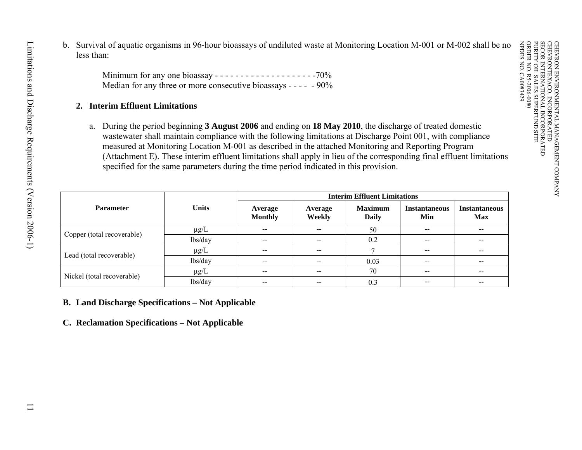| <b>Interim Effluent Limitations</b><br>2.<br>a. | During the period beginning 3 August 2006 and ending on 18 May 2010, the discharge of treated domestic                                                                                                                                                                                                                                                                                                                                |                                               |                          |                                     |                                               |                                    |
|-------------------------------------------------|---------------------------------------------------------------------------------------------------------------------------------------------------------------------------------------------------------------------------------------------------------------------------------------------------------------------------------------------------------------------------------------------------------------------------------------|-----------------------------------------------|--------------------------|-------------------------------------|-----------------------------------------------|------------------------------------|
|                                                 | wastewater shall maintain compliance with the following limitations at Discharge Point 001, with compliance<br>measured at Monitoring Location M-001 as described in the attached Monitoring and Reporting Program<br>(Attachment E). These interim effluent limitations shall apply in lieu of the corresponding final effluent limitations<br>specified for the same parameters during the time period indicated in this provision. |                                               |                          |                                     |                                               |                                    |
|                                                 |                                                                                                                                                                                                                                                                                                                                                                                                                                       |                                               |                          | <b>Interim Effluent Limitations</b> |                                               |                                    |
| Parameter                                       | <b>Units</b>                                                                                                                                                                                                                                                                                                                                                                                                                          | Average<br><b>Monthly</b>                     | Average<br>Weekly        | <b>Maximum</b><br><b>Daily</b>      | <b>Instantaneous</b><br>Min                   | <b>Instantaneous</b><br><b>Max</b> |
| Copper (total recoverable)                      | $\mu$ g/L                                                                                                                                                                                                                                                                                                                                                                                                                             | $\sim$ $\sim$                                 | $\overline{a}$           | 50                                  | $\mathbf{H}$                                  | $-$                                |
|                                                 | lbs/day                                                                                                                                                                                                                                                                                                                                                                                                                               | $\mathord{\hspace{1pt}\text{--}\hspace{1pt}}$ | $-$                      | 0.2                                 | $\mathbf{--}$                                 | $-$                                |
| Lead (total recoverable)                        | $\mu g/L$                                                                                                                                                                                                                                                                                                                                                                                                                             | $\overline{a}$                                | $\overline{\phantom{a}}$ | 7                                   | $\overline{\phantom{a}}$                      | $\overline{\phantom{a}}$           |
|                                                 | lbs/day                                                                                                                                                                                                                                                                                                                                                                                                                               | $\overline{\phantom{a}}$                      | $\overline{\phantom{a}}$ | 0.03                                | $\mathord{\hspace{1pt}\text{--}\hspace{1pt}}$ | $\overline{\phantom{a}}$           |
|                                                 | $\mu$ g/L<br>lbs/day                                                                                                                                                                                                                                                                                                                                                                                                                  | $\overline{\phantom{m}}$                      | $\qquad \qquad -$        | 70                                  | $\overline{\phantom{m}}$                      | --                                 |
| Nickel (total recoverable)                      |                                                                                                                                                                                                                                                                                                                                                                                                                                       |                                               | $\overline{a}$           | 0.3                                 | $\mathbf{--}$                                 | $\overline{a}$                     |

- 
- <span id="page-10-0"></span>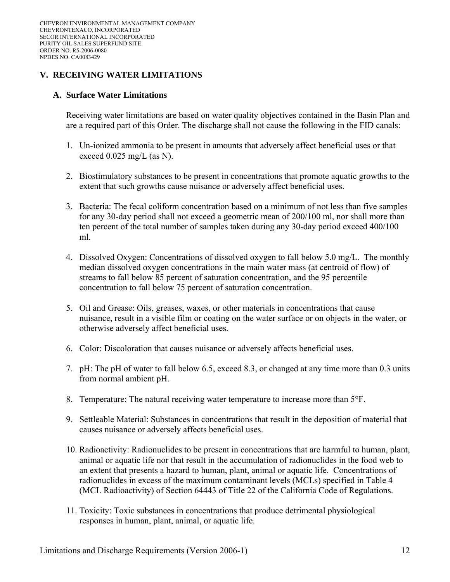## <span id="page-11-0"></span>**V. RECEIVING WATER LIMITATIONS**

#### **A. Surface Water Limitations**

Receiving water limitations are based on water quality objectives contained in the Basin Plan and are a required part of this Order. The discharge shall not cause the following in the FID canals:

- 1. Un-ionized ammonia to be present in amounts that adversely affect beneficial uses or that exceed  $0.025$  mg/L (as N).
- 2. Biostimulatory substances to be present in concentrations that promote aquatic growths to the extent that such growths cause nuisance or adversely affect beneficial uses.
- 3. Bacteria: The fecal coliform concentration based on a minimum of not less than five samples for any 30-day period shall not exceed a geometric mean of 200/100 ml, nor shall more than ten percent of the total number of samples taken during any 30-day period exceed 400/100 ml.
- 4. Dissolved Oxygen: Concentrations of dissolved oxygen to fall below 5.0 mg/L. The monthly median dissolved oxygen concentrations in the main water mass (at centroid of flow) of streams to fall below 85 percent of saturation concentration, and the 95 percentile concentration to fall below 75 percent of saturation concentration.
- 5. Oil and Grease: Oils, greases, waxes, or other materials in concentrations that cause nuisance, result in a visible film or coating on the water surface or on objects in the water, or otherwise adversely affect beneficial uses.
- 6. Color: Discoloration that causes nuisance or adversely affects beneficial uses.
- 7. pH: The pH of water to fall below 6.5, exceed 8.3, or changed at any time more than 0.3 units from normal ambient pH.
- 8. Temperature: The natural receiving water temperature to increase more than 5°F.
- 9. Settleable Material: Substances in concentrations that result in the deposition of material that causes nuisance or adversely affects beneficial uses.
- 10. Radioactivity: Radionuclides to be present in concentrations that are harmful to human, plant, animal or aquatic life nor that result in the accumulation of radionuclides in the food web to an extent that presents a hazard to human, plant, animal or aquatic life. Concentrations of radionuclides in excess of the maximum contaminant levels (MCLs) specified in Table 4 (MCL Radioactivity) of Section 64443 of Title 22 of the California Code of Regulations.
- 11. Toxicity: Toxic substances in concentrations that produce detrimental physiological responses in human, plant, animal, or aquatic life.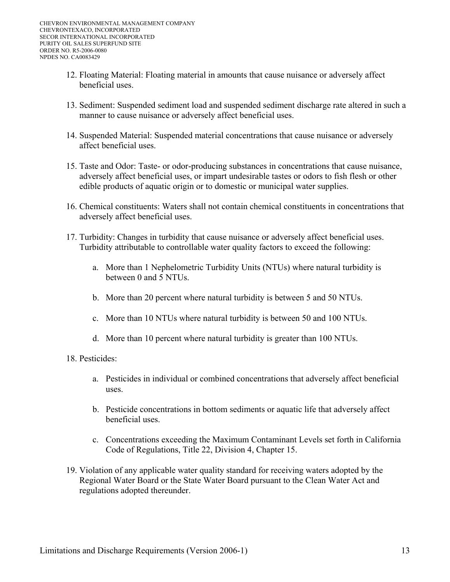- 12. Floating Material: Floating material in amounts that cause nuisance or adversely affect beneficial uses.
- 13. Sediment: Suspended sediment load and suspended sediment discharge rate altered in such a manner to cause nuisance or adversely affect beneficial uses.
- 14. Suspended Material: Suspended material concentrations that cause nuisance or adversely affect beneficial uses.
- 15. Taste and Odor: Taste- or odor-producing substances in concentrations that cause nuisance, adversely affect beneficial uses, or impart undesirable tastes or odors to fish flesh or other edible products of aquatic origin or to domestic or municipal water supplies.
- 16. Chemical constituents: Waters shall not contain chemical constituents in concentrations that adversely affect beneficial uses.
- 17. Turbidity: Changes in turbidity that cause nuisance or adversely affect beneficial uses. Turbidity attributable to controllable water quality factors to exceed the following:
	- a. More than 1 Nephelometric Turbidity Units (NTUs) where natural turbidity is between 0 and 5 NTUs.
	- b. More than 20 percent where natural turbidity is between 5 and 50 NTUs.
	- c. More than 10 NTUs where natural turbidity is between 50 and 100 NTUs.
	- d. More than 10 percent where natural turbidity is greater than 100 NTUs.
- 18. Pesticides:
	- a. Pesticides in individual or combined concentrations that adversely affect beneficial uses.
	- b. Pesticide concentrations in bottom sediments or aquatic life that adversely affect beneficial uses.
	- c. Concentrations exceeding the Maximum Contaminant Levels set forth in California Code of Regulations, Title 22, Division 4, Chapter 15.
- 19. Violation of any applicable water quality standard for receiving waters adopted by the Regional Water Board or the State Water Board pursuant to the Clean Water Act and regulations adopted thereunder.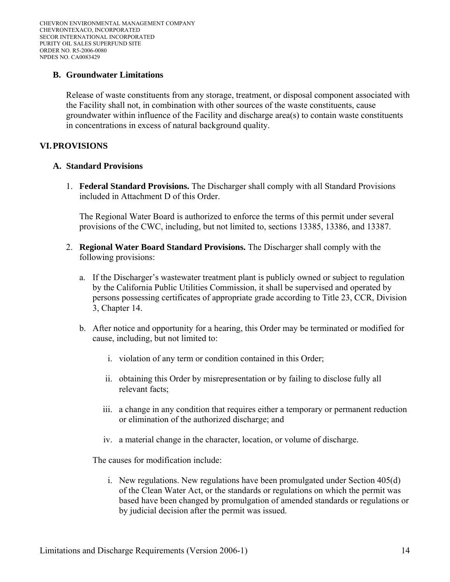#### <span id="page-13-0"></span>**B. Groundwater Limitations**

Release of waste constituents from any storage, treatment, or disposal component associated with the Facility shall not, in combination with other sources of the waste constituents, cause groundwater within influence of the Facility and discharge area(s) to contain waste constituents in concentrations in excess of natural background quality.

#### **VI. PROVISIONS**

#### **A. Standard Provisions**

1. **Federal Standard Provisions.** The Discharger shall comply with all Standard Provisions included in Attachment D of this Order.

 The Regional Water Board is authorized to enforce the terms of this permit under several provisions of the CWC, including, but not limited to, sections 13385, 13386, and 13387.

- 2. **Regional Water Board Standard Provisions.** The Discharger shall comply with the following provisions:
	- a. If the Discharger's wastewater treatment plant is publicly owned or subject to regulation by the California Public Utilities Commission, it shall be supervised and operated by persons possessing certificates of appropriate grade according to Title 23, CCR, Division 3, Chapter 14.
	- b. After notice and opportunity for a hearing, this Order may be terminated or modified for cause, including, but not limited to:
		- i. violation of any term or condition contained in this Order;
		- ii. obtaining this Order by misrepresentation or by failing to disclose fully all relevant facts;
		- iii. a change in any condition that requires either a temporary or permanent reduction or elimination of the authorized discharge; and
		- iv. a material change in the character, location, or volume of discharge.

The causes for modification include:

i. New regulations. New regulations have been promulgated under Section 405(d) of the Clean Water Act, or the standards or regulations on which the permit was based have been changed by promulgation of amended standards or regulations or by judicial decision after the permit was issued.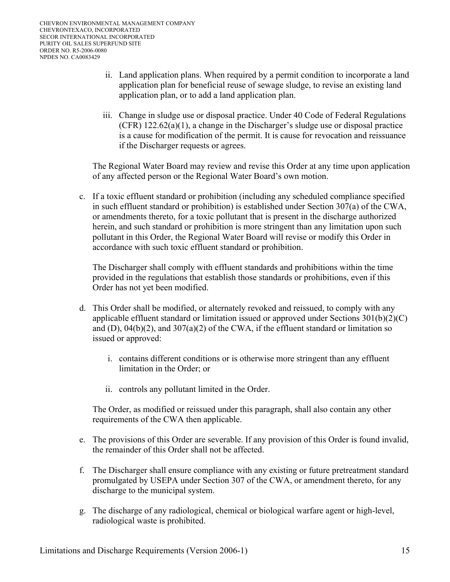- ii. Land application plans. When required by a permit condition to incorporate a land application plan for beneficial reuse of sewage sludge, to revise an existing land application plan, or to add a land application plan.
- iii. Change in sludge use or disposal practice. Under 40 Code of Federal Regulations (CFR) 122.62(a)(1), a change in the Discharger's sludge use or disposal practice is a cause for modification of the permit. It is cause for revocation and reissuance if the Discharger requests or agrees.

The Regional Water Board may review and revise this Order at any time upon application of any affected person or the Regional Water Board's own motion.

c. If a toxic effluent standard or prohibition (including any scheduled compliance specified in such effluent standard or prohibition) is established under Section 307(a) of the CWA, or amendments thereto, for a toxic pollutant that is present in the discharge authorized herein, and such standard or prohibition is more stringent than any limitation upon such pollutant in this Order, the Regional Water Board will revise or modify this Order in accordance with such toxic effluent standard or prohibition.

The Discharger shall comply with effluent standards and prohibitions within the time provided in the regulations that establish those standards or prohibitions, even if this Order has not yet been modified.

- d. This Order shall be modified, or alternately revoked and reissued, to comply with any applicable effluent standard or limitation issued or approved under Sections 301(b)(2)(C) and (D),  $04(b)(2)$ , and  $307(a)(2)$  of the CWA, if the effluent standard or limitation so issued or approved:
	- i. contains different conditions or is otherwise more stringent than any effluent limitation in the Order; or
	- ii. controls any pollutant limited in the Order.

The Order, as modified or reissued under this paragraph, shall also contain any other requirements of the CWA then applicable.

- e. The provisions of this Order are severable. If any provision of this Order is found invalid, the remainder of this Order shall not be affected.
- f. The Discharger shall ensure compliance with any existing or future pretreatment standard promulgated by USEPA under Section 307 of the CWA, or amendment thereto, for any discharge to the municipal system.
- g. The discharge of any radiological, chemical or biological warfare agent or high-level, radiological waste is prohibited.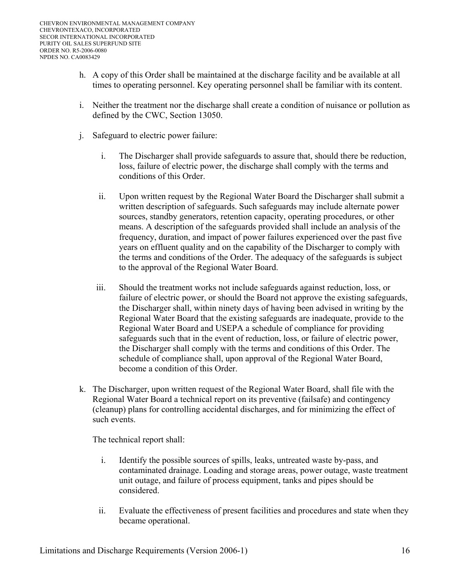- h. A copy of this Order shall be maintained at the discharge facility and be available at all times to operating personnel. Key operating personnel shall be familiar with its content.
- i. Neither the treatment nor the discharge shall create a condition of nuisance or pollution as defined by the CWC, Section 13050.
- j. Safeguard to electric power failure:
	- i. The Discharger shall provide safeguards to assure that, should there be reduction, loss, failure of electric power, the discharge shall comply with the terms and conditions of this Order.
	- ii. Upon written request by the Regional Water Board the Discharger shall submit a written description of safeguards. Such safeguards may include alternate power sources, standby generators, retention capacity, operating procedures, or other means. A description of the safeguards provided shall include an analysis of the frequency, duration, and impact of power failures experienced over the past five years on effluent quality and on the capability of the Discharger to comply with the terms and conditions of the Order. The adequacy of the safeguards is subject to the approval of the Regional Water Board.
	- iii. Should the treatment works not include safeguards against reduction, loss, or failure of electric power, or should the Board not approve the existing safeguards, the Discharger shall, within ninety days of having been advised in writing by the Regional Water Board that the existing safeguards are inadequate, provide to the Regional Water Board and USEPA a schedule of compliance for providing safeguards such that in the event of reduction, loss, or failure of electric power, the Discharger shall comply with the terms and conditions of this Order. The schedule of compliance shall, upon approval of the Regional Water Board, become a condition of this Order.
- k. The Discharger, upon written request of the Regional Water Board, shall file with the Regional Water Board a technical report on its preventive (failsafe) and contingency (cleanup) plans for controlling accidental discharges, and for minimizing the effect of such events.

The technical report shall:

- i. Identify the possible sources of spills, leaks, untreated waste by-pass, and contaminated drainage. Loading and storage areas, power outage, waste treatment unit outage, and failure of process equipment, tanks and pipes should be considered.
- ii. Evaluate the effectiveness of present facilities and procedures and state when they became operational.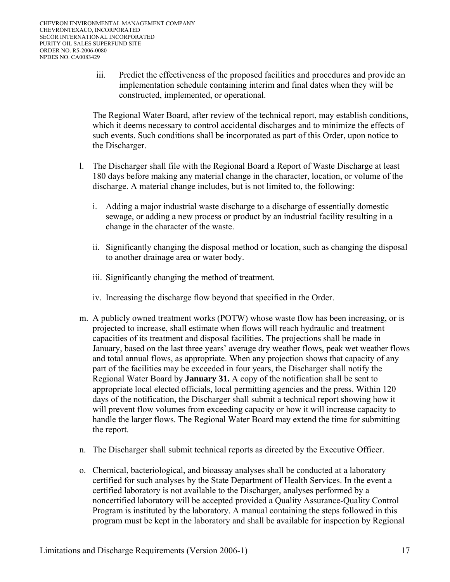iii. Predict the effectiveness of the proposed facilities and procedures and provide an implementation schedule containing interim and final dates when they will be constructed, implemented, or operational.

The Regional Water Board, after review of the technical report, may establish conditions, which it deems necessary to control accidental discharges and to minimize the effects of such events. Such conditions shall be incorporated as part of this Order, upon notice to the Discharger.

- l. The Discharger shall file with the Regional Board a Report of Waste Discharge at least 180 days before making any material change in the character, location, or volume of the discharge. A material change includes, but is not limited to, the following:
	- i. Adding a major industrial waste discharge to a discharge of essentially domestic sewage, or adding a new process or product by an industrial facility resulting in a change in the character of the waste.
	- ii. Significantly changing the disposal method or location, such as changing the disposal to another drainage area or water body.
	- iii. Significantly changing the method of treatment.
	- iv. Increasing the discharge flow beyond that specified in the Order.
- m. A publicly owned treatment works (POTW) whose waste flow has been increasing, or is projected to increase, shall estimate when flows will reach hydraulic and treatment capacities of its treatment and disposal facilities. The projections shall be made in January, based on the last three years' average dry weather flows, peak wet weather flows and total annual flows, as appropriate. When any projection shows that capacity of any part of the facilities may be exceeded in four years, the Discharger shall notify the Regional Water Board by **January 31.** A copy of the notification shall be sent to appropriate local elected officials, local permitting agencies and the press. Within 120 days of the notification, the Discharger shall submit a technical report showing how it will prevent flow volumes from exceeding capacity or how it will increase capacity to handle the larger flows. The Regional Water Board may extend the time for submitting the report.
- n. The Discharger shall submit technical reports as directed by the Executive Officer.
- o. Chemical, bacteriological, and bioassay analyses shall be conducted at a laboratory certified for such analyses by the State Department of Health Services. In the event a certified laboratory is not available to the Discharger, analyses performed by a noncertified laboratory will be accepted provided a Quality Assurance-Quality Control Program is instituted by the laboratory. A manual containing the steps followed in this program must be kept in the laboratory and shall be available for inspection by Regional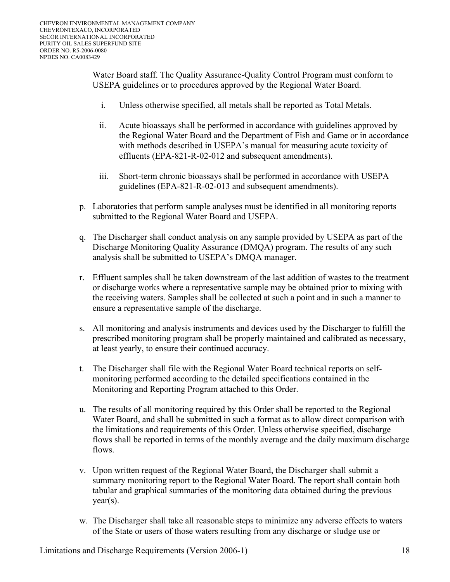Water Board staff. The Quality Assurance-Quality Control Program must conform to USEPA guidelines or to procedures approved by the Regional Water Board.

- i. Unless otherwise specified, all metals shall be reported as Total Metals.
- ii. Acute bioassays shall be performed in accordance with guidelines approved by the Regional Water Board and the Department of Fish and Game or in accordance with methods described in USEPA's manual for measuring acute toxicity of effluents (EPA-821-R-02-012 and subsequent amendments).
- iii. Short-term chronic bioassays shall be performed in accordance with USEPA guidelines (EPA-821-R-02-013 and subsequent amendments).
- p. Laboratories that perform sample analyses must be identified in all monitoring reports submitted to the Regional Water Board and USEPA.
- q. The Discharger shall conduct analysis on any sample provided by USEPA as part of the Discharge Monitoring Quality Assurance (DMQA) program. The results of any such analysis shall be submitted to USEPA's DMQA manager.
- r. Effluent samples shall be taken downstream of the last addition of wastes to the treatment or discharge works where a representative sample may be obtained prior to mixing with the receiving waters. Samples shall be collected at such a point and in such a manner to ensure a representative sample of the discharge.
- s. All monitoring and analysis instruments and devices used by the Discharger to fulfill the prescribed monitoring program shall be properly maintained and calibrated as necessary, at least yearly, to ensure their continued accuracy.
- t. The Discharger shall file with the Regional Water Board technical reports on selfmonitoring performed according to the detailed specifications contained in the Monitoring and Reporting Program attached to this Order.
- u. The results of all monitoring required by this Order shall be reported to the Regional Water Board, and shall be submitted in such a format as to allow direct comparison with the limitations and requirements of this Order. Unless otherwise specified, discharge flows shall be reported in terms of the monthly average and the daily maximum discharge flows.
- v. Upon written request of the Regional Water Board, the Discharger shall submit a summary monitoring report to the Regional Water Board. The report shall contain both tabular and graphical summaries of the monitoring data obtained during the previous year(s).
- w. The Discharger shall take all reasonable steps to minimize any adverse effects to waters of the State or users of those waters resulting from any discharge or sludge use or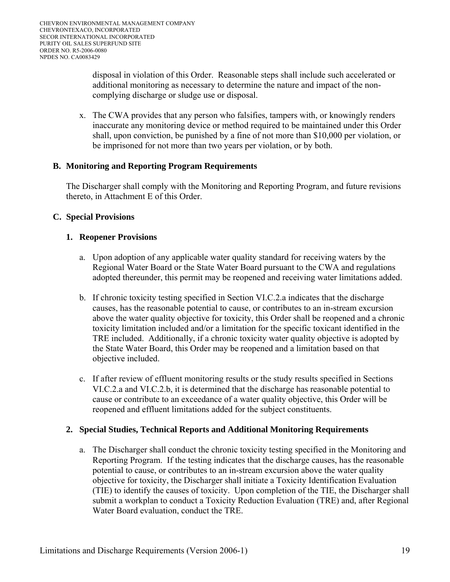<span id="page-18-0"></span>disposal in violation of this Order. Reasonable steps shall include such accelerated or additional monitoring as necessary to determine the nature and impact of the noncomplying discharge or sludge use or disposal.

x. The CWA provides that any person who falsifies, tampers with, or knowingly renders inaccurate any monitoring device or method required to be maintained under this Order shall, upon conviction, be punished by a fine of not more than \$10,000 per violation, or be imprisoned for not more than two years per violation, or by both.

## **B. Monitoring and Reporting Program Requirements**

The Discharger shall comply with the Monitoring and Reporting Program, and future revisions thereto, in Attachment E of this Order.

## **C. Special Provisions**

## **1. Reopener Provisions**

- a. Upon adoption of any applicable water quality standard for receiving waters by the Regional Water Board or the State Water Board pursuant to the CWA and regulations adopted thereunder, this permit may be reopened and receiving water limitations added.
- b. If chronic toxicity testing specified in Section VI.C.2.a indicates that the discharge causes, has the reasonable potential to cause, or contributes to an in-stream excursion above the water quality objective for toxicity, this Order shall be reopened and a chronic toxicity limitation included and/or a limitation for the specific toxicant identified in the TRE included. Additionally, if a chronic toxicity water quality objective is adopted by the State Water Board, this Order may be reopened and a limitation based on that objective included.
- c. If after review of effluent monitoring results or the study results specified in Sections VI.C.2.a and VI.C.2.b, it is determined that the discharge has reasonable potential to cause or contribute to an exceedance of a water quality objective, this Order will be reopened and effluent limitations added for the subject constituents.

### **2. Special Studies, Technical Reports and Additional Monitoring Requirements**

 a. The Discharger shall conduct the chronic toxicity testing specified in the Monitoring and Reporting Program. If the testing indicates that the discharge causes, has the reasonable potential to cause, or contributes to an in-stream excursion above the water quality objective for toxicity, the Discharger shall initiate a Toxicity Identification Evaluation (TIE) to identify the causes of toxicity. Upon completion of the TIE, the Discharger shall submit a workplan to conduct a Toxicity Reduction Evaluation (TRE) and, after Regional Water Board evaluation, conduct the TRE.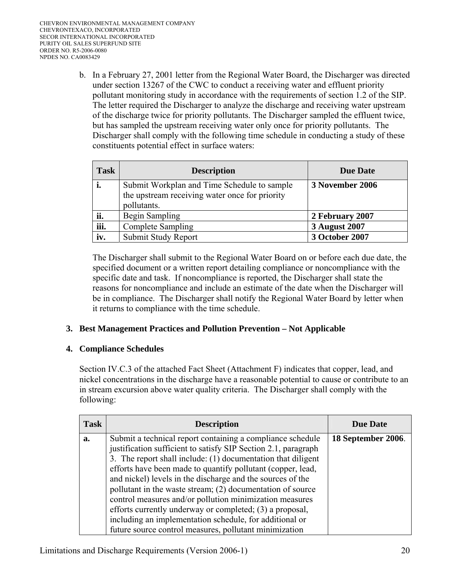<span id="page-19-0"></span> b. In a February 27, 2001 letter from the Regional Water Board, the Discharger was directed under section 13267 of the CWC to conduct a receiving water and effluent priority pollutant monitoring study in accordance with the requirements of section 1.2 of the SIP. The letter required the Discharger to analyze the discharge and receiving water upstream of the discharge twice for priority pollutants. The Discharger sampled the effluent twice, but has sampled the upstream receiving water only once for priority pollutants. The Discharger shall comply with the following time schedule in conducting a study of these constituents potential effect in surface waters:

| <b>Task</b> | <b>Description</b>                                                                            | <b>Due Date</b>      |
|-------------|-----------------------------------------------------------------------------------------------|----------------------|
|             | Submit Workplan and Time Schedule to sample<br>the upstream receiving water once for priority | 3 November 2006      |
|             | pollutants.                                                                                   |                      |
| ii.         | Begin Sampling                                                                                | 2 February 2007      |
| iii.        | <b>Complete Sampling</b>                                                                      | <b>3 August 2007</b> |
| iv.         | Submit Study Report                                                                           | 3 October 2007       |

 The Discharger shall submit to the Regional Water Board on or before each due date, the specified document or a written report detailing compliance or noncompliance with the specific date and task. If noncompliance is reported, the Discharger shall state the reasons for noncompliance and include an estimate of the date when the Discharger will be in compliance. The Discharger shall notify the Regional Water Board by letter when it returns to compliance with the time schedule.

## **3. Best Management Practices and Pollution Prevention – Not Applicable**

### **4. Compliance Schedules**

Section IV.C.3 of the attached Fact Sheet (Attachment F) indicates that copper, lead, and nickel concentrations in the discharge have a reasonable potential to cause or contribute to an in stream excursion above water quality criteria. The Discharger shall comply with the following:

| <b>Task</b> | <b>Description</b>                                             | <b>Due Date</b>    |
|-------------|----------------------------------------------------------------|--------------------|
| a.          | Submit a technical report containing a compliance schedule     | 18 September 2006. |
|             | justification sufficient to satisfy SIP Section 2.1, paragraph |                    |
|             | 3. The report shall include: (1) documentation that diligent   |                    |
|             | efforts have been made to quantify pollutant (copper, lead,    |                    |
|             | and nickel) levels in the discharge and the sources of the     |                    |
|             | pollutant in the waste stream; (2) documentation of source     |                    |
|             | control measures and/or pollution minimization measures        |                    |
|             | efforts currently underway or completed; (3) a proposal,       |                    |
|             | including an implementation schedule, for additional or        |                    |
|             | future source control measures, pollutant minimization         |                    |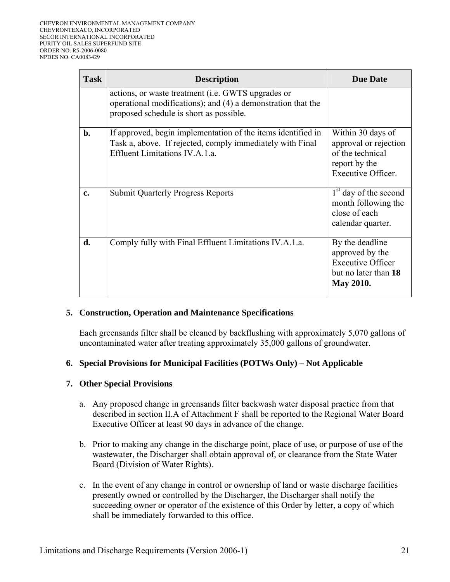<span id="page-20-0"></span>

| <b>Task</b>   | <b>Description</b>                                                                                                                                            | <b>Due Date</b>                                                                                            |
|---------------|---------------------------------------------------------------------------------------------------------------------------------------------------------------|------------------------------------------------------------------------------------------------------------|
|               | actions, or waste treatment (i.e. GWTS upgrades or<br>operational modifications); and (4) a demonstration that the<br>proposed schedule is short as possible. |                                                                                                            |
| b.            | If approved, begin implementation of the items identified in<br>Task a, above. If rejected, comply immediately with Final<br>Effluent Limitations IV.A.1.a.   | Within 30 days of<br>approval or rejection<br>of the technical<br>report by the<br>Executive Officer.      |
| $c_{\bullet}$ | <b>Submit Quarterly Progress Reports</b>                                                                                                                      | 1 <sup>st</sup> day of the second<br>month following the<br>close of each<br>calendar quarter.             |
| d.            | Comply fully with Final Effluent Limitations IV.A.1.a.                                                                                                        | By the deadline<br>approved by the<br><b>Executive Officer</b><br>but no later than 18<br><b>May 2010.</b> |

#### **5. Construction, Operation and Maintenance Specifications**

Each greensands filter shall be cleaned by backflushing with approximately 5,070 gallons of uncontaminated water after treating approximately 35,000 gallons of groundwater.

#### **6. Special Provisions for Municipal Facilities (POTWs Only) – Not Applicable**

#### **7. Other Special Provisions**

- a. Any proposed change in greensands filter backwash water disposal practice from that described in section II.A of Attachment F shall be reported to the Regional Water Board Executive Officer at least 90 days in advance of the change.
- b. Prior to making any change in the discharge point, place of use, or purpose of use of the wastewater, the Discharger shall obtain approval of, or clearance from the State Water Board (Division of Water Rights).
- c. In the event of any change in control or ownership of land or waste discharge facilities presently owned or controlled by the Discharger, the Discharger shall notify the succeeding owner or operator of the existence of this Order by letter, a copy of which shall be immediately forwarded to this office.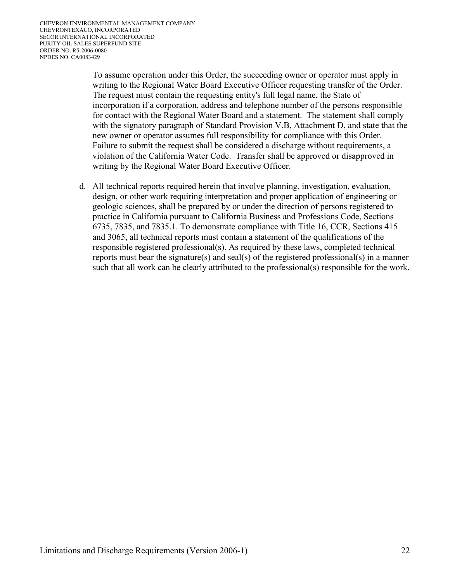To assume operation under this Order, the succeeding owner or operator must apply in writing to the Regional Water Board Executive Officer requesting transfer of the Order. The request must contain the requesting entity's full legal name, the State of incorporation if a corporation, address and telephone number of the persons responsible for contact with the Regional Water Board and a statement. The statement shall comply with the signatory paragraph of Standard Provision V.B, Attachment D, and state that the new owner or operator assumes full responsibility for compliance with this Order. Failure to submit the request shall be considered a discharge without requirements, a violation of the California Water Code. Transfer shall be approved or disapproved in writing by the Regional Water Board Executive Officer.

d. All technical reports required herein that involve planning, investigation, evaluation, design, or other work requiring interpretation and proper application of engineering or geologic sciences, shall be prepared by or under the direction of persons registered to practice in California pursuant to California Business and Professions Code, Sections 6735, 7835, and 7835.1. To demonstrate compliance with Title 16, CCR, Sections 415 and 3065, all technical reports must contain a statement of the qualifications of the responsible registered professional(s). As required by these laws, completed technical reports must bear the signature(s) and seal(s) of the registered professional(s) in a manner such that all work can be clearly attributed to the professional(s) responsible for the work.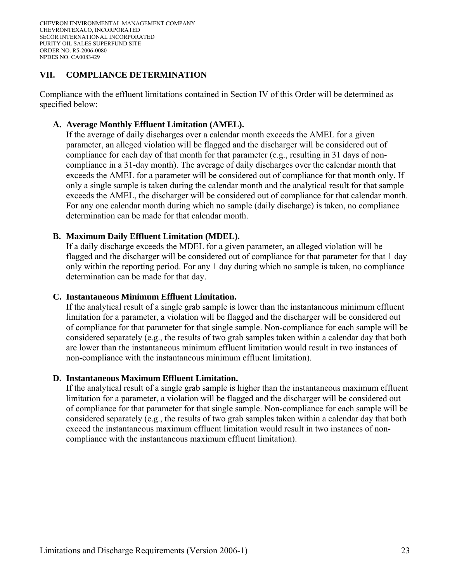## <span id="page-22-0"></span>**VII. COMPLIANCE DETERMINATION**

Compliance with the effluent limitations contained in Section IV of this Order will be determined as specified below:

## **A. Average Monthly Effluent Limitation (AMEL).**

If the average of daily discharges over a calendar month exceeds the AMEL for a given parameter, an alleged violation will be flagged and the discharger will be considered out of compliance for each day of that month for that parameter (e.g., resulting in 31 days of noncompliance in a 31-day month). The average of daily discharges over the calendar month that exceeds the AMEL for a parameter will be considered out of compliance for that month only. If only a single sample is taken during the calendar month and the analytical result for that sample exceeds the AMEL, the discharger will be considered out of compliance for that calendar month. For any one calendar month during which no sample (daily discharge) is taken, no compliance determination can be made for that calendar month.

## **B. Maximum Daily Effluent Limitation (MDEL).**

If a daily discharge exceeds the MDEL for a given parameter, an alleged violation will be flagged and the discharger will be considered out of compliance for that parameter for that 1 day only within the reporting period. For any 1 day during which no sample is taken, no compliance determination can be made for that day.

### **C. Instantaneous Minimum Effluent Limitation.**

If the analytical result of a single grab sample is lower than the instantaneous minimum effluent limitation for a parameter, a violation will be flagged and the discharger will be considered out of compliance for that parameter for that single sample. Non-compliance for each sample will be considered separately (e.g., the results of two grab samples taken within a calendar day that both are lower than the instantaneous minimum effluent limitation would result in two instances of non-compliance with the instantaneous minimum effluent limitation).

### **D. Instantaneous Maximum Effluent Limitation.**

If the analytical result of a single grab sample is higher than the instantaneous maximum effluent limitation for a parameter, a violation will be flagged and the discharger will be considered out of compliance for that parameter for that single sample. Non-compliance for each sample will be considered separately (e.g., the results of two grab samples taken within a calendar day that both exceed the instantaneous maximum effluent limitation would result in two instances of noncompliance with the instantaneous maximum effluent limitation).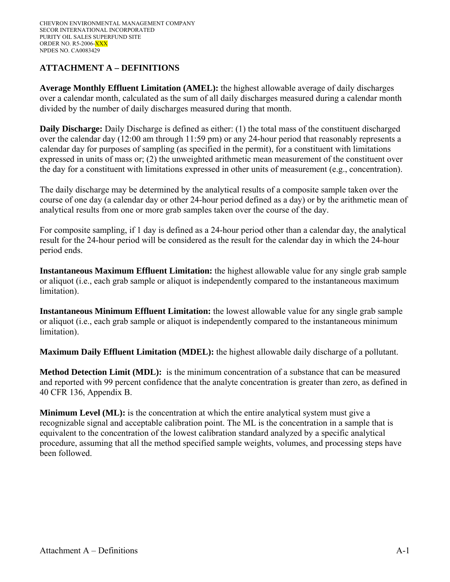## **ATTACHMENT A – DEFINITIONS**

**Average Monthly Effluent Limitation (AMEL):** the highest allowable average of daily discharges over a calendar month, calculated as the sum of all daily discharges measured during a calendar month divided by the number of daily discharges measured during that month.

**Daily Discharge:** Daily Discharge is defined as either: (1) the total mass of the constituent discharged over the calendar day (12:00 am through 11:59 pm) or any 24-hour period that reasonably represents a calendar day for purposes of sampling (as specified in the permit), for a constituent with limitations expressed in units of mass or; (2) the unweighted arithmetic mean measurement of the constituent over the day for a constituent with limitations expressed in other units of measurement (e.g., concentration).

The daily discharge may be determined by the analytical results of a composite sample taken over the course of one day (a calendar day or other 24-hour period defined as a day) or by the arithmetic mean of analytical results from one or more grab samples taken over the course of the day.

For composite sampling, if 1 day is defined as a 24-hour period other than a calendar day, the analytical result for the 24-hour period will be considered as the result for the calendar day in which the 24-hour period ends.

**Instantaneous Maximum Effluent Limitation:** the highest allowable value for any single grab sample or aliquot (i.e., each grab sample or aliquot is independently compared to the instantaneous maximum limitation).

**Instantaneous Minimum Effluent Limitation:** the lowest allowable value for any single grab sample or aliquot (i.e., each grab sample or aliquot is independently compared to the instantaneous minimum limitation).

**Maximum Daily Effluent Limitation (MDEL):** the highest allowable daily discharge of a pollutant.

**Method Detection Limit (MDL):** is the minimum concentration of a substance that can be measured and reported with 99 percent confidence that the analyte concentration is greater than zero, as defined in 40 CFR 136, Appendix B.

**Minimum Level (ML):** is the concentration at which the entire analytical system must give a recognizable signal and acceptable calibration point. The ML is the concentration in a sample that is equivalent to the concentration of the lowest calibration standard analyzed by a specific analytical procedure, assuming that all the method specified sample weights, volumes, and processing steps have been followed.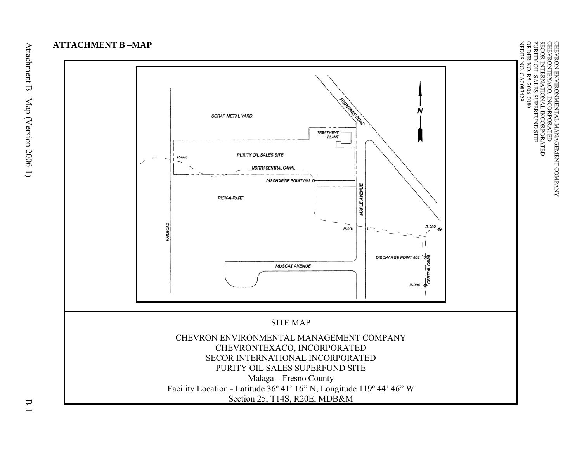

ORDER NO. R5-2006-0080

**ORDER NO. R5-2006-0080** 

PURITY OIL SALES SUPERFUND SITE SECOR INTERNATIONAL INCORPORATED CHEVRONTEXACO, INCORPORATED

INTERNATIONAL INCORPORA<br>7 OIL SALES SUPERFUND SITE

**INCORPORATED** 

**PURITY OIL** 

**SECOR** 

CHEVRON ENVIRONMENTAL MANAGEMENT COMPANY

CHEVRON ENVIRONMENTAL MANAGEMENT COMPANY<br>CHEVRONTEXACO, INCORPORATED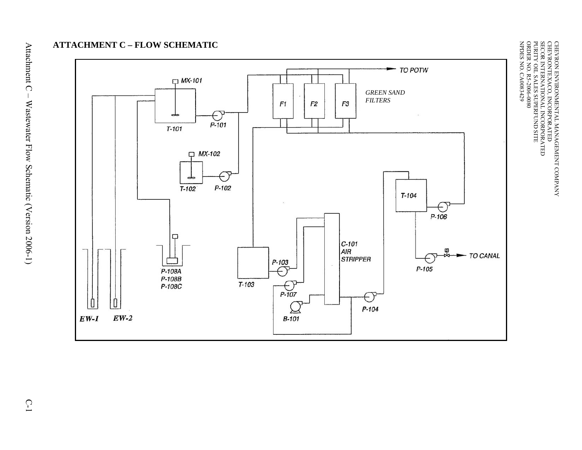## **ATTACHMENT C – FLOW SCHEMATIC**



CHEVRON ENVIRONMENTAL MANAGEMENT COMPANY<br>CHEVRONTEXACO, INCORPORATED<br>SECOR INTERNATIONAL INCORPORATED<br>PURITY OIL SALES SUPERFUND SITE<br>ORDER NO. CA0083429<br>NPDES NO. CA0083429

CHEVRON ENVIRONMENTAL MANAGEMENT COMPANY

PURITY OIL SALES SUPERFUND SITE SECOR INTERNATIONAL INCORPORATED CHEVRONTEXACO, INCORPORATED

ORDER NO. R5-2006-0080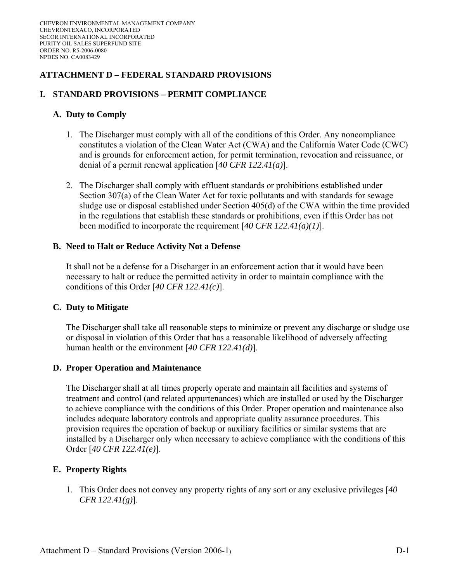## **ATTACHMENT D – FEDERAL STANDARD PROVISIONS**

## **I. STANDARD PROVISIONS – PERMIT COMPLIANCE**

#### **A. Duty to Comply**

- 1. The Discharger must comply with all of the conditions of this Order. Any noncompliance constitutes a violation of the Clean Water Act (CWA) and the California Water Code (CWC) and is grounds for enforcement action, for permit termination, revocation and reissuance, or denial of a permit renewal application [*40 CFR 122.41(a)*].
- 2. The Discharger shall comply with effluent standards or prohibitions established under Section 307(a) of the Clean Water Act for toxic pollutants and with standards for sewage sludge use or disposal established under Section 405(d) of the CWA within the time provided in the regulations that establish these standards or prohibitions, even if this Order has not been modified to incorporate the requirement [*40 CFR 122.41(a)(1)*].

#### **B. Need to Halt or Reduce Activity Not a Defense**

It shall not be a defense for a Discharger in an enforcement action that it would have been necessary to halt or reduce the permitted activity in order to maintain compliance with the conditions of this Order [*40 CFR 122.41(c)*].

#### **C. Duty to Mitigate**

The Discharger shall take all reasonable steps to minimize or prevent any discharge or sludge use or disposal in violation of this Order that has a reasonable likelihood of adversely affecting human health or the environment [*40 CFR 122.41(d)*].

#### **D. Proper Operation and Maintenance**

The Discharger shall at all times properly operate and maintain all facilities and systems of treatment and control (and related appurtenances) which are installed or used by the Discharger to achieve compliance with the conditions of this Order. Proper operation and maintenance also includes adequate laboratory controls and appropriate quality assurance procedures. This provision requires the operation of backup or auxiliary facilities or similar systems that are installed by a Discharger only when necessary to achieve compliance with the conditions of this Order [*40 CFR 122.41(e)*].

### **E. Property Rights**

1. This Order does not convey any property rights of any sort or any exclusive privileges [*40 CFR 122.41(g)*].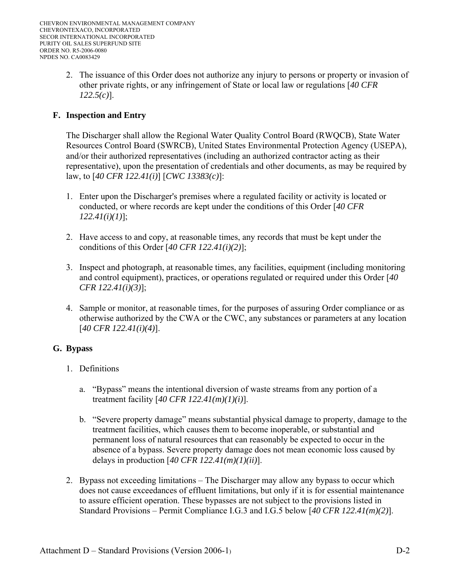2. The issuance of this Order does not authorize any injury to persons or property or invasion of other private rights, or any infringement of State or local law or regulations [*40 CFR 122.5(c)*].

## **F. Inspection and Entry**

The Discharger shall allow the Regional Water Quality Control Board (RWQCB), State Water Resources Control Board (SWRCB), United States Environmental Protection Agency (USEPA), and/or their authorized representatives (including an authorized contractor acting as their representative), upon the presentation of credentials and other documents, as may be required by law, to [*40 CFR 122.41(i)*] [*CWC 13383(c)*]:

- 1. Enter upon the Discharger's premises where a regulated facility or activity is located or conducted, or where records are kept under the conditions of this Order [*40 CFR 122.41(i)(1)*];
- 2. Have access to and copy, at reasonable times, any records that must be kept under the conditions of this Order [*40 CFR 122.41(i)(2)*];
- 3. Inspect and photograph, at reasonable times, any facilities, equipment (including monitoring and control equipment), practices, or operations regulated or required under this Order [*40 CFR 122.41(i)(3)*];
- 4. Sample or monitor, at reasonable times, for the purposes of assuring Order compliance or as otherwise authorized by the CWA or the CWC, any substances or parameters at any location [*40 CFR 122.41(i)(4)*].

### **G. Bypass**

- 1. Definitions
	- a. "Bypass" means the intentional diversion of waste streams from any portion of a treatment facility [*40 CFR 122.41(m)(1)(i)*].
	- b. "Severe property damage" means substantial physical damage to property, damage to the treatment facilities, which causes them to become inoperable, or substantial and permanent loss of natural resources that can reasonably be expected to occur in the absence of a bypass. Severe property damage does not mean economic loss caused by delays in production [*40 CFR 122.41(m)(1)(ii)*].
- 2. Bypass not exceeding limitations The Discharger may allow any bypass to occur which does not cause exceedances of effluent limitations, but only if it is for essential maintenance to assure efficient operation. These bypasses are not subject to the provisions listed in Standard Provisions – Permit Compliance I.G.3 and I.G.5 below [*40 CFR 122.41(m)(2)*].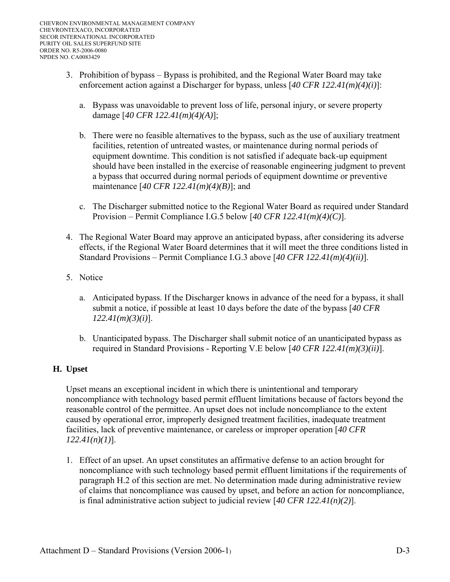- 3. Prohibition of bypass Bypass is prohibited, and the Regional Water Board may take enforcement action against a Discharger for bypass, unless [*40 CFR 122.41(m)(4)(i)*]:
	- a. Bypass was unavoidable to prevent loss of life, personal injury, or severe property damage [*40 CFR 122.41(m)(4)(A)*];
	- b. There were no feasible alternatives to the bypass, such as the use of auxiliary treatment facilities, retention of untreated wastes, or maintenance during normal periods of equipment downtime. This condition is not satisfied if adequate back-up equipment should have been installed in the exercise of reasonable engineering judgment to prevent a bypass that occurred during normal periods of equipment downtime or preventive maintenance [*40 CFR 122.41(m)(4)(B)*]; and
	- c. The Discharger submitted notice to the Regional Water Board as required under Standard Provision – Permit Compliance I.G.5 below [*40 CFR 122.41(m)(4)(C)*].
- 4. The Regional Water Board may approve an anticipated bypass, after considering its adverse effects, if the Regional Water Board determines that it will meet the three conditions listed in Standard Provisions – Permit Compliance I.G.3 above [*40 CFR 122.41(m)(4)(ii)*].
- 5. Notice
	- a. Anticipated bypass. If the Discharger knows in advance of the need for a bypass, it shall submit a notice, if possible at least 10 days before the date of the bypass [*40 CFR 122.41(m)(3)(i)*].
	- b. Unanticipated bypass. The Discharger shall submit notice of an unanticipated bypass as required in Standard Provisions - Reporting V.E below [*40 CFR 122.41(m)(3)(ii)*].

## **H. Upset**

Upset means an exceptional incident in which there is unintentional and temporary noncompliance with technology based permit effluent limitations because of factors beyond the reasonable control of the permittee. An upset does not include noncompliance to the extent caused by operational error, improperly designed treatment facilities, inadequate treatment facilities, lack of preventive maintenance, or careless or improper operation [*40 CFR 122.41(n)(1)*].

1. Effect of an upset. An upset constitutes an affirmative defense to an action brought for noncompliance with such technology based permit effluent limitations if the requirements of paragraph H.2 of this section are met. No determination made during administrative review of claims that noncompliance was caused by upset, and before an action for noncompliance, is final administrative action subject to judicial review [*40 CFR 122.41(n)(2)*].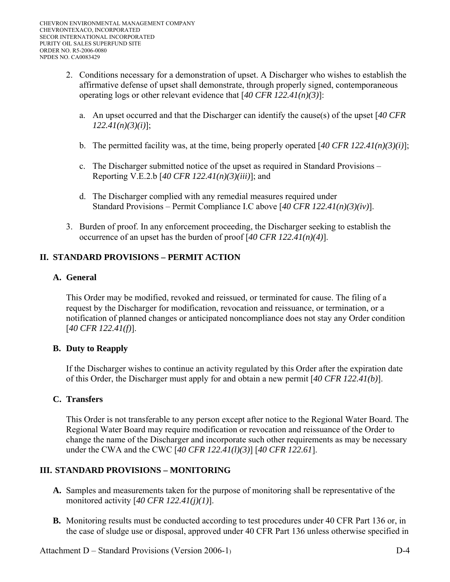- 2. Conditions necessary for a demonstration of upset. A Discharger who wishes to establish the affirmative defense of upset shall demonstrate, through properly signed, contemporaneous operating logs or other relevant evidence that [*40 CFR 122.41(n)(3)*]:
	- a. An upset occurred and that the Discharger can identify the cause(s) of the upset [*40 CFR 122.41(n)(3)(i)*];
	- b. The permitted facility was, at the time, being properly operated [*40 CFR 122.41(n)(3)(i)*];
	- c. The Discharger submitted notice of the upset as required in Standard Provisions Reporting V.E.2.b [*40 CFR 122.41(n)(3)(iii)*]; and
	- d. The Discharger complied with any remedial measures required under Standard Provisions – Permit Compliance I.C above [*40 CFR 122.41(n)(3)(iv)*].
- 3. Burden of proof. In any enforcement proceeding, the Discharger seeking to establish the occurrence of an upset has the burden of proof [*40 CFR 122.41(n)(4)*].

## **II. STANDARD PROVISIONS – PERMIT ACTION**

### **A. General**

This Order may be modified, revoked and reissued, or terminated for cause. The filing of a request by the Discharger for modification, revocation and reissuance, or termination, or a notification of planned changes or anticipated noncompliance does not stay any Order condition [*40 CFR 122.41(f)*].

### **B. Duty to Reapply**

If the Discharger wishes to continue an activity regulated by this Order after the expiration date of this Order, the Discharger must apply for and obtain a new permit [*40 CFR 122.41(b)*].

## **C. Transfers**

This Order is not transferable to any person except after notice to the Regional Water Board. The Regional Water Board may require modification or revocation and reissuance of the Order to change the name of the Discharger and incorporate such other requirements as may be necessary under the CWA and the CWC [*40 CFR 122.41(l)(3)*] [*40 CFR 122.61*].

## **III. STANDARD PROVISIONS – MONITORING**

- **A.** Samples and measurements taken for the purpose of monitoring shall be representative of the monitored activity [*40 CFR 122.41(j)(1)*].
- **B.** Monitoring results must be conducted according to test procedures under 40 CFR Part 136 or, in the case of sludge use or disposal, approved under 40 CFR Part 136 unless otherwise specified in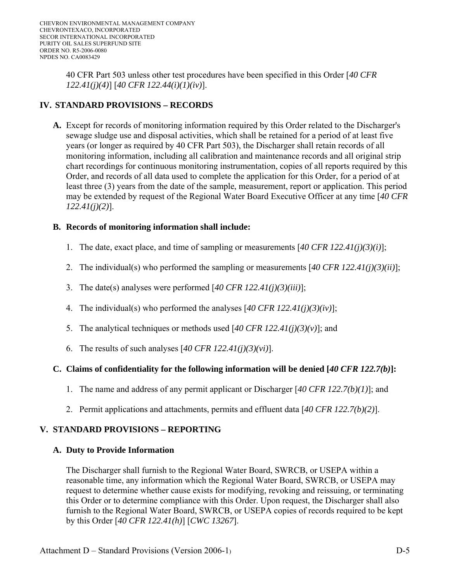40 CFR Part 503 unless other test procedures have been specified in this Order [*40 CFR 122.41(j)(4)*] [*40 CFR 122.44(i)(1)(iv)*].

## **IV. STANDARD PROVISIONS – RECORDS**

**A.** Except for records of monitoring information required by this Order related to the Discharger's sewage sludge use and disposal activities, which shall be retained for a period of at least five years (or longer as required by 40 CFR Part 503), the Discharger shall retain records of all monitoring information, including all calibration and maintenance records and all original strip chart recordings for continuous monitoring instrumentation, copies of all reports required by this Order, and records of all data used to complete the application for this Order, for a period of at least three (3) years from the date of the sample, measurement, report or application. This period may be extended by request of the Regional Water Board Executive Officer at any time [*40 CFR 122.41(j)(2)*].

## **B. Records of monitoring information shall include:**

- 1. The date, exact place, and time of sampling or measurements [*40 CFR 122.41(j)(3)(i)*];
- 2. The individual(s) who performed the sampling or measurements [*40 CFR 122.41(j)(3)(ii)*];
- 3. The date(s) analyses were performed [*40 CFR 122.41(j)(3)(iii)*];
- 4. The individual(s) who performed the analyses [*40 CFR 122.41(j)(3)(iv)*];
- 5. The analytical techniques or methods used [*40 CFR 122.41(j)(3)(v)*]; and
- 6. The results of such analyses [*40 CFR 122.41(j)(3)(vi)*].

### **C. Claims of confidentiality for the following information will be denied [***40 CFR 122.7(b)***]:**

- 1. The name and address of any permit applicant or Discharger [*40 CFR 122.7(b)(1)*]; and
- 2. Permit applications and attachments, permits and effluent data [*40 CFR 122.7(b)(2)*].

### **V. STANDARD PROVISIONS – REPORTING**

### **A. Duty to Provide Information**

The Discharger shall furnish to the Regional Water Board, SWRCB, or USEPA within a reasonable time, any information which the Regional Water Board, SWRCB, or USEPA may request to determine whether cause exists for modifying, revoking and reissuing, or terminating this Order or to determine compliance with this Order. Upon request, the Discharger shall also furnish to the Regional Water Board, SWRCB, or USEPA copies of records required to be kept by this Order [*40 CFR 122.41(h)*] [*CWC 13267*].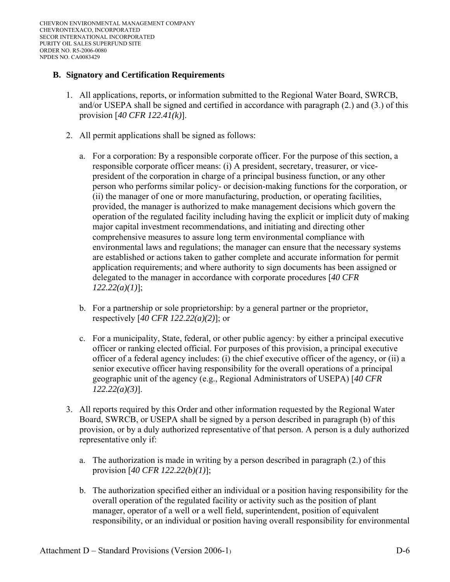#### **B. Signatory and Certification Requirements**

- 1. All applications, reports, or information submitted to the Regional Water Board, SWRCB, and/or USEPA shall be signed and certified in accordance with paragraph (2.) and (3.) of this provision [*40 CFR 122.41(k)*].
- 2. All permit applications shall be signed as follows:
	- a. For a corporation: By a responsible corporate officer. For the purpose of this section, a responsible corporate officer means: (i) A president, secretary, treasurer, or vicepresident of the corporation in charge of a principal business function, or any other person who performs similar policy- or decision-making functions for the corporation, or (ii) the manager of one or more manufacturing, production, or operating facilities, provided, the manager is authorized to make management decisions which govern the operation of the regulated facility including having the explicit or implicit duty of making major capital investment recommendations, and initiating and directing other comprehensive measures to assure long term environmental compliance with environmental laws and regulations; the manager can ensure that the necessary systems are established or actions taken to gather complete and accurate information for permit application requirements; and where authority to sign documents has been assigned or delegated to the manager in accordance with corporate procedures [*40 CFR 122.22(a)(1)*];
	- b. For a partnership or sole proprietorship: by a general partner or the proprietor, respectively [*40 CFR 122.22(a)(2)*]; or
	- c. For a municipality, State, federal, or other public agency: by either a principal executive officer or ranking elected official. For purposes of this provision, a principal executive officer of a federal agency includes: (i) the chief executive officer of the agency, or (ii) a senior executive officer having responsibility for the overall operations of a principal geographic unit of the agency (e.g., Regional Administrators of USEPA) [*40 CFR 122.22(a)(3)*].
- 3. All reports required by this Order and other information requested by the Regional Water Board, SWRCB, or USEPA shall be signed by a person described in paragraph (b) of this provision, or by a duly authorized representative of that person. A person is a duly authorized representative only if:
	- a. The authorization is made in writing by a person described in paragraph (2.) of this provision [*40 CFR 122.22(b)(1)*];
	- b. The authorization specified either an individual or a position having responsibility for the overall operation of the regulated facility or activity such as the position of plant manager, operator of a well or a well field, superintendent, position of equivalent responsibility, or an individual or position having overall responsibility for environmental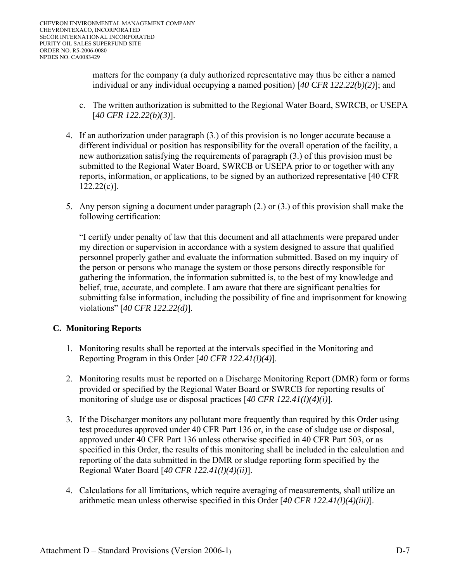matters for the company (a duly authorized representative may thus be either a named individual or any individual occupying a named position) [*40 CFR 122.22(b)(2)*]; and

- c. The written authorization is submitted to the Regional Water Board, SWRCB, or USEPA [*40 CFR 122.22(b)(3)*].
- 4. If an authorization under paragraph (3.) of this provision is no longer accurate because a different individual or position has responsibility for the overall operation of the facility, a new authorization satisfying the requirements of paragraph (3.) of this provision must be submitted to the Regional Water Board, SWRCB or USEPA prior to or together with any reports, information, or applications, to be signed by an authorized representative [40 CFR  $122.22(c)$ ].
- 5. Any person signing a document under paragraph (2.) or (3.) of this provision shall make the following certification:

"I certify under penalty of law that this document and all attachments were prepared under my direction or supervision in accordance with a system designed to assure that qualified personnel properly gather and evaluate the information submitted. Based on my inquiry of the person or persons who manage the system or those persons directly responsible for gathering the information, the information submitted is, to the best of my knowledge and belief, true, accurate, and complete. I am aware that there are significant penalties for submitting false information, including the possibility of fine and imprisonment for knowing violations" [*40 CFR 122.22(d)*].

### **C. Monitoring Reports**

- 1. Monitoring results shall be reported at the intervals specified in the Monitoring and Reporting Program in this Order [*40 CFR 122.41(l)(4)*].
- 2. Monitoring results must be reported on a Discharge Monitoring Report (DMR) form or forms provided or specified by the Regional Water Board or SWRCB for reporting results of monitoring of sludge use or disposal practices [*40 CFR 122.41(l)(4)(i)*].
- 3. If the Discharger monitors any pollutant more frequently than required by this Order using test procedures approved under 40 CFR Part 136 or, in the case of sludge use or disposal, approved under 40 CFR Part 136 unless otherwise specified in 40 CFR Part 503, or as specified in this Order, the results of this monitoring shall be included in the calculation and reporting of the data submitted in the DMR or sludge reporting form specified by the Regional Water Board [*40 CFR 122.41(l)(4)(ii)*].
- 4. Calculations for all limitations, which require averaging of measurements, shall utilize an arithmetic mean unless otherwise specified in this Order [*40 CFR 122.41(l)(4)(iii)*].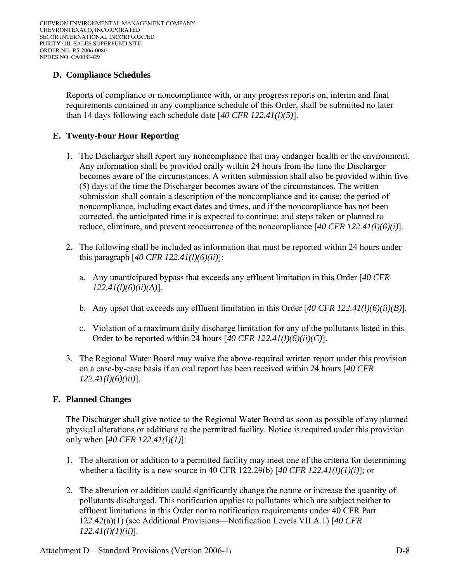#### **D. Compliance Schedules**

Reports of compliance or noncompliance with, or any progress reports on, interim and final requirements contained in any compliance schedule of this Order, shall be submitted no later than 14 days following each schedule date [*40 CFR 122.41(l)(5)*].

#### **E. Twenty-Four Hour Reporting**

- 1. The Discharger shall report any noncompliance that may endanger health or the environment. Any information shall be provided orally within 24 hours from the time the Discharger becomes aware of the circumstances. A written submission shall also be provided within five (5) days of the time the Discharger becomes aware of the circumstances. The written submission shall contain a description of the noncompliance and its cause; the period of noncompliance, including exact dates and times, and if the noncompliance has not been corrected, the anticipated time it is expected to continue; and steps taken or planned to reduce, eliminate, and prevent reoccurrence of the noncompliance [*40 CFR 122.41(l)(6)(i)*].
- 2. The following shall be included as information that must be reported within 24 hours under this paragraph [*40 CFR 122.41(l)(6)(ii)*]:
	- a. Any unanticipated bypass that exceeds any effluent limitation in this Order [*40 CFR 122.41(l)(6)(ii)(A)*].
	- b. Any upset that exceeds any effluent limitation in this Order [*40 CFR 122.41(l)(6)(ii)(B)*].
	- c. Violation of a maximum daily discharge limitation for any of the pollutants listed in this Order to be reported within 24 hours [*40 CFR 122.41(l)(6)(ii)(C)*].
- 3. The Regional Water Board may waive the above-required written report under this provision on a case-by-case basis if an oral report has been received within 24 hours [*40 CFR 122.41(l)(6)(iii)*].

#### **F. Planned Changes**

The Discharger shall give notice to the Regional Water Board as soon as possible of any planned physical alterations or additions to the permitted facility. Notice is required under this provision only when [*40 CFR 122.41(l)(1)*]:

- 1. The alteration or addition to a permitted facility may meet one of the criteria for determining whether a facility is a new source in 40 CFR 122.29(b) [*40 CFR 122.41(l)(1)(i)*]; or
- 2. The alteration or addition could significantly change the nature or increase the quantity of pollutants discharged. This notification applies to pollutants which are subject neither to effluent limitations in this Order nor to notification requirements under 40 CFR Part 122.42(a)(1) (see Additional Provisions—Notification Levels VII.A.1) [*40 CFR 122.41(l)(1)(ii)*].

Attachment D – Standard Provisions (Version 2006-1) D-8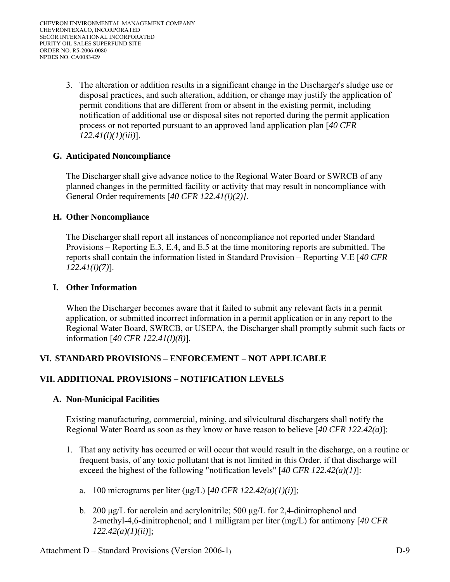3. The alteration or addition results in a significant change in the Discharger's sludge use or disposal practices, and such alteration, addition, or change may justify the application of permit conditions that are different from or absent in the existing permit, including notification of additional use or disposal sites not reported during the permit application process or not reported pursuant to an approved land application plan [*40 CFR 122.41(l)(1)(iii)*].

### **G. Anticipated Noncompliance**

The Discharger shall give advance notice to the Regional Water Board or SWRCB of any planned changes in the permitted facility or activity that may result in noncompliance with General Order requirements [*40 CFR 122.41(l)(2)].*

### **H. Other Noncompliance**

The Discharger shall report all instances of noncompliance not reported under Standard Provisions – Reporting E.3, E.4, and E.5 at the time monitoring reports are submitted. The reports shall contain the information listed in Standard Provision – Reporting V.E [*40 CFR 122.41(l)(7)*].

## **I. Other Information**

When the Discharger becomes aware that it failed to submit any relevant facts in a permit application, or submitted incorrect information in a permit application or in any report to the Regional Water Board, SWRCB, or USEPA, the Discharger shall promptly submit such facts or information [*40 CFR 122.41(l)(8)*].

## **VI. STANDARD PROVISIONS – ENFORCEMENT – NOT APPLICABLE**

## **VII. ADDITIONAL PROVISIONS – NOTIFICATION LEVELS**

### **A. Non-Municipal Facilities**

Existing manufacturing, commercial, mining, and silvicultural dischargers shall notify the Regional Water Board as soon as they know or have reason to believe [*40 CFR 122.42(a)*]:

- 1. That any activity has occurred or will occur that would result in the discharge, on a routine or frequent basis, of any toxic pollutant that is not limited in this Order, if that discharge will exceed the highest of the following "notification levels" [*40 CFR 122.42(a)(1)*]:
	- a. 100 micrograms per liter (μg/L) [*40 CFR 122.42(a)(1)(i)*];
	- b. 200 μg/L for acrolein and acrylonitrile; 500 μg/L for 2,4-dinitrophenol and 2-methyl-4,6-dinitrophenol; and 1 milligram per liter (mg/L) for antimony [*40 CFR 122.42(a)(1)(ii)*];

Attachment D – Standard Provisions (Version 2006-1) D-9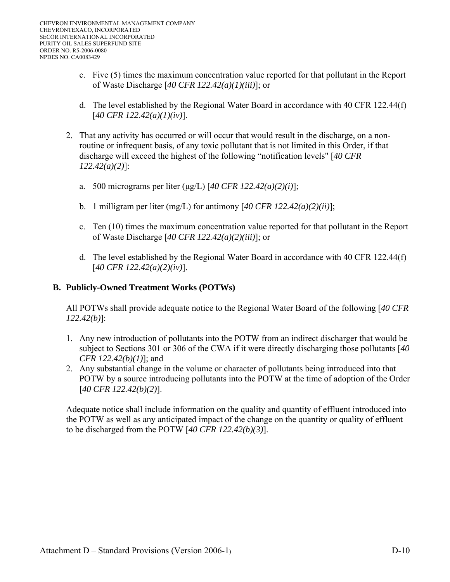- c. Five (5) times the maximum concentration value reported for that pollutant in the Report of Waste Discharge [*40 CFR 122.42(a)(1)(iii)*]; or
- d. The level established by the Regional Water Board in accordance with 40 CFR 122.44(f) [*40 CFR 122.42(a)(1)(iv)*].
- 2. That any activity has occurred or will occur that would result in the discharge, on a nonroutine or infrequent basis, of any toxic pollutant that is not limited in this Order, if that discharge will exceed the highest of the following "notification levels" [*40 CFR 122.42(a)(2)*]:
	- a. 500 micrograms per liter (μg/L) [*40 CFR 122.42(a)(2)(i)*];
	- b. 1 milligram per liter (mg/L) for antimony  $[40 \text{ CFR } 122.42(a)(2)(ii)]$ ;
	- c. Ten (10) times the maximum concentration value reported for that pollutant in the Report of Waste Discharge [*40 CFR 122.42(a)(2)(iii)*]; or
	- d. The level established by the Regional Water Board in accordance with 40 CFR 122.44(f) [*40 CFR 122.42(a)(2)(iv)*].

#### **B. Publicly-Owned Treatment Works (POTWs)**

 All POTWs shall provide adequate notice to the Regional Water Board of the following [*40 CFR 122.42(b)*]:

- 1. Any new introduction of pollutants into the POTW from an indirect discharger that would be subject to Sections 301 or 306 of the CWA if it were directly discharging those pollutants [*40 CFR 122.42(b)(1)*]; and
- 2. Any substantial change in the volume or character of pollutants being introduced into that POTW by a source introducing pollutants into the POTW at the time of adoption of the Order [*40 CFR 122.42(b)(2)*].

Adequate notice shall include information on the quality and quantity of effluent introduced into the POTW as well as any anticipated impact of the change on the quantity or quality of effluent to be discharged from the POTW [*40 CFR 122.42(b)(3)*].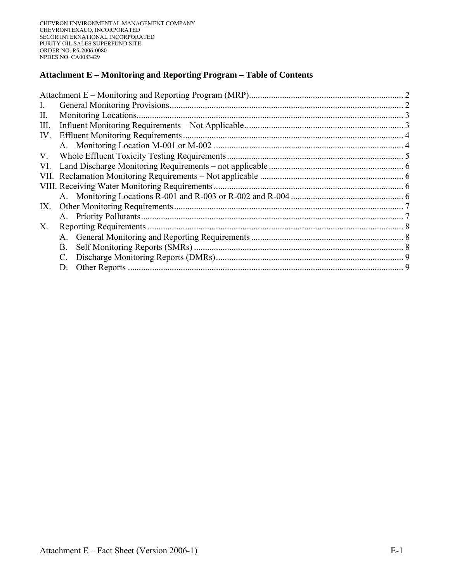# **Attachment E – Monitoring and Reporting Program – Table of Contents**

| $\mathbf{L}$ |                                               |  |
|--------------|-----------------------------------------------|--|
| П.           |                                               |  |
| III.         |                                               |  |
| IV.          |                                               |  |
|              |                                               |  |
| V.           |                                               |  |
| VI.          |                                               |  |
|              |                                               |  |
|              | VIII. Receiving Water Monitoring Requirements |  |
|              |                                               |  |
| IX.          |                                               |  |
|              |                                               |  |
| Х.           |                                               |  |
|              |                                               |  |
|              | B.                                            |  |
|              |                                               |  |
|              |                                               |  |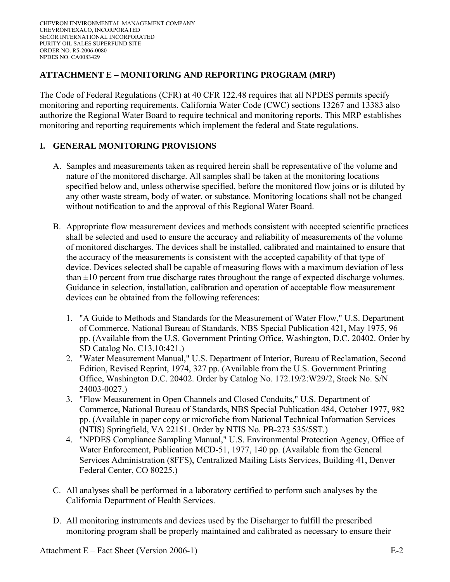# <span id="page-37-0"></span>**ATTACHMENT E – MONITORING AND REPORTING PROGRAM (MRP)**

The Code of Federal Regulations (CFR) at 40 CFR 122.48 requires that all NPDES permits specify monitoring and reporting requirements. California Water Code (CWC) sections 13267 and 13383 also authorize the Regional Water Board to require technical and monitoring reports. This MRP establishes monitoring and reporting requirements which implement the federal and State regulations.

# **I. GENERAL MONITORING PROVISIONS**

- A. Samples and measurements taken as required herein shall be representative of the volume and nature of the monitored discharge. All samples shall be taken at the monitoring locations specified below and, unless otherwise specified, before the monitored flow joins or is diluted by any other waste stream, body of water, or substance. Monitoring locations shall not be changed without notification to and the approval of this Regional Water Board.
- B. Appropriate flow measurement devices and methods consistent with accepted scientific practices shall be selected and used to ensure the accuracy and reliability of measurements of the volume of monitored discharges. The devices shall be installed, calibrated and maintained to ensure that the accuracy of the measurements is consistent with the accepted capability of that type of device. Devices selected shall be capable of measuring flows with a maximum deviation of less than  $\pm 10$  percent from true discharge rates throughout the range of expected discharge volumes. Guidance in selection, installation, calibration and operation of acceptable flow measurement devices can be obtained from the following references:
	- 1. "A Guide to Methods and Standards for the Measurement of Water Flow," U.S. Department of Commerce, National Bureau of Standards, NBS Special Publication 421, May 1975, 96 pp. (Available from the U.S. Government Printing Office, Washington, D.C. 20402. Order by SD Catalog No. C13.10:421.)
	- 2. "Water Measurement Manual," U.S. Department of Interior, Bureau of Reclamation, Second Edition, Revised Reprint, 1974, 327 pp. (Available from the U.S. Government Printing Office, Washington D.C. 20402. Order by Catalog No. 172.19/2:W29/2, Stock No. S/N 24003-0027.)
	- 3. "Flow Measurement in Open Channels and Closed Conduits," U.S. Department of Commerce, National Bureau of Standards, NBS Special Publication 484, October 1977, 982 pp. (Available in paper copy or microfiche from National Technical Information Services (NTIS) Springfield, VA 22151. Order by NTIS No. PB-273 535/5ST.)
	- 4. "NPDES Compliance Sampling Manual," U.S. Environmental Protection Agency, Office of Water Enforcement, Publication MCD-51, 1977, 140 pp. (Available from the General Services Administration (8FFS), Centralized Mailing Lists Services, Building 41, Denver Federal Center, CO 80225.)
- C. All analyses shall be performed in a laboratory certified to perform such analyses by the California Department of Health Services.
- D. All monitoring instruments and devices used by the Discharger to fulfill the prescribed monitoring program shall be properly maintained and calibrated as necessary to ensure their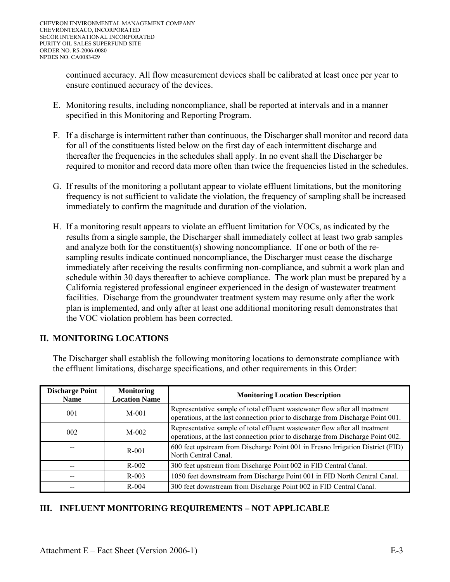<span id="page-38-0"></span>continued accuracy. All flow measurement devices shall be calibrated at least once per year to ensure continued accuracy of the devices.

- E. Monitoring results, including noncompliance, shall be reported at intervals and in a manner specified in this Monitoring and Reporting Program.
- F. If a discharge is intermittent rather than continuous, the Discharger shall monitor and record data for all of the constituents listed below on the first day of each intermittent discharge and thereafter the frequencies in the schedules shall apply. In no event shall the Discharger be required to monitor and record data more often than twice the frequencies listed in the schedules.
- G. If results of the monitoring a pollutant appear to violate effluent limitations, but the monitoring frequency is not sufficient to validate the violation, the frequency of sampling shall be increased immediately to confirm the magnitude and duration of the violation.
- H. If a monitoring result appears to violate an effluent limitation for VOCs, as indicated by the results from a single sample, the Discharger shall immediately collect at least two grab samples and analyze both for the constituent(s) showing noncompliance. If one or both of the resampling results indicate continued noncompliance, the Discharger must cease the discharge immediately after receiving the results confirming non-compliance, and submit a work plan and schedule within 30 days thereafter to achieve compliance. The work plan must be prepared by a California registered professional engineer experienced in the design of wastewater treatment facilities. Discharge from the groundwater treatment system may resume only after the work plan is implemented, and only after at least one additional monitoring result demonstrates that the VOC violation problem has been corrected.

# **II. MONITORING LOCATIONS**

The Discharger shall establish the following monitoring locations to demonstrate compliance with the effluent limitations, discharge specifications, and other requirements in this Order:

| <b>Discharge Point</b><br><b>Name</b> | <b>Monitoring</b><br><b>Location Name</b> | <b>Monitoring Location Description</b>                                                                                                                         |
|---------------------------------------|-------------------------------------------|----------------------------------------------------------------------------------------------------------------------------------------------------------------|
| 001                                   | $M-001$                                   | Representative sample of total effluent wastewater flow after all treatment<br>operations, at the last connection prior to discharge from Discharge Point 001. |
| 002                                   | $M-002$                                   | Representative sample of total effluent wastewater flow after all treatment<br>operations, at the last connection prior to discharge from Discharge Point 002. |
| --<br>$R - 001$                       |                                           | 600 feet upstream from Discharge Point 001 in Fresno Irrigation District (FID)<br>North Central Canal.                                                         |
| --                                    | $R-002$                                   | 300 feet upstream from Discharge Point 002 in FID Central Canal.                                                                                               |
| --                                    | $R-003$                                   | 1050 feet downstream from Discharge Point 001 in FID North Central Canal.                                                                                      |
| $R - 004$<br>--                       |                                           | 300 feet downstream from Discharge Point 002 in FID Central Canal.                                                                                             |

# **III. INFLUENT MONITORING REQUIREMENTS – NOT APPLICABLE**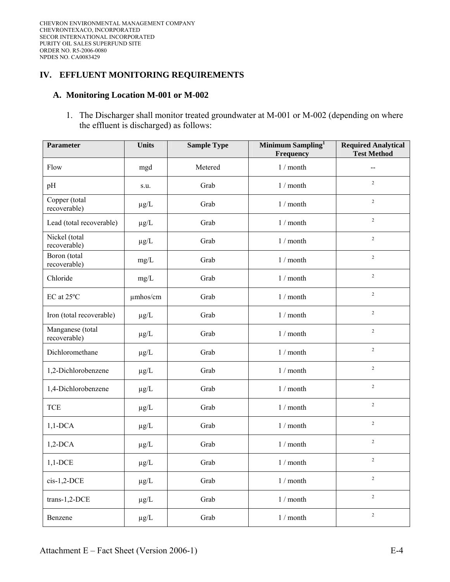# <span id="page-39-0"></span>**IV. EFFLUENT MONITORING REQUIREMENTS**

#### **A. Monitoring Location M-001 or M-002**

1. The Discharger shall monitor treated groundwater at M-001 or M-002 (depending on where the effluent is discharged) as follows:

| <b>Parameter</b>                 | <b>Units</b> | <b>Sample Type</b> | Minimum Sampling <sup>1</sup><br>Frequency | <b>Required Analytical</b><br><b>Test Method</b> |
|----------------------------------|--------------|--------------------|--------------------------------------------|--------------------------------------------------|
| Flow                             | mgd          | Metered            | $1/m$ onth                                 | $\overline{\phantom{a}}$                         |
| pH                               | S.U.         | Grab               | $1/m$ onth                                 | $\overline{c}$                                   |
| Copper (total<br>recoverable)    | $\mu$ g/L    | Grab               | $1/m$ onth                                 | $\overline{2}$                                   |
| Lead (total recoverable)         | $\mu g/L$    | Grab               | $1/m$ onth                                 | $\overline{c}$                                   |
| Nickel (total<br>recoverable)    | $\mu$ g/L    | Grab               | $1/m$ onth                                 | $\sqrt{2}$                                       |
| Boron (total<br>recoverable)     | mg/L         | Grab               | $1/m$ onth                                 | $\sqrt{2}$                                       |
| Chloride                         | mg/L         | Grab               | $1/m$ onth                                 | $\overline{2}$                                   |
| EC at 25°C                       | umhos/cm     | Grab               | $1/m$ onth                                 | $\overline{2}$                                   |
| Iron (total recoverable)         | $\mu$ g/L    | Grab               | $1/m$ onth                                 | $\overline{2}$                                   |
| Manganese (total<br>recoverable) | $\mu g/L$    | Grab               | $1/m$ onth                                 | $\overline{2}$                                   |
| Dichloromethane                  | $\mu g/L$    | Grab               | $1/m$ onth                                 | $\sqrt{2}$                                       |
| 1,2-Dichlorobenzene<br>$\mu g/L$ |              | Grab               | $1 /$ month                                | $\overline{2}$                                   |
| 1,4-Dichlorobenzene              | $\mu g/L$    | Grab               | $1/m$ onth                                 | $\overline{c}$                                   |
| <b>TCE</b>                       | $\mu g/L$    | Grab               | $1/m$ onth                                 | $\overline{c}$                                   |
| $1,1$ -DCA                       | $\mu$ g/L    | Grab               | $1/m$ onth                                 | $\overline{2}$                                   |
| $1,2$ -DCA                       | $\mu$ g/L    | Grab               | $1/m$ onth                                 | $\overline{c}$                                   |
| $1,1$ -DCE<br>$\mu g/L$          |              | Grab               | $1/m$ onth                                 | $\overline{c}$                                   |
| $cis-1,2-DCE$<br>$\mu g/L$       |              | Grab               | $1/m$ onth                                 | $\overline{c}$                                   |
| trans-1,2-DCE                    | $\mu g/L$    | Grab               | $1 /$ month                                | $\overline{c}$                                   |
| Benzene                          | $\mu g/L$    | Grab               | $1 /$ month                                | $\sqrt{2}$                                       |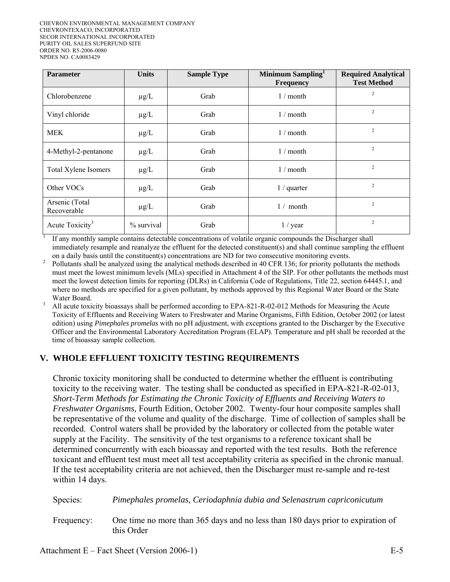1

<span id="page-40-0"></span>

| <b>Parameter</b>              | <b>Units</b> | <b>Sample Type</b> | Minimum Sampling <sup>1</sup><br>Frequency | <b>Required Analytical</b><br><b>Test Method</b> |
|-------------------------------|--------------|--------------------|--------------------------------------------|--------------------------------------------------|
| Chlorobenzene                 | $\mu$ g/L    | Grab               | $1/m$ onth                                 | $\overline{c}$                                   |
| Vinyl chloride                | $\mu$ g/L    | Grab               | $1/m$ onth                                 | $\overline{c}$                                   |
| <b>MEK</b>                    | $\mu$ g/L    | Grab               | $1/m$ onth                                 | $\overline{c}$                                   |
| 4-Methyl-2-pentanone          | $\mu$ g/L    | Grab               | $1/m$ onth                                 | $\overline{c}$                                   |
| Total Xylene Isomers          | $\mu g/L$    | Grab               | $1/m$ onth                                 | $\overline{c}$                                   |
| Other VOCs                    | $\mu$ g/L    | Grab               | $1/$ quarter                               | $\overline{c}$                                   |
| Arsenic (Total<br>Recoverable | $\mu$ g/L    | Grab               | $1/$ month                                 | $\overline{c}$                                   |
| Acute Toxicity <sup>3</sup>   | % survival   | Grab               | 1 / year                                   | $\overline{c}$                                   |

 If any monthly sample contains detectable concentrations of volatile organic compounds the Discharger shall immediately resample and reanalyze the effluent for the detected constituent(s) and shall continue sampling the effluent on a daily basis until the constituent(s) concentrations are ND for two consecutive monitoring events. 2

 Pollutants shall be analyzed using the analytical methods described in 40 CFR 136; for priority pollutants the methods must meet the lowest minimum levels (MLs) specified in Attachment 4 of the SIP. For other pollutants the methods must meet the lowest detection limits for reporting (DLRs) in California Code of Regulations, Title 22, section 64445.1, and where no methods are specified for a given pollutant, by methods approved by this Regional Water Board or the State Water Board.

 All acute toxicity bioassays shall be performed according to EPA-821-R-02-012 Methods for Measuring the Acute Toxicity of Effluents and Receiving Waters to Freshwater and Marine Organisms, Fifth Edition, October 2002 (or latest edition) using *Pimephales promelas* with no pH adjustment, with exceptions granted to the Discharger by the Executive Officer and the Environmental Laboratory Accreditation Program (ELAP). Temperature and pH shall be recorded at the time of bioassay sample collection.

# **V. WHOLE EFFLUENT TOXICITY TESTING REQUIREMENTS**

Chronic toxicity monitoring shall be conducted to determine whether the effluent is contributing toxicity to the receiving water. The testing shall be conducted as specified in EPA-821-R-02-013*, Short-Term Methods for Estimating the Chronic Toxicity of Effluents and Receiving Waters to Freshwater Organisms,* Fourth Edition, October 2002. Twenty-four hour composite samples shall be representative of the volume and quality of the discharge. Time of collection of samples shall be recorded. Control waters shall be provided by the laboratory or collected from the potable water supply at the Facility. The sensitivity of the test organisms to a reference toxicant shall be determined concurrently with each bioassay and reported with the test results. Both the reference toxicant and effluent test must meet all test acceptability criteria as specified in the chronic manual. If the test acceptability criteria are not achieved, then the Discharger must re-sample and re-test within 14 days.

Species: *Pimephales promelas, Ceriodaphnia dubia and Selenastrum capriconicutum*  Frequency: One time no more than 365 days and no less than 180 days prior to expiration of this Order

Attachment E – Fact Sheet (Version 2006-1) E-5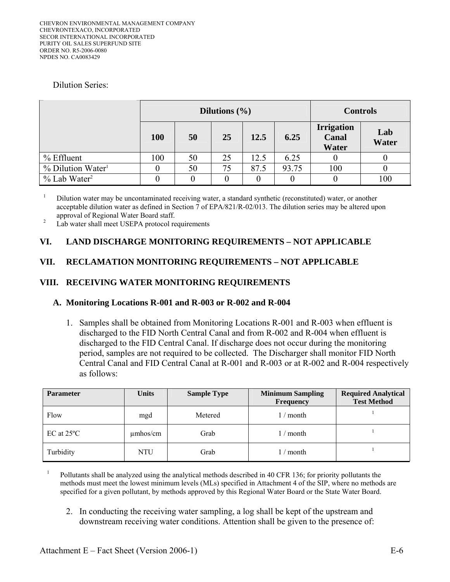#### <span id="page-41-0"></span>Dilution Series:

|                               | Dilutions $(\% )$ |    |    | <b>Controls</b> |       |                                     |              |
|-------------------------------|-------------------|----|----|-----------------|-------|-------------------------------------|--------------|
|                               | <b>100</b>        | 50 | 25 | 12.5            | 6.25  | <b>Irrigation</b><br>Canal<br>Water | Lab<br>Water |
| $%$ Effluent                  | 100               | 50 | 25 | 12.5            | 6.25  |                                     |              |
| % Dilution Water <sup>1</sup> |                   | 50 | 75 | 87.5            | 93.75 | 100                                 |              |
| $%$ Lab Water <sup>2</sup>    |                   |    |    | 0               |       |                                     | 100          |

1 Dilution water may be uncontaminated receiving water, a standard synthetic (reconstituted) water, or another acceptable dilution water as defined in Section 7 of EPA/821/R-02/013. The dilution series may be altered upon approval of Regional Water Board staff.<br>
<sup>2</sup> Lab water shall meet USEPA protocol re

Lab water shall meet USEPA protocol requirements

#### **VI. LAND DISCHARGE MONITORING REQUIREMENTS – NOT APPLICABLE**

#### **VII. RECLAMATION MONITORING REQUIREMENTS – NOT APPLICABLE**

#### **VIII. RECEIVING WATER MONITORING REQUIREMENTS**

#### **A. Monitoring Locations R-001 and R-003 or R-002 and R-004**

1. Samples shall be obtained from Monitoring Locations R-001 and R-003 when effluent is discharged to the FID North Central Canal and from R-002 and R-004 when effluent is discharged to the FID Central Canal. If discharge does not occur during the monitoring period, samples are not required to be collected. The Discharger shall monitor FID North Central Canal and FID Central Canal at R-001 and R-003 or at R-002 and R-004 respectively as follows:

| <b>Parameter</b>     | <b>Units</b>  | <b>Sample Type</b> | <b>Minimum Sampling</b><br><b>Frequency</b> | <b>Required Analytical</b><br><b>Test Method</b> |
|----------------------|---------------|--------------------|---------------------------------------------|--------------------------------------------------|
| Flow                 | mgd           | Metered            | month                                       |                                                  |
| EC at $25^{\circ}$ C | $\mu$ mhos/cm | Grab               | month                                       |                                                  |
| Turbidity            | NTU           | Grab               | month                                       |                                                  |

1 Pollutants shall be analyzed using the analytical methods described in 40 CFR 136; for priority pollutants the methods must meet the lowest minimum levels (MLs) specified in Attachment 4 of the SIP, where no methods are specified for a given pollutant, by methods approved by this Regional Water Board or the State Water Board.

2. In conducting the receiving water sampling, a log shall be kept of the upstream and downstream receiving water conditions. Attention shall be given to the presence of: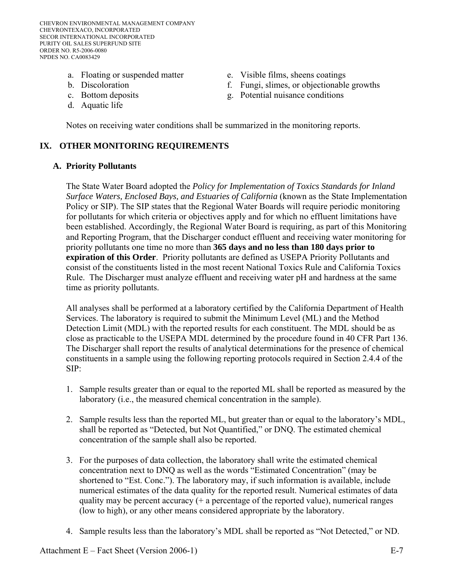- <span id="page-42-0"></span>a. Floating or suspended matter
- b. Discoloration
- c. Bottom deposits
- d. Aquatic life
- e. Visible films, sheens coatings
- f. Fungi, slimes, or objectionable growths
- g. Potential nuisance conditions

Notes on receiving water conditions shall be summarized in the monitoring reports.

#### **IX. OTHER MONITORING REQUIREMENTS**

#### **A. Priority Pollutants**

The State Water Board adopted the *Policy for Implementation of Toxics Standards for Inland Surface Waters, Enclosed Bays, and Estuaries of California* (known as the State Implementation Policy or SIP). The SIP states that the Regional Water Boards will require periodic monitoring for pollutants for which criteria or objectives apply and for which no effluent limitations have been established. Accordingly, the Regional Water Board is requiring, as part of this Monitoring and Reporting Program, that the Discharger conduct effluent and receiving water monitoring for priority pollutants one time no more than **365 days and no less than 180 days prior to expiration of this Order**. Priority pollutants are defined as USEPA Priority Pollutants and consist of the constituents listed in the most recent National Toxics Rule and California Toxics Rule. The Discharger must analyze effluent and receiving water pH and hardness at the same time as priority pollutants.

All analyses shall be performed at a laboratory certified by the California Department of Health Services. The laboratory is required to submit the Minimum Level (ML) and the Method Detection Limit (MDL) with the reported results for each constituent. The MDL should be as close as practicable to the USEPA MDL determined by the procedure found in 40 CFR Part 136. The Discharger shall report the results of analytical determinations for the presence of chemical constituents in a sample using the following reporting protocols required in Section 2.4.4 of the SIP:

- 1. Sample results greater than or equal to the reported ML shall be reported as measured by the laboratory (i.e., the measured chemical concentration in the sample).
- 2. Sample results less than the reported ML, but greater than or equal to the laboratory's MDL, shall be reported as "Detected, but Not Quantified," or DNQ. The estimated chemical concentration of the sample shall also be reported.
- 3. For the purposes of data collection, the laboratory shall write the estimated chemical concentration next to DNQ as well as the words "Estimated Concentration" (may be shortened to "Est. Conc."). The laboratory may, if such information is available, include numerical estimates of the data quality for the reported result. Numerical estimates of data quality may be percent accuracy (+ a percentage of the reported value), numerical ranges (low to high), or any other means considered appropriate by the laboratory.
- 4. Sample results less than the laboratory's MDL shall be reported as "Not Detected," or ND.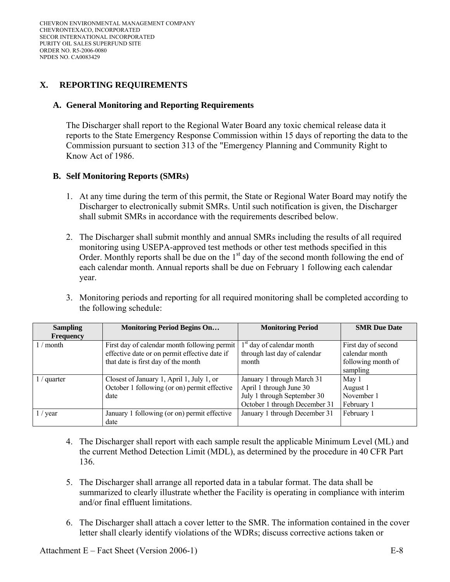# <span id="page-43-0"></span>**X. REPORTING REQUIREMENTS**

#### **A. General Monitoring and Reporting Requirements**

The Discharger shall report to the Regional Water Board any toxic chemical release data it reports to the State Emergency Response Commission within 15 days of reporting the data to the Commission pursuant to section 313 of the "Emergency Planning and Community Right to Know Act of 1986.

#### **B. Self Monitoring Reports (SMRs)**

- 1. At any time during the term of this permit, the State or Regional Water Board may notify the Discharger to electronically submit SMRs. Until such notification is given, the Discharger shall submit SMRs in accordance with the requirements described below.
- 2. The Discharger shall submit monthly and annual SMRs including the results of all required monitoring using USEPA-approved test methods or other test methods specified in this Order. Monthly reports shall be due on the  $1<sup>st</sup>$  day of the second month following the end of each calendar month. Annual reports shall be due on February 1 following each calendar year.
- 3. Monitoring periods and reporting for all required monitoring shall be completed according to the following schedule:

| <b>Sampling</b>  | <b>Monitoring Period Begins On</b>            | <b>Monitoring Period</b>              | <b>SMR</b> Due Date |
|------------------|-----------------------------------------------|---------------------------------------|---------------------|
| <b>Frequency</b> |                                               |                                       |                     |
| month            | First day of calendar month following permit  | 1 <sup>st</sup> day of calendar month | First day of second |
|                  | effective date or on permit effective date if | through last day of calendar          | calendar month      |
|                  | that date is first day of the month           | month                                 | following month of  |
|                  |                                               |                                       | sampling            |
| $1/$ quarter     | Closest of January 1, April 1, July 1, or     | January 1 through March 31            | May 1               |
|                  | October 1 following (or on) permit effective  | April 1 through June 30               | August 1            |
|                  | date                                          | July 1 through September 30           | November 1          |
|                  |                                               | October 1 through December 31         | February 1          |
| 1 / year         | January 1 following (or on) permit effective  | January 1 through December 31         | February 1          |
|                  | date                                          |                                       |                     |

- 4. The Discharger shall report with each sample result the applicable Minimum Level (ML) and the current Method Detection Limit (MDL), as determined by the procedure in 40 CFR Part 136.
- 5. The Discharger shall arrange all reported data in a tabular format. The data shall be summarized to clearly illustrate whether the Facility is operating in compliance with interim and/or final effluent limitations.
- 6. The Discharger shall attach a cover letter to the SMR. The information contained in the cover letter shall clearly identify violations of the WDRs; discuss corrective actions taken or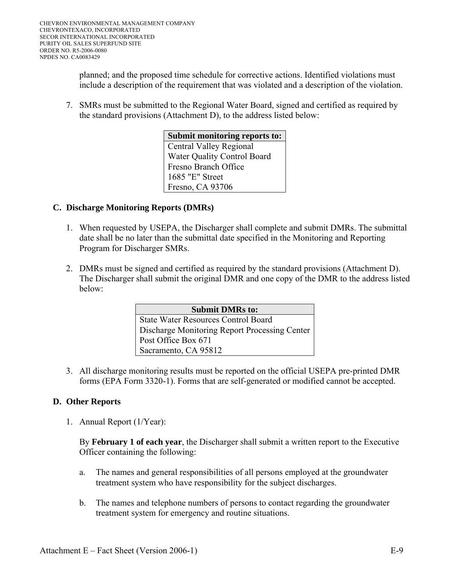<span id="page-44-0"></span>planned; and the proposed time schedule for corrective actions. Identified violations must include a description of the requirement that was violated and a description of the violation.

7. SMRs must be submitted to the Regional Water Board, signed and certified as required by the standard provisions (Attachment D), to the address listed below:

| Submit monitoring reports to:      |
|------------------------------------|
| <b>Central Valley Regional</b>     |
| <b>Water Quality Control Board</b> |
| Fresno Branch Office               |
| 1685 "E" Street                    |
| Fresno, CA 93706                   |

#### **C. Discharge Monitoring Reports (DMRs)**

- 1. When requested by USEPA, the Discharger shall complete and submit DMRs. The submittal date shall be no later than the submittal date specified in the Monitoring and Reporting Program for Discharger SMRs.
- 2. DMRs must be signed and certified as required by the standard provisions (Attachment D). The Discharger shall submit the original DMR and one copy of the DMR to the address listed below:

| <b>Submit DMRs to:</b>                        |
|-----------------------------------------------|
| <b>State Water Resources Control Board</b>    |
| Discharge Monitoring Report Processing Center |
| Post Office Box 671                           |
| Sacramento, CA 95812                          |

3. All discharge monitoring results must be reported on the official USEPA pre-printed DMR forms (EPA Form 3320-1). Forms that are self-generated or modified cannot be accepted.

#### **D. Other Reports**

1. Annual Report (1/Year):

By **February 1 of each year**, the Discharger shall submit a written report to the Executive Officer containing the following:

- a. The names and general responsibilities of all persons employed at the groundwater treatment system who have responsibility for the subject discharges.
- b. The names and telephone numbers of persons to contact regarding the groundwater treatment system for emergency and routine situations.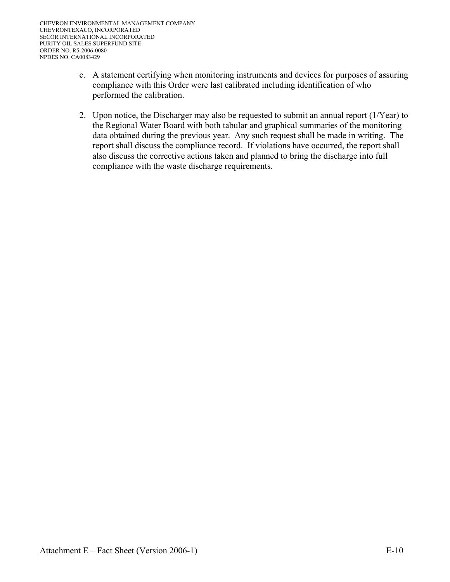- c. A statement certifying when monitoring instruments and devices for purposes of assuring compliance with this Order were last calibrated including identification of who performed the calibration.
- 2. Upon notice, the Discharger may also be requested to submit an annual report (1/Year) to the Regional Water Board with both tabular and graphical summaries of the monitoring data obtained during the previous year. Any such request shall be made in writing. The report shall discuss the compliance record. If violations have occurred, the report shall also discuss the corrective actions taken and planned to bring the discharge into full compliance with the waste discharge requirements.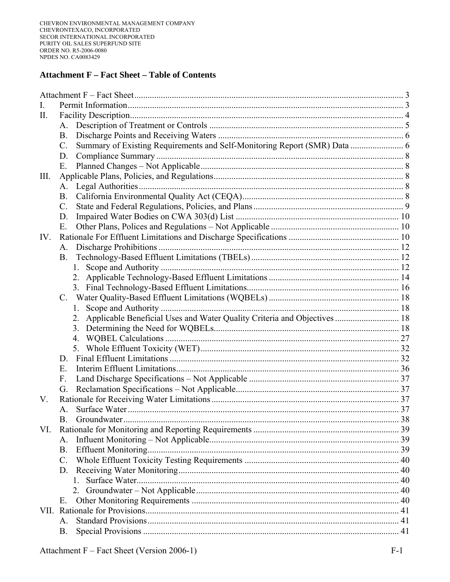# **Attachment F** – Fact Sheet – Table of Contents

| I.  |                                                                                              |  |
|-----|----------------------------------------------------------------------------------------------|--|
| П.  |                                                                                              |  |
|     |                                                                                              |  |
|     | B.                                                                                           |  |
|     | Summary of Existing Requirements and Self-Monitoring Report (SMR) Data  6<br>$\mathcal{C}$ . |  |
|     | D.                                                                                           |  |
|     | E.                                                                                           |  |
| Ш.  |                                                                                              |  |
|     | A.                                                                                           |  |
|     | <b>B</b> .                                                                                   |  |
|     | $\mathcal{C}$ .                                                                              |  |
|     | D.                                                                                           |  |
|     | Ε.                                                                                           |  |
| IV. |                                                                                              |  |
|     | A.                                                                                           |  |
|     | <b>B.</b>                                                                                    |  |
|     |                                                                                              |  |
|     |                                                                                              |  |
|     |                                                                                              |  |
|     |                                                                                              |  |
|     | 1.                                                                                           |  |
|     | Applicable Beneficial Uses and Water Quality Criteria and Objectives  18<br>2.               |  |
|     |                                                                                              |  |
|     | 4.                                                                                           |  |
|     | 5.                                                                                           |  |
|     | D.                                                                                           |  |
|     | E.                                                                                           |  |
|     | F.                                                                                           |  |
|     | G.                                                                                           |  |
| V.  |                                                                                              |  |
|     | A.                                                                                           |  |
|     | <b>B.</b>                                                                                    |  |
| VI. |                                                                                              |  |
|     | A.                                                                                           |  |
|     | Effluent Monitoring.<br><b>B.</b>                                                            |  |
|     | $\mathbf{C}$ .                                                                               |  |
|     | D.                                                                                           |  |
|     |                                                                                              |  |
|     |                                                                                              |  |
|     | Е.                                                                                           |  |
|     |                                                                                              |  |
|     | $A_{\cdot}$                                                                                  |  |
|     | Β.                                                                                           |  |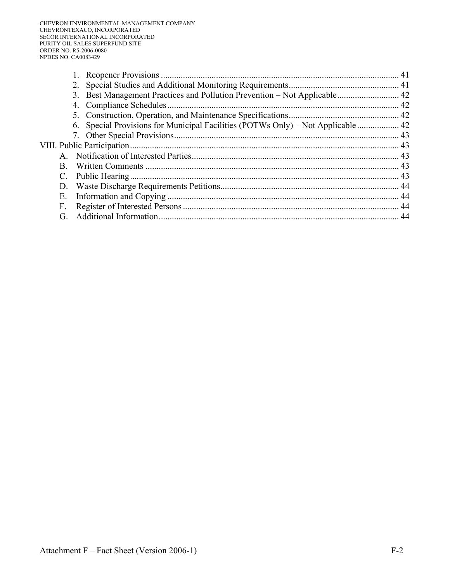| 3. Best Management Practices and Pollution Prevention – Not Applicable 42        |  |
|----------------------------------------------------------------------------------|--|
|                                                                                  |  |
|                                                                                  |  |
| 6. Special Provisions for Municipal Facilities (POTWs Only) – Not Applicable  42 |  |
|                                                                                  |  |
|                                                                                  |  |
|                                                                                  |  |
| B.                                                                               |  |
| C.                                                                               |  |
| D.                                                                               |  |
| E.                                                                               |  |
| $F_{\cdot}$                                                                      |  |
| G.                                                                               |  |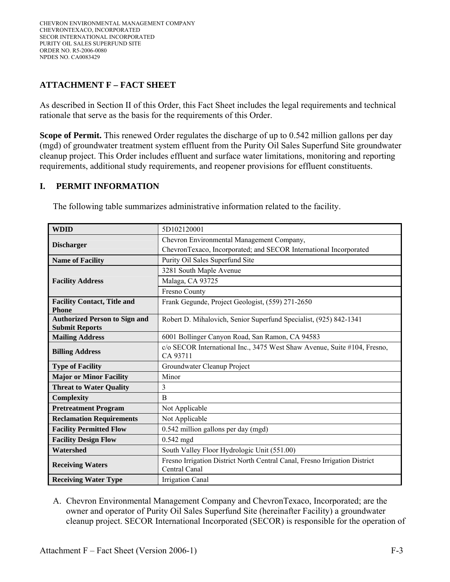# <span id="page-48-0"></span>**ATTACHMENT F – FACT SHEET**

As described in Section II of this Order, this Fact Sheet includes the legal requirements and technical rationale that serve as the basis for the requirements of this Order.

**Scope of Permit.** This renewed Order regulates the discharge of up to 0.542 million gallons per day (mgd) of groundwater treatment system effluent from the Purity Oil Sales Superfund Site groundwater cleanup project. This Order includes effluent and surface water limitations, monitoring and reporting requirements, additional study requirements, and reopener provisions for effluent constituents.

# **I. PERMIT INFORMATION**

The following table summarizes administrative information related to the facility.

| <b>WDID</b>                                                   | 5D102120001                                                                                 |
|---------------------------------------------------------------|---------------------------------------------------------------------------------------------|
|                                                               | Chevron Environmental Management Company,                                                   |
| <b>Discharger</b>                                             | ChevronTexaco, Incorporated; and SECOR International Incorporated                           |
| <b>Name of Facility</b>                                       | Purity Oil Sales Superfund Site                                                             |
|                                                               | 3281 South Maple Avenue                                                                     |
| <b>Facility Address</b>                                       | Malaga, CA 93725                                                                            |
|                                                               | Fresno County                                                                               |
| <b>Facility Contact, Title and</b><br><b>Phone</b>            | Frank Gegunde, Project Geologist, (559) 271-2650                                            |
| <b>Authorized Person to Sign and</b><br><b>Submit Reports</b> | Robert D. Mihalovich, Senior Superfund Specialist, (925) 842-1341                           |
| <b>Mailing Address</b>                                        | 6001 Bollinger Canyon Road, San Ramon, CA 94583                                             |
| <b>Billing Address</b>                                        | c/o SECOR International Inc., 3475 West Shaw Avenue, Suite #104, Fresno,<br>CA 93711        |
| <b>Type of Facility</b>                                       | Groundwater Cleanup Project                                                                 |
| <b>Major or Minor Facility</b>                                | Minor                                                                                       |
| <b>Threat to Water Quality</b>                                | 3                                                                                           |
| Complexity                                                    | B                                                                                           |
| <b>Pretreatment Program</b>                                   | Not Applicable                                                                              |
| <b>Reclamation Requirements</b>                               | Not Applicable                                                                              |
| <b>Facility Permitted Flow</b>                                | 0.542 million gallons per day (mgd)                                                         |
| <b>Facility Design Flow</b>                                   | $0.542$ mgd                                                                                 |
| Watershed                                                     | South Valley Floor Hydrologic Unit (551.00)                                                 |
| <b>Receiving Waters</b>                                       | Fresno Irrigation District North Central Canal, Fresno Irrigation District<br>Central Canal |
| <b>Receiving Water Type</b>                                   | <b>Irrigation Canal</b>                                                                     |

A. Chevron Environmental Management Company and ChevronTexaco, Incorporated; are the owner and operator of Purity Oil Sales Superfund Site (hereinafter Facility) a groundwater cleanup project. SECOR International Incorporated (SECOR) is responsible for the operation of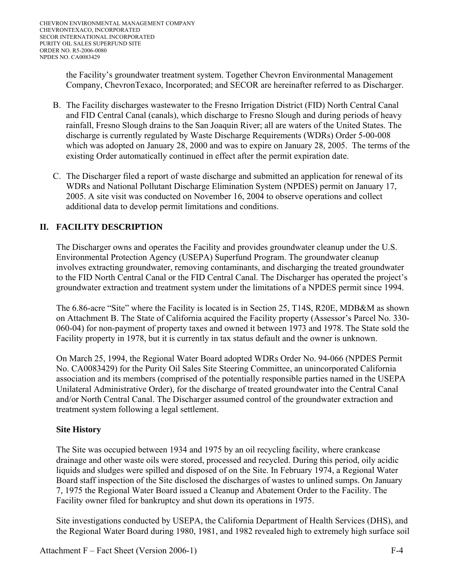<span id="page-49-0"></span>the Facility's groundwater treatment system. Together Chevron Environmental Management Company, ChevronTexaco, Incorporated; and SECOR are hereinafter referred to as Discharger.

- B. The Facility discharges wastewater to the Fresno Irrigation District (FID) North Central Canal and FID Central Canal (canals), which discharge to Fresno Slough and during periods of heavy rainfall, Fresno Slough drains to the San Joaquin River; all are waters of the United States. The discharge is currently regulated by Waste Discharge Requirements (WDRs) Order 5-00-008 which was adopted on January 28, 2000 and was to expire on January 28, 2005. The terms of the existing Order automatically continued in effect after the permit expiration date.
- C. The Discharger filed a report of waste discharge and submitted an application for renewal of its WDRs and National Pollutant Discharge Elimination System (NPDES) permit on January 17, 2005. A site visit was conducted on November 16, 2004 to observe operations and collect additional data to develop permit limitations and conditions.

# **II. FACILITY DESCRIPTION**

The Discharger owns and operates the Facility and provides groundwater cleanup under the U.S. Environmental Protection Agency (USEPA) Superfund Program. The groundwater cleanup involves extracting groundwater, removing contaminants, and discharging the treated groundwater to the FID North Central Canal or the FID Central Canal. The Discharger has operated the project's groundwater extraction and treatment system under the limitations of a NPDES permit since 1994.

The 6.86-acre "Site" where the Facility is located is in Section 25, T14S, R20E, MDB&M as shown on Attachment B. The State of California acquired the Facility property (Assessor's Parcel No. 330- 060-04) for non-payment of property taxes and owned it between 1973 and 1978. The State sold the Facility property in 1978, but it is currently in tax status default and the owner is unknown.

On March 25, 1994, the Regional Water Board adopted WDRs Order No. 94-066 (NPDES Permit No. CA0083429) for the Purity Oil Sales Site Steering Committee, an unincorporated California association and its members (comprised of the potentially responsible parties named in the USEPA Unilateral Administrative Order), for the discharge of treated groundwater into the Central Canal and/or North Central Canal. The Discharger assumed control of the groundwater extraction and treatment system following a legal settlement.

#### **Site History**

The Site was occupied between 1934 and 1975 by an oil recycling facility, where crankcase drainage and other waste oils were stored, processed and recycled. During this period, oily acidic liquids and sludges were spilled and disposed of on the Site. In February 1974, a Regional Water Board staff inspection of the Site disclosed the discharges of wastes to unlined sumps. On January 7, 1975 the Regional Water Board issued a Cleanup and Abatement Order to the Facility. The Facility owner filed for bankruptcy and shut down its operations in 1975.

Site investigations conducted by USEPA, the California Department of Health Services (DHS), and the Regional Water Board during 1980, 1981, and 1982 revealed high to extremely high surface soil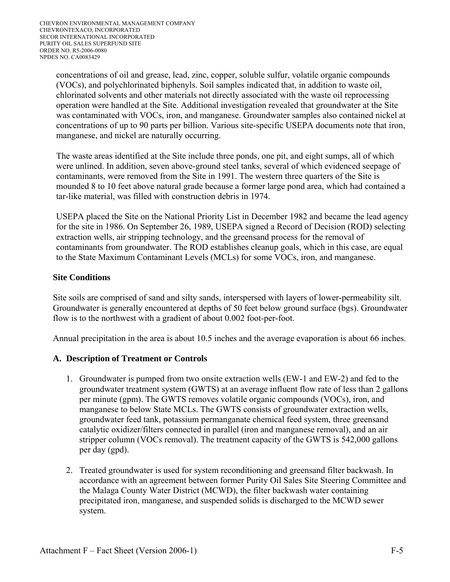<span id="page-50-0"></span>concentrations of oil and grease, lead, zinc, copper, soluble sulfur, volatile organic compounds (VOCs), and polychlorinated biphenyls. Soil samples indicated that, in addition to waste oil, chlorinated solvents and other materials not directly associated with the waste oil reprocessing operation were handled at the Site. Additional investigation revealed that groundwater at the Site was contaminated with VOCs, iron, and manganese. Groundwater samples also contained nickel at concentrations of up to 90 parts per billion. Various site-specific USEPA documents note that iron, manganese, and nickel are naturally occurring.

The waste areas identified at the Site include three ponds, one pit, and eight sumps, all of which were unlined. In addition, seven above-ground steel tanks, several of which evidenced seepage of contaminants, were removed from the Site in 1991. The western three quarters of the Site is mounded 8 to 10 feet above natural grade because a former large pond area, which had contained a tar-like material, was filled with construction debris in 1974.

USEPA placed the Site on the National Priority List in December 1982 and became the lead agency for the site in 1986. On September 26, 1989, USEPA signed a Record of Decision (ROD) selecting extraction wells, air stripping technology, and the greensand process for the removal of contaminants from groundwater. The ROD establishes cleanup goals, which in this case, are equal to the State Maximum Contaminant Levels (MCLs) for some VOCs, iron, and manganese.

#### **Site Conditions**

Site soils are comprised of sand and silty sands, interspersed with layers of lower-permeability silt. Groundwater is generally encountered at depths of 50 feet below ground surface (bgs). Groundwater flow is to the northwest with a gradient of about 0.002 foot-per-foot.

Annual precipitation in the area is about 10.5 inches and the average evaporation is about 66 inches.

#### **A. Description of Treatment or Controls**

- 1. Groundwater is pumped from two onsite extraction wells (EW-1 and EW-2) and fed to the groundwater treatment system (GWTS) at an average influent flow rate of less than 2 gallons per minute (gpm). The GWTS removes volatile organic compounds (VOCs), iron, and manganese to below State MCLs. The GWTS consists of groundwater extraction wells, groundwater feed tank, potassium permanganate chemical feed system, three greensand catalytic oxidizer/filters connected in parallel (iron and manganese removal), and an air stripper column (VOCs removal). The treatment capacity of the GWTS is 542,000 gallons per day (gpd).
- 2. Treated groundwater is used for system reconditioning and greensand filter backwash. In accordance with an agreement between former Purity Oil Sales Site Steering Committee and the Malaga County Water District (MCWD), the filter backwash water containing precipitated iron, manganese, and suspended solids is discharged to the MCWD sewer system.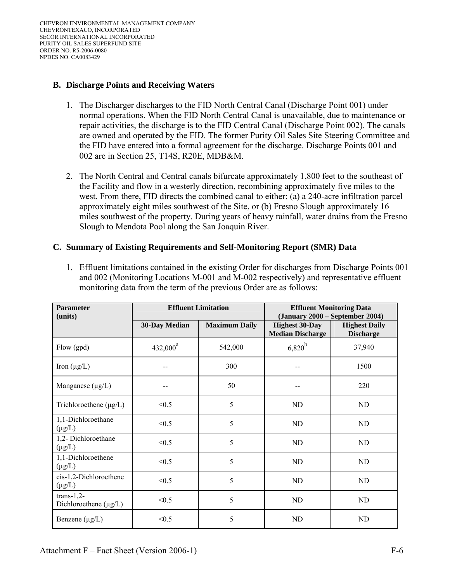#### <span id="page-51-0"></span>**B. Discharge Points and Receiving Waters**

- 1. The Discharger discharges to the FID North Central Canal (Discharge Point 001) under normal operations. When the FID North Central Canal is unavailable, due to maintenance or repair activities, the discharge is to the FID Central Canal (Discharge Point 002). The canals are owned and operated by the FID. The former Purity Oil Sales Site Steering Committee and the FID have entered into a formal agreement for the discharge. Discharge Points 001 and 002 are in Section 25, T14S, R20E, MDB&M.
- 2. The North Central and Central canals bifurcate approximately 1,800 feet to the southeast of the Facility and flow in a westerly direction, recombining approximately five miles to the west. From there, FID directs the combined canal to either: (a) a 240-acre infiltration parcel approximately eight miles southwest of the Site, or (b) Fresno Slough approximately 16 miles southwest of the property. During years of heavy rainfall, water drains from the Fresno Slough to Mendota Pool along the San Joaquin River.

#### **C. Summary of Existing Requirements and Self-Monitoring Report (SMR) Data**

1. Effluent limitations contained in the existing Order for discharges from Discharge Points 001 and 002 (Monitoring Locations M-001 and M-002 respectively) and representative effluent monitoring data from the term of the previous Order are as follows:

| <b>Parameter</b><br>(units)                  | <b>Effluent Limitation</b> |                      |                                                  | <b>Effluent Monitoring Data</b><br>(January 2000 – September 2004) |
|----------------------------------------------|----------------------------|----------------------|--------------------------------------------------|--------------------------------------------------------------------|
|                                              | 30-Day Median              | <b>Maximum Daily</b> | <b>Highest 30-Day</b><br><b>Median Discharge</b> | <b>Highest Daily</b><br><b>Discharge</b>                           |
| Flow (gpd)                                   | $432,000^a$                | 542,000              | $6,820^{b}$                                      | 37,940                                                             |
| Iron $(\mu g/L)$                             | --                         | 300                  |                                                  | 1500                                                               |
| Manganese $(\mu g/L)$                        |                            | 50                   |                                                  | 220                                                                |
| Trichloroethene $(\mu g/L)$                  | < 0.5                      | 5                    | ND                                               | ND                                                                 |
| 1,1-Dichloroethane<br>$(\mu g/L)$            | < 0.5                      | 5                    | ND                                               | ND                                                                 |
| 1,2- Dichloroethane<br>$(\mu g/L)$           | < 0.5                      | 5                    | ND                                               | ND                                                                 |
| 1,1-Dichloroethene<br>$(\mu g/L)$            | < 0.5                      | 5                    | ND                                               | ND                                                                 |
| cis-1,2-Dichloroethene<br>$(\mu g/L)$        | < 0.5                      | 5                    | ND                                               | ND                                                                 |
| trans- $1,2$ -<br>Dichloroethene $(\mu g/L)$ | < 0.5                      | 5                    | ND                                               | ND                                                                 |
| Benzene $(\mu g/L)$                          | < 0.5                      | 5                    | ND                                               | ND                                                                 |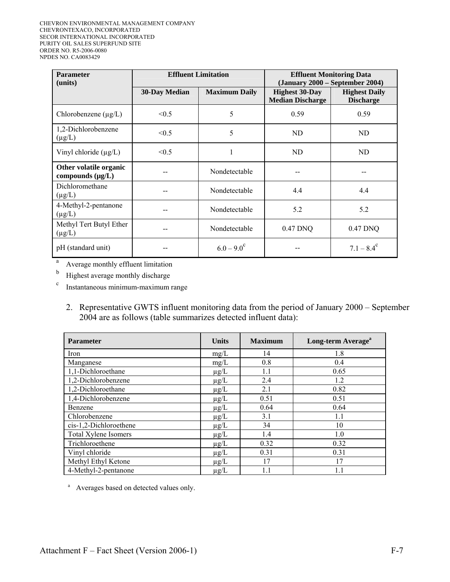CHEVRON ENVIRONMENTAL MANAGEMENT COMPANY CHEVRONTEXACO, INCORPORATED SECOR INTERNATIONAL INCORPORATED PURITY OIL SALES SUPERFUND SITE ORDER NO. R5-2006-0080 NPDES NO. CA0083429

| <b>Parameter</b><br>(units)                     |               | <b>Effluent Limitation</b> | <b>Effluent Monitoring Data</b><br>(January 2000 – September 2004) |                                          |  |  |  |
|-------------------------------------------------|---------------|----------------------------|--------------------------------------------------------------------|------------------------------------------|--|--|--|
|                                                 | 30-Day Median | <b>Maximum Daily</b>       | <b>Highest 30-Day</b><br><b>Median Discharge</b>                   | <b>Highest Daily</b><br><b>Discharge</b> |  |  |  |
| Chlorobenzene $(\mu g/L)$                       | < 0.5         | 5                          | 0.59                                                               | 0.59                                     |  |  |  |
| 1,2-Dichlorobenzene<br>$(\mu g/L)$              | < 0.5         | 5                          | ND                                                                 | ND                                       |  |  |  |
| Vinyl chloride $(\mu g/L)$                      | < 0.5         |                            | ND                                                                 | ND                                       |  |  |  |
| Other volatile organic<br>compounds $(\mu g/L)$ | --            | Nondetectable              |                                                                    |                                          |  |  |  |
| Dichloromethane<br>$(\mu g/L)$                  |               | Nondetectable              | 4.4                                                                | 4.4                                      |  |  |  |
| 4-Methyl-2-pentanone<br>$(\mu g/L)$             |               | Nondetectable              | 5.2                                                                | 5.2                                      |  |  |  |
| Methyl Tert Butyl Ether<br>$(\mu g/L)$          |               | Nondetectable              | 0.47 DNQ                                                           | 0.47 DNQ                                 |  |  |  |
| pH (standard unit)                              |               | $6.0 - 9.0^{\circ}$        |                                                                    | $7.1 - 8.4^{\circ}$                      |  |  |  |

<sup>a</sup> Average monthly effluent limitation<br> $\frac{b}{c}$  Highert suggese monthly disclosed

b Highest average monthly discharge<br> $\frac{c}{c}$  Instantaneous minimum-maximum range

2. Representative GWTS influent monitoring data from the period of January 2000 – September 2004 are as follows (table summarizes detected influent data):

| <b>Parameter</b>            | <b>Units</b> | <b>Maximum</b> | Long-term Average <sup>a</sup> |
|-----------------------------|--------------|----------------|--------------------------------|
| Iron                        | mg/L         | 14             | 1.8                            |
| Manganese                   | mg/L         | 0.8            | 0.4                            |
| 1,1-Dichloroethane          | $\mu$ g/L    | 1.1            | 0.65                           |
| 1,2-Dichlorobenzene         | $\mu$ g/L    | 2.4            | 1.2                            |
| 1,2-Dichloroethane          | $\mu$ g/L    | 2.1            | 0.82                           |
| 1,4-Dichlorobenzene         | $\mu$ g/L    | 0.51           | 0.51                           |
| Benzene                     | $\mu$ g/L    | 0.64           | 0.64                           |
| Chlorobenzene               | $\mu$ g/L    | 3.1            | 1.1                            |
| cis-1,2-Dichloroethene      | $\mu$ g/L    | 34             | 10                             |
| <b>Total Xylene Isomers</b> | $\mu$ g/L    | 1.4            | 1.0                            |
| Trichloroethene             | $\mu$ g/L    | 0.32           | 0.32                           |
| Vinyl chloride              | $\mu$ g/L    | 0.31           | 0.31                           |
| Methyl Ethyl Ketone         | $\mu$ g/L    | 17             | 17                             |
| 4-Methyl-2-pentanone        | $\mu$ g/L    | 1.1            | 1.1                            |

<sup>a</sup> Averages based on detected values only.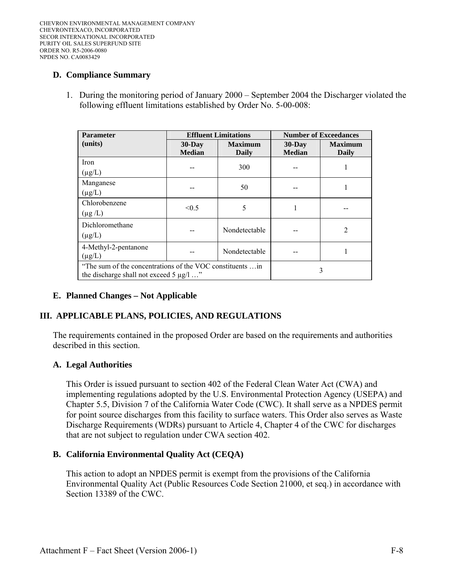#### <span id="page-53-0"></span>**D. Compliance Summary**

 1. During the monitoring period of January 2000 – September 2004 the Discharger violated the following effluent limitations established by Order No. 5-00-008:

| <b>Parameter</b>                                           |               | <b>Effluent Limitations</b> | <b>Number of Exceedances</b> |                |  |  |
|------------------------------------------------------------|---------------|-----------------------------|------------------------------|----------------|--|--|
| (units)                                                    | $30$ -Day     | <b>Maximum</b>              | $30$ -Day                    | <b>Maximum</b> |  |  |
|                                                            | <b>Median</b> | Daily                       | <b>Median</b>                | Daily          |  |  |
| Iron                                                       |               | 300                         |                              |                |  |  |
| $(\mu g/L)$                                                |               |                             |                              |                |  |  |
| Manganese                                                  |               | 50                          |                              |                |  |  |
| $(\mu g/L)$                                                |               |                             |                              |                |  |  |
| Chlorobenzene                                              | < 0.5         |                             |                              |                |  |  |
| $(\mu g/L)$                                                |               | 5                           |                              |                |  |  |
| Dichloromethane                                            |               |                             |                              |                |  |  |
| $(\mu g/L)$                                                |               | Nondetectable               |                              | 2              |  |  |
| 4-Methyl-2-pentanone                                       |               | Nondetectable               |                              |                |  |  |
| $(\mu g/L)$                                                |               |                             |                              |                |  |  |
| "The sum of the concentrations of the VOC constituents  in |               |                             |                              | 3              |  |  |
| the discharge shall not exceed 5 $\mu$ g/l "               |               |                             |                              |                |  |  |

#### **E. Planned Changes – Not Applicable**

#### **III. APPLICABLE PLANS, POLICIES, AND REGULATIONS**

The requirements contained in the proposed Order are based on the requirements and authorities described in this section.

#### **A. Legal Authorities**

This Order is issued pursuant to section 402 of the Federal Clean Water Act (CWA) and implementing regulations adopted by the U.S. Environmental Protection Agency (USEPA) and Chapter 5.5, Division 7 of the California Water Code (CWC). It shall serve as a NPDES permit for point source discharges from this facility to surface waters. This Order also serves as Waste Discharge Requirements (WDRs) pursuant to Article 4, Chapter 4 of the CWC for discharges that are not subject to regulation under CWA section 402.

#### **B. California Environmental Quality Act (CEQA)**

This action to adopt an NPDES permit is exempt from the provisions of the California Environmental Quality Act (Public Resources Code Section 21000, et seq.) in accordance with Section 13389 of the CWC.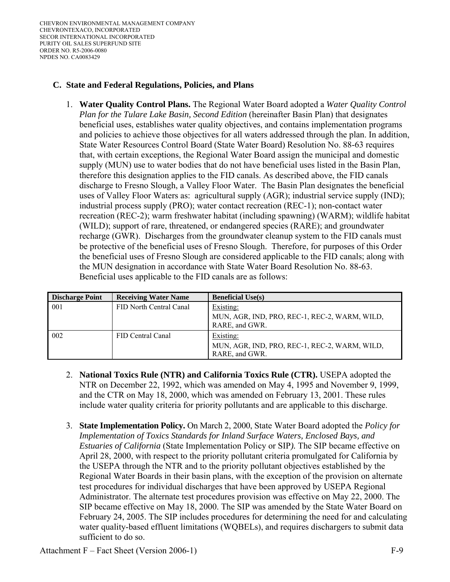<span id="page-54-0"></span>CHEVRON ENVIRONMENTAL MANAGEMENT COMPANY CHEVRONTEXACO, INCORPORATED SECOR INTERNATIONAL INCORPORATED PURITY OIL SALES SUPERFUND SITE ORDER NO. R5-2006-0080 NPDES NO. CA0083429

#### **C. State and Federal Regulations, Policies, and Plans**

 1. **Water Quality Control Plans.** The Regional Water Board adopted a *Water Quality Control Plan for the Tulare Lake Basin, Second Edition* (hereinafter Basin Plan) that designates beneficial uses, establishes water quality objectives, and contains implementation programs and policies to achieve those objectives for all waters addressed through the plan. In addition, State Water Resources Control Board (State Water Board) Resolution No. 88-63 requires that, with certain exceptions, the Regional Water Board assign the municipal and domestic supply (MUN) use to water bodies that do not have beneficial uses listed in the Basin Plan, therefore this designation applies to the FID canals. As described above, the FID canals discharge to Fresno Slough, a Valley Floor Water. The Basin Plan designates the beneficial uses of Valley Floor Waters as: agricultural supply (AGR); industrial service supply (IND); industrial process supply (PRO); water contact recreation (REC-1); non-contact water recreation (REC-2); warm freshwater habitat (including spawning) (WARM); wildlife habitat (WILD); support of rare, threatened, or endangered species (RARE); and groundwater recharge (GWR). Discharges from the groundwater cleanup system to the FID canals must be protective of the beneficial uses of Fresno Slough. Therefore, for purposes of this Order the beneficial uses of Fresno Slough are considered applicable to the FID canals; along with the MUN designation in accordance with State Water Board Resolution No. 88-63. Beneficial uses applicable to the FID canals are as follows:

| <b>Discharge Point</b> | <b>Receiving Water Name</b> | <b>Beneficial Use(s)</b>                                                     |
|------------------------|-----------------------------|------------------------------------------------------------------------------|
| 001                    | FID North Central Canal     | Existing:                                                                    |
|                        |                             | MUN, AGR, IND, PRO, REC-1, REC-2, WARM, WILD,<br>RARE, and GWR.              |
| 002                    | FID Central Canal           | Existing:<br>MUN, AGR, IND, PRO, REC-1, REC-2, WARM, WILD,<br>RARE, and GWR. |

- 2. **National Toxics Rule (NTR) and California Toxics Rule (CTR).** USEPA adopted the NTR on December 22, 1992, which was amended on May 4, 1995 and November 9, 1999, and the CTR on May 18, 2000, which was amended on February 13, 2001. These rules include water quality criteria for priority pollutants and are applicable to this discharge.
- 3. **State Implementation Policy.** On March 2, 2000, State Water Board adopted the *Policy for Implementation of Toxics Standards for Inland Surface Waters, Enclosed Bays, and Estuaries of California* (State Implementation Policy or SIP*).* The SIP became effective on April 28, 2000, with respect to the priority pollutant criteria promulgated for California by the USEPA through the NTR and to the priority pollutant objectives established by the Regional Water Boards in their basin plans, with the exception of the provision on alternate test procedures for individual discharges that have been approved by USEPA Regional Administrator. The alternate test procedures provision was effective on May 22, 2000. The SIP became effective on May 18, 2000. The SIP was amended by the State Water Board on February 24, 2005. The SIP includes procedures for determining the need for and calculating water quality-based effluent limitations (WQBELs), and requires dischargers to submit data sufficient to do so.

Attachment F – Fact Sheet (Version 2006-1) F-9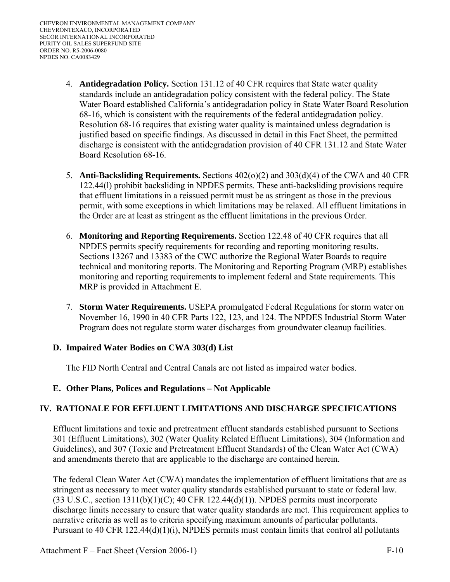- <span id="page-55-0"></span>4. **Antidegradation Policy.** Section 131.12 of 40 CFR requires that State water quality standards include an antidegradation policy consistent with the federal policy. The State Water Board established California's antidegradation policy in State Water Board Resolution 68-16, which is consistent with the requirements of the federal antidegradation policy. Resolution 68-16 requires that existing water quality is maintained unless degradation is justified based on specific findings. As discussed in detail in this Fact Sheet, the permitted discharge is consistent with the antidegradation provision of 40 CFR 131.12 and State Water Board Resolution 68-16.
- 5. **Anti-Backsliding Requirements.** Sections 402(o)(2) and 303(d)(4) of the CWA and 40 CFR 122.44(l) prohibit backsliding in NPDES permits. These anti-backsliding provisions require that effluent limitations in a reissued permit must be as stringent as those in the previous permit, with some exceptions in which limitations may be relaxed. All effluent limitations in the Order are at least as stringent as the effluent limitations in the previous Order.
- 6. **Monitoring and Reporting Requirements.** Section 122.48 of 40 CFR requires that all NPDES permits specify requirements for recording and reporting monitoring results. Sections 13267 and 13383 of the CWC authorize the Regional Water Boards to require technical and monitoring reports. The Monitoring and Reporting Program (MRP) establishes monitoring and reporting requirements to implement federal and State requirements. This MRP is provided in Attachment E.
- 7. **Storm Water Requirements.** USEPA promulgated Federal Regulations for storm water on November 16, 1990 in 40 CFR Parts 122, 123, and 124. The NPDES Industrial Storm Water Program does not regulate storm water discharges from groundwater cleanup facilities.

#### **D. Impaired Water Bodies on CWA 303(d) List**

The FID North Central and Central Canals are not listed as impaired water bodies.

# **E. Other Plans, Polices and Regulations – Not Applicable**

# **IV. RATIONALE FOR EFFLUENT LIMITATIONS AND DISCHARGE SPECIFICATIONS**

Effluent limitations and toxic and pretreatment effluent standards established pursuant to Sections 301 (Effluent Limitations), 302 (Water Quality Related Effluent Limitations), 304 (Information and Guidelines), and 307 (Toxic and Pretreatment Effluent Standards) of the Clean Water Act (CWA) and amendments thereto that are applicable to the discharge are contained herein.

The federal Clean Water Act (CWA) mandates the implementation of effluent limitations that are as stringent as necessary to meet water quality standards established pursuant to state or federal law.  $(33 \text{ U.S.C.}, \text{section } 1311(b)(1)(C); 40 \text{ CFR } 122.44(d)(1)).$  NPDES permits must incorporate discharge limits necessary to ensure that water quality standards are met. This requirement applies to narrative criteria as well as to criteria specifying maximum amounts of particular pollutants. Pursuant to 40 CFR 122.44(d)(1)(i), NPDES permits must contain limits that control all pollutants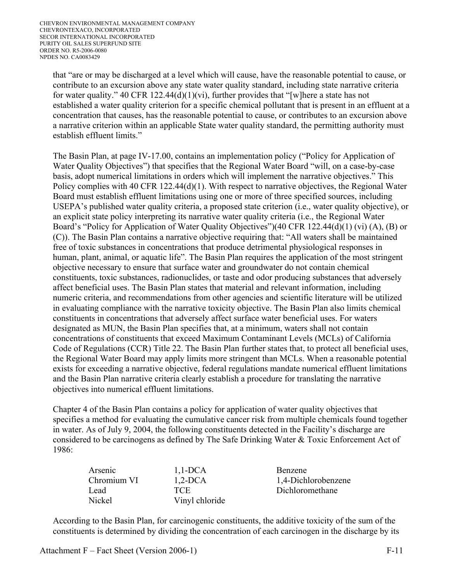that "are or may be discharged at a level which will cause, have the reasonable potential to cause, or contribute to an excursion above any state water quality standard, including state narrative criteria for water quality." 40 CFR 122.44(d)(1)(vi), further provides that "[w]here a state has not established a water quality criterion for a specific chemical pollutant that is present in an effluent at a concentration that causes, has the reasonable potential to cause, or contributes to an excursion above a narrative criterion within an applicable State water quality standard, the permitting authority must establish effluent limits."

 The Basin Plan, at page IV-17.00, contains an implementation policy ("Policy for Application of Water Quality Objectives") that specifies that the Regional Water Board "will, on a case-by-case basis, adopt numerical limitations in orders which will implement the narrative objectives." This Policy complies with 40 CFR 122.44(d)(1). With respect to narrative objectives, the Regional Water Board must establish effluent limitations using one or more of three specified sources, including USEPA's published water quality criteria, a proposed state criterion (i.e., water quality objective), or an explicit state policy interpreting its narrative water quality criteria (i.e., the Regional Water Board's "Policy for Application of Water Quality Objectives")(40 CFR 122.44(d)(1) (vi) (A), (B) or (C)). The Basin Plan contains a narrative objective requiring that: "All waters shall be maintained free of toxic substances in concentrations that produce detrimental physiological responses in human, plant, animal, or aquatic life". The Basin Plan requires the application of the most stringent objective necessary to ensure that surface water and groundwater do not contain chemical constituents, toxic substances, radionuclides, or taste and odor producing substances that adversely affect beneficial uses. The Basin Plan states that material and relevant information, including numeric criteria, and recommendations from other agencies and scientific literature will be utilized in evaluating compliance with the narrative toxicity objective. The Basin Plan also limits chemical constituents in concentrations that adversely affect surface water beneficial uses. For waters designated as MUN, the Basin Plan specifies that, at a minimum, waters shall not contain concentrations of constituents that exceed Maximum Contaminant Levels (MCLs) of California Code of Regulations (CCR) Title 22. The Basin Plan further states that, to protect all beneficial uses, the Regional Water Board may apply limits more stringent than MCLs. When a reasonable potential exists for exceeding a narrative objective, federal regulations mandate numerical effluent limitations and the Basin Plan narrative criteria clearly establish a procedure for translating the narrative objectives into numerical effluent limitations.

Chapter 4 of the Basin Plan contains a policy for application of water quality objectives that specifies a method for evaluating the cumulative cancer risk from multiple chemicals found together in water. As of July 9, 2004, the following constituents detected in the Facility's discharge are considered to be carcinogens as defined by The Safe Drinking Water & Toxic Enforcement Act of 1986:

| Arsenic     | $1,1$ -DCA     | Benzene             |
|-------------|----------------|---------------------|
| Chromium VI | $1,2-DCA$      | 1,4-Dichlorobenzene |
| Lead        | TCE.           | Dichloromethane     |
| Nickel      | Vinyl chloride |                     |

According to the Basin Plan, for carcinogenic constituents, the additive toxicity of the sum of the constituents is determined by dividing the concentration of each carcinogen in the discharge by its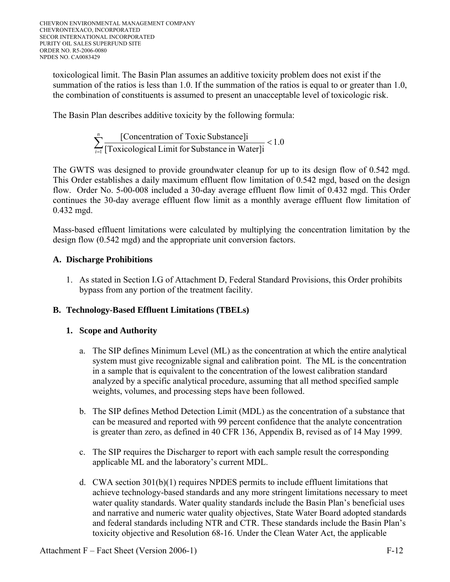<span id="page-57-0"></span>toxicological limit. The Basin Plan assumes an additive toxicity problem does not exist if the summation of the ratios is less than 1.0. If the summation of the ratios is equal to or greater than 1.0, the combination of constituents is assumed to present an unacceptable level of toxicologic risk.

The Basin Plan describes additive toxicity by the following formula:

$$
\sum_{i=1}^{n} \frac{[Concentration of Toxic Substance]i}{[Toxicological Limit for Substance in Water]i} < 1.0
$$

The GWTS was designed to provide groundwater cleanup for up to its design flow of 0.542 mgd. This Order establishes a daily maximum effluent flow limitation of 0.542 mgd, based on the design flow. Order No. 5-00-008 included a 30-day average effluent flow limit of 0.432 mgd. This Order continues the 30-day average effluent flow limit as a monthly average effluent flow limitation of 0.432 mgd.

Mass-based effluent limitations were calculated by multiplying the concentration limitation by the design flow (0.542 mgd) and the appropriate unit conversion factors.

# **A. Discharge Prohibitions**

1. As stated in Section I.G of Attachment D, Federal Standard Provisions, this Order prohibits bypass from any portion of the treatment facility.

# **B. Technology-Based Effluent Limitations (TBELs)**

# **1. Scope and Authority**

- a. The SIP defines Minimum Level (ML) as the concentration at which the entire analytical system must give recognizable signal and calibration point. The ML is the concentration in a sample that is equivalent to the concentration of the lowest calibration standard analyzed by a specific analytical procedure, assuming that all method specified sample weights, volumes, and processing steps have been followed.
- b. The SIP defines Method Detection Limit (MDL) as the concentration of a substance that can be measured and reported with 99 percent confidence that the analyte concentration is greater than zero, as defined in 40 CFR 136, Appendix B, revised as of 14 May 1999.
- c. The SIP requires the Discharger to report with each sample result the corresponding applicable ML and the laboratory's current MDL.
- d. CWA section 301(b)(1) requires NPDES permits to include effluent limitations that achieve technology-based standards and any more stringent limitations necessary to meet water quality standards. Water quality standards include the Basin Plan's beneficial uses and narrative and numeric water quality objectives, State Water Board adopted standards and federal standards including NTR and CTR. These standards include the Basin Plan's toxicity objective and Resolution 68-16. Under the Clean Water Act, the applicable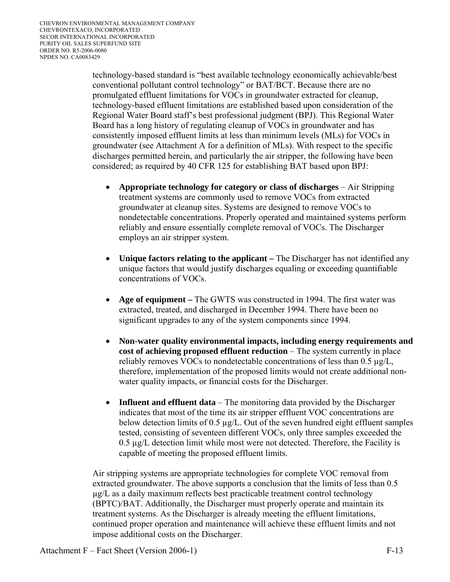technology-based standard is "best available technology economically achievable/best conventional pollutant control technology" or BAT/BCT. Because there are no promulgated effluent limitations for VOCs in groundwater extracted for cleanup, technology-based effluent limitations are established based upon consideration of the Regional Water Board staff's best professional judgment (BPJ). This Regional Water Board has a long history of regulating cleanup of VOCs in groundwater and has consistently imposed effluent limits at less than minimum levels (MLs) for VOCs in groundwater (see Attachment A for a definition of MLs). With respect to the specific discharges permitted herein, and particularly the air stripper, the following have been considered; as required by 40 CFR 125 for establishing BAT based upon BPJ:

- **Appropriate technology for category or class of discharges** Air Stripping treatment systems are commonly used to remove VOCs from extracted groundwater at cleanup sites. Systems are designed to remove VOCs to nondetectable concentrations. Properly operated and maintained systems perform reliably and ensure essentially complete removal of VOCs. The Discharger employs an air stripper system.
- **Unique factors relating to the applicant** The Discharger has not identified any unique factors that would justify discharges equaling or exceeding quantifiable concentrations of VOCs.
- **Age of equipment** The GWTS was constructed in 1994. The first water was extracted, treated, and discharged in December 1994. There have been no significant upgrades to any of the system components since 1994.
- **Non-water quality environmental impacts, including energy requirements and cost of achieving proposed effluent reduction** – The system currently in place reliably removes VOCs to nondetectable concentrations of less than 0.5 µg/L, therefore, implementation of the proposed limits would not create additional nonwater quality impacts, or financial costs for the Discharger.
- **Influent and effluent data** The monitoring data provided by the Discharger indicates that most of the time its air stripper effluent VOC concentrations are below detection limits of 0.5 µg/L. Out of the seven hundred eight effluent samples tested, consisting of seventeen different VOCs, only three samples exceeded the 0.5 µg/L detection limit while most were not detected. Therefore, the Facility is capable of meeting the proposed effluent limits.

Air stripping systems are appropriate technologies for complete VOC removal from extracted groundwater. The above supports a conclusion that the limits of less than 0.5 µg/L as a daily maximum reflects best practicable treatment control technology (BPTC)/BAT. Additionally, the Discharger must properly operate and maintain its treatment systems. As the Discharger is already meeting the effluent limitations, continued proper operation and maintenance will achieve these effluent limits and not impose additional costs on the Discharger.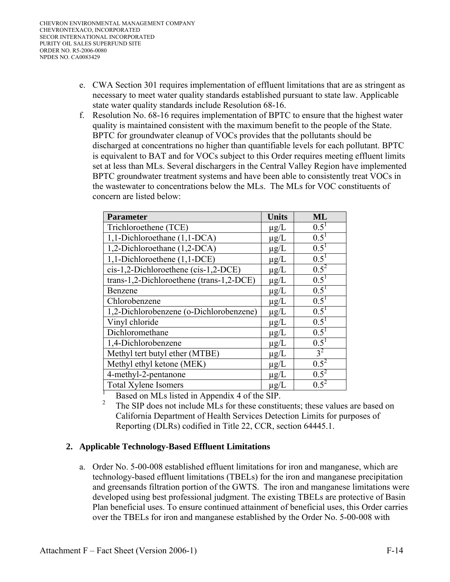- <span id="page-59-0"></span> e. CWA Section 301 requires implementation of effluent limitations that are as stringent as necessary to meet water quality standards established pursuant to state law. Applicable state water quality standards include Resolution 68-16.
- f. Resolution No. 68-16 requires implementation of BPTC to ensure that the highest water quality is maintained consistent with the maximum benefit to the people of the State. BPTC for groundwater cleanup of VOCs provides that the pollutants should be discharged at concentrations no higher than quantifiable levels for each pollutant. BPTC is equivalent to BAT and for VOCs subject to this Order requires meeting effluent limits set at less than MLs. Several dischargers in the Central Valley Region have implemented BPTC groundwater treatment systems and have been able to consistently treat VOCs in the wastewater to concentrations below the MLs. The MLs for VOC constituents of concern are listed below:

| <b>Parameter</b>                              | <b>Units</b> | ML        |
|-----------------------------------------------|--------------|-----------|
| Trichloroethene (TCE)                         | $\mu$ g/L    | $0.5^1$   |
| 1,1-Dichloroethane (1,1-DCA)                  | $\mu$ g/L    | $0.5^{1}$ |
| 1,2-Dichloroethane (1,2-DCA)                  | $\mu$ g/L    | $0.5^{1}$ |
| 1,1-Dichloroethene (1,1-DCE)                  | $\mu$ g/L    | $0.5^1$   |
| cis-1,2-Dichloroethene (cis-1,2-DCE)          | $\mu$ g/L    | $0.5^2$   |
| trans-1,2-Dichloroethene (trans-1,2-DCE)      | $\mu$ g/L    | $0.5^{1}$ |
| Benzene                                       | $\mu$ g/L    | $0.5^1$   |
| Chlorobenzene                                 | $\mu$ g/L    | $0.5^1$   |
| 1,2-Dichlorobenzene (o-Dichlorobenzene)       | $\mu$ g/L    | $0.5^1$   |
| Vinyl chloride                                | $\mu$ g/L    | $0.5^{1}$ |
| Dichloromethane                               | $\mu$ g/L    | $0.5^{1}$ |
| 1,4-Dichlorobenzene                           | $\mu$ g/L    | $0.5^{1}$ |
| Methyl tert butyl ether (MTBE)                | $\mu$ g/L    | $3^2$     |
| Methyl ethyl ketone (MEK)                     | $\mu$ g/L    | $0.5^2$   |
| 4-methyl-2-pentanone                          | $\mu$ g/L    | $0.5^2$   |
| <b>Total Xylene Isomers</b>                   | $\mu$ g/L    | $0.5^2$   |
| Based on MLs listed in Appendix 4 of the SIP. |              |           |

 $\frac{1}{2}$  Based on MLs listed in Appendix 4 of the SIP.

 The SIP does not include MLs for these constituents; these values are based on California Department of Health Services Detection Limits for purposes of Reporting (DLRs) codified in Title 22, CCR, section 64445.1.

#### **2. Applicable Technology-Based Effluent Limitations**

 a. Order No. 5-00-008 established effluent limitations for iron and manganese, which are technology-based effluent limitations (TBELs) for the iron and manganese precipitation and greensands filtration portion of the GWTS. The iron and manganese limitations were developed using best professional judgment. The existing TBELs are protective of Basin Plan beneficial uses. To ensure continued attainment of beneficial uses, this Order carries over the TBELs for iron and manganese established by the Order No. 5-00-008 with

<sup>2</sup>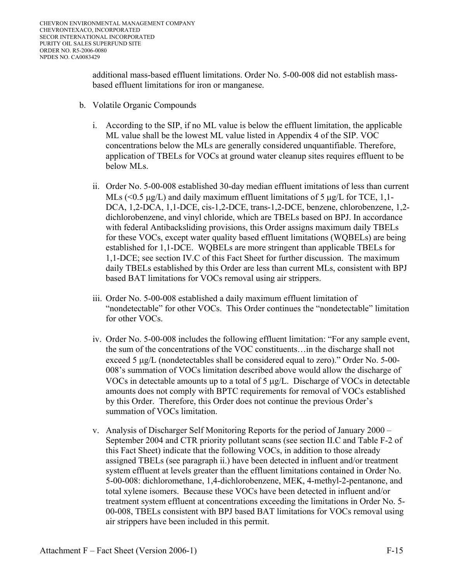additional mass-based effluent limitations. Order No. 5-00-008 did not establish massbased effluent limitations for iron or manganese.

- b. Volatile Organic Compounds
	- i. According to the SIP, if no ML value is below the effluent limitation, the applicable ML value shall be the lowest ML value listed in Appendix 4 of the SIP. VOC concentrations below the MLs are generally considered unquantifiable. Therefore, application of TBELs for VOCs at ground water cleanup sites requires effluent to be below MLs.
	- ii. Order No. 5-00-008 established 30-day median effluent imitations of less than current MLs ( $\leq 0.5$  μg/L) and daily maximum effluent limitations of 5 μg/L for TCE, 1,1-DCA, 1,2-DCA, 1,1-DCE, cis-1,2-DCE, trans-1,2-DCE, benzene, chlorobenzene, 1,2 dichlorobenzene, and vinyl chloride, which are TBELs based on BPJ. In accordance with federal Antibacksliding provisions, this Order assigns maximum daily TBELs for these VOCs, except water quality based effluent limitations (WQBELs) are being established for 1,1-DCE. WQBELs are more stringent than applicable TBELs for 1,1-DCE; see section IV.C of this Fact Sheet for further discussion. The maximum daily TBELs established by this Order are less than current MLs, consistent with BPJ based BAT limitations for VOCs removal using air strippers.
	- iii. Order No. 5-00-008 established a daily maximum effluent limitation of "nondetectable" for other VOCs. This Order continues the "nondetectable" limitation for other VOCs.
	- iv. Order No. 5-00-008 includes the following effluent limitation: "For any sample event, the sum of the concentrations of the VOC constituents…in the discharge shall not exceed 5 μg/L (nondetectables shall be considered equal to zero)." Order No. 5-00- 008's summation of VOCs limitation described above would allow the discharge of VOCs in detectable amounts up to a total of 5 μg/L. Discharge of VOCs in detectable amounts does not comply with BPTC requirements for removal of VOCs established by this Order. Therefore, this Order does not continue the previous Order's summation of VOCs limitation.
	- v. Analysis of Discharger Self Monitoring Reports for the period of January 2000 September 2004 and CTR priority pollutant scans (see section II.C and Table F-2 of this Fact Sheet) indicate that the following VOCs, in addition to those already assigned TBELs (see paragraph ii.) have been detected in influent and/or treatment system effluent at levels greater than the effluent limitations contained in Order No. 5-00-008: dichloromethane, 1,4-dichlorobenzene, MEK, 4-methyl-2-pentanone, and total xylene isomers. Because these VOCs have been detected in influent and/or treatment system effluent at concentrations exceeding the limitations in Order No. 5- 00-008, TBELs consistent with BPJ based BAT limitations for VOCs removal using air strippers have been included in this permit.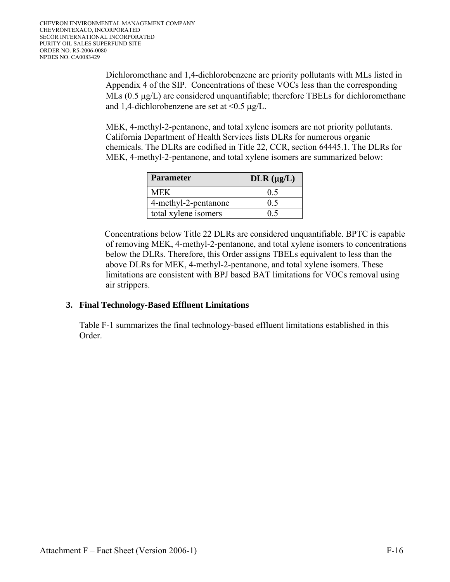<span id="page-61-0"></span> Dichloromethane and 1,4-dichlorobenzene are priority pollutants with MLs listed in Appendix 4 of the SIP. Concentrations of these VOCs less than the corresponding MLs (0.5 μg/L) are considered unquantifiable; therefore TBELs for dichloromethane and 1,4-dichlorobenzene are set at <0.5 μg/L.

 MEK, 4-methyl-2-pentanone, and total xylene isomers are not priority pollutants. California Department of Health Services lists DLRs for numerous organic chemicals. The DLRs are codified in Title 22, CCR, section 64445.1. The DLRs for MEK, 4-methyl-2-pentanone, and total xylene isomers are summarized below:

| <b>Parameter</b>     | $DLR (\mu g/L)$ |
|----------------------|-----------------|
| <b>MEK</b>           | 0.5             |
| 4-methyl-2-pentanone | 0.5             |
| total xylene isomers |                 |

 Concentrations below Title 22 DLRs are considered unquantifiable. BPTC is capable of removing MEK, 4-methyl-2-pentanone, and total xylene isomers to concentrations below the DLRs. Therefore, this Order assigns TBELs equivalent to less than the above DLRs for MEK, 4-methyl-2-pentanone, and total xylene isomers. These limitations are consistent with BPJ based BAT limitations for VOCs removal using air strippers.

#### **3. Final Technology-Based Effluent Limitations**

Table F-1 summarizes the final technology-based effluent limitations established in this Order.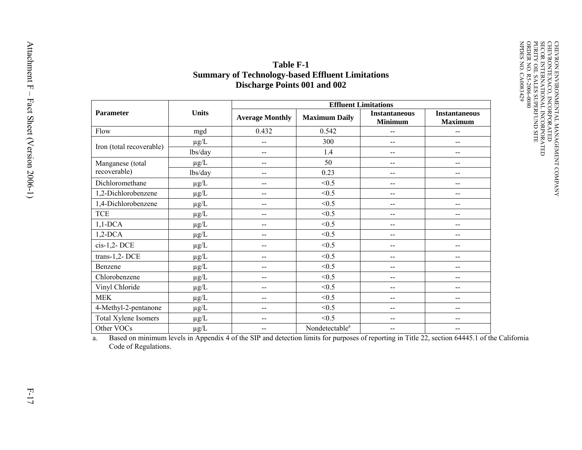| <b>Effluent Limitations</b> |              |                          |                            |                                               |                                        |  |
|-----------------------------|--------------|--------------------------|----------------------------|-----------------------------------------------|----------------------------------------|--|
| <b>Parameter</b>            | <b>Units</b> | <b>Average Monthly</b>   | <b>Maximum Daily</b>       | <b>Instantaneous</b><br><b>Minimum</b>        | <b>Instantaneous</b><br><b>Maximum</b> |  |
| Flow                        | mgd          | 0.432                    | 0.542                      | $\overline{\phantom{a}}$                      | $-$                                    |  |
| Iron (total recoverable)    | $\mu g/L$    | $\overline{a}$           | 300                        | $\sim$                                        | $\overline{a}$                         |  |
|                             | lbs/day      | --                       | 1.4                        | $\overline{\phantom{a}}$                      | $\overline{\phantom{m}}$               |  |
| Manganese (total            | $\mu g/L$    | $\overline{a}$           | 50                         | $\overline{\phantom{a}}$                      | $\sim$                                 |  |
| recoverable)                | lbs/day      | $-$                      | 0.23                       | $\overline{\phantom{a}}$                      | $\overline{a}$                         |  |
| Dichloromethane             | $\mu g/L$    | $\overline{a}$           | < 0.5                      | $\overline{\phantom{a}}$                      | $-$                                    |  |
| 1,2-Dichlorobenzene         | $\mu g/L$    | $\overline{\phantom{a}}$ | < 0.5                      | $\overline{\phantom{m}}$                      | $\overline{\phantom{m}}$               |  |
| 1,4-Dichlorobenzene         | $\mu g/L$    | $\overline{a}$           | < 0.5                      | $\mathcal{L}_{\mathcal{F}}$                   | $\rightarrow$                          |  |
| <b>TCE</b>                  | $\mu g/L$    | $\overline{\phantom{m}}$ | < 0.5                      | $\mathord{\hspace{1pt}\text{--}\hspace{1pt}}$ | $ -$                                   |  |
| $1,1$ -DCA                  | $\mu g/L$    | $\overline{a}$           | < 0.5                      | $\overline{\phantom{a}}$                      | $\overline{\phantom{a}}$               |  |
| $1,2$ -DCA                  | $\mu g/L$    | --                       | < 0.5                      | $\overline{\phantom{a}}$                      | $\overline{\phantom{a}}$               |  |
| cis-1,2-DCE                 | $\mu g/L$    | $-$                      | < 0.5                      | $\overline{\phantom{a}}$                      | $-$                                    |  |
| trans-1,2- $DCE$            | $\mu g/L$    | $\overline{\phantom{a}}$ | < 0.5                      | $\hspace{0.05cm}$ $\hspace{0.05cm}$           | $\overline{\phantom{a}}$               |  |
| Benzene                     | $\mu g/L$    | $\overline{\phantom{a}}$ | < 0.5                      | $\mathcal{L} = \mathcal{L}$                   | $\mathcal{L} = \mathcal{L}$            |  |
| Chlorobenzene               | $\mu$ g/L    | $\overline{\phantom{a}}$ | < 0.5                      | $\overline{\phantom{a}}$                      | $\overline{\phantom{a}}$               |  |
| Vinyl Chloride              | $\mu$ g/L    | $\overline{\phantom{a}}$ | < 0.5                      | $\overline{\phantom{a}}$                      | $\mathbf{H}$                           |  |
| <b>MEK</b>                  | $\mu g/L$    | $\overline{\phantom{a}}$ | < 0.5                      | $\mathcal{L}_{\mathcal{L}}$                   | $\mathbf{u}$                           |  |
| 4-Methyl-2-pentanone        | $\mu g/L$    | $-$                      | < 0.5                      | $\sim$                                        | $\sim$                                 |  |
| Total Xylene Isomers        | $\mu g/L$    | $\overline{\phantom{a}}$ | < 0.5                      | $\mathbf{u}$                                  | $\mathbf{H}$                           |  |
| Other VOCs                  | $\mu g/L$    | $\overline{a}$           | Nondetectable <sup>a</sup> | --                                            |                                        |  |

CHEYRON ENVIRONMENTAL MANAGEMENT COMPANY<br>CHEVRONTEXACO, INCORPORATED<br>SECOR INTERNATIONAL INCORPORATED<br>PURITY OIL SALES SUPERFUND SITE<br>ORDER NO. CA003429<br>NPDES NO. CA0033429

CHEVRON ENVIRONMENTAL MANAGEMENT COMPANY

PURITY OIL SALES SUPERFUND SITE SECOR INTERNATIONAL INCORPORATED CHEVRONTEXACO, INCORPORATED

ORDER NO. R5-2006-0080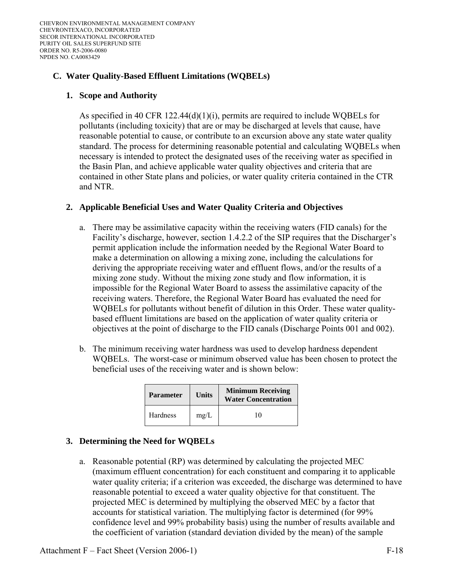## <span id="page-63-0"></span>**C. Water Quality-Based Effluent Limitations (WQBELs)**

#### **1. Scope and Authority**

As specified in 40 CFR 122.44(d)(1)(i), permits are required to include WQBELs for pollutants (including toxicity) that are or may be discharged at levels that cause, have reasonable potential to cause, or contribute to an excursion above any state water quality standard. The process for determining reasonable potential and calculating WQBELs when necessary is intended to protect the designated uses of the receiving water as specified in the Basin Plan, and achieve applicable water quality objectives and criteria that are contained in other State plans and policies, or water quality criteria contained in the CTR and NTR.

#### **2. Applicable Beneficial Uses and Water Quality Criteria and Objectives**

- a. There may be assimilative capacity within the receiving waters (FID canals) for the Facility's discharge, however, section 1.4.2.2 of the SIP requires that the Discharger's permit application include the information needed by the Regional Water Board to make a determination on allowing a mixing zone, including the calculations for deriving the appropriate receiving water and effluent flows, and/or the results of a mixing zone study. Without the mixing zone study and flow information, it is impossible for the Regional Water Board to assess the assimilative capacity of the receiving waters. Therefore, the Regional Water Board has evaluated the need for WQBELs for pollutants without benefit of dilution in this Order. These water qualitybased effluent limitations are based on the application of water quality criteria or objectives at the point of discharge to the FID canals (Discharge Points 001 and 002).
- b. The minimum receiving water hardness was used to develop hardness dependent WQBELs. The worst-case or minimum observed value has been chosen to protect the beneficial uses of the receiving water and is shown below:

| <b>Parameter</b> | <b>Units</b> | <b>Minimum Receiving</b><br><b>Water Concentration</b> |
|------------------|--------------|--------------------------------------------------------|
| Hardness         | mg/L         | 10                                                     |

#### **3. Determining the Need for WQBELs**

a. Reasonable potential (RP) was determined by calculating the projected MEC (maximum effluent concentration) for each constituent and comparing it to applicable water quality criteria; if a criterion was exceeded, the discharge was determined to have reasonable potential to exceed a water quality objective for that constituent. The projected MEC is determined by multiplying the observed MEC by a factor that accounts for statistical variation. The multiplying factor is determined (for 99% confidence level and 99% probability basis) using the number of results available and the coefficient of variation (standard deviation divided by the mean) of the sample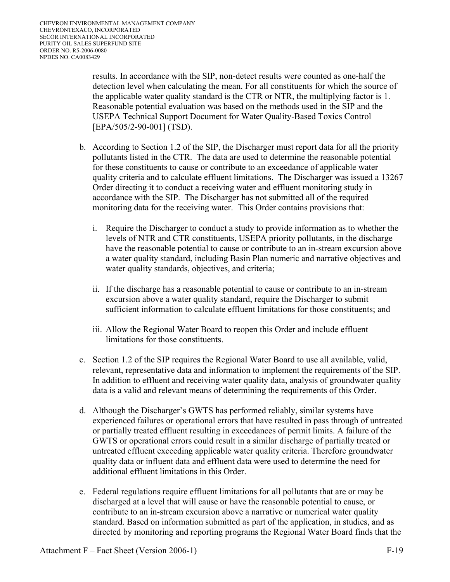results. In accordance with the SIP, non-detect results were counted as one-half the detection level when calculating the mean. For all constituents for which the source of the applicable water quality standard is the CTR or NTR, the multiplying factor is 1. Reasonable potential evaluation was based on the methods used in the SIP and the USEPA Technical Support Document for Water Quality-Based Toxics Control [EPA/505/2-90-001] (TSD).

- b. According to Section 1.2 of the SIP, the Discharger must report data for all the priority pollutants listed in the CTR. The data are used to determine the reasonable potential for these constituents to cause or contribute to an exceedance of applicable water quality criteria and to calculate effluent limitations. The Discharger was issued a 13267 Order directing it to conduct a receiving water and effluent monitoring study in accordance with the SIP. The Discharger has not submitted all of the required monitoring data for the receiving water. This Order contains provisions that:
	- i. Require the Discharger to conduct a study to provide information as to whether the levels of NTR and CTR constituents, USEPA priority pollutants, in the discharge have the reasonable potential to cause or contribute to an in-stream excursion above a water quality standard, including Basin Plan numeric and narrative objectives and water quality standards, objectives, and criteria;
	- ii. If the discharge has a reasonable potential to cause or contribute to an in-stream excursion above a water quality standard, require the Discharger to submit sufficient information to calculate effluent limitations for those constituents; and
	- iii. Allow the Regional Water Board to reopen this Order and include effluent limitations for those constituents.
- c. Section 1.2 of the SIP requires the Regional Water Board to use all available, valid, relevant, representative data and information to implement the requirements of the SIP. In addition to effluent and receiving water quality data, analysis of groundwater quality data is a valid and relevant means of determining the requirements of this Order.
- d. Although the Discharger's GWTS has performed reliably, similar systems have experienced failures or operational errors that have resulted in pass through of untreated or partially treated effluent resulting in exceedances of permit limits. A failure of the GWTS or operational errors could result in a similar discharge of partially treated or untreated effluent exceeding applicable water quality criteria. Therefore groundwater quality data or influent data and effluent data were used to determine the need for additional effluent limitations in this Order.
- e. Federal regulations require effluent limitations for all pollutants that are or may be discharged at a level that will cause or have the reasonable potential to cause, or contribute to an in-stream excursion above a narrative or numerical water quality standard. Based on information submitted as part of the application, in studies, and as directed by monitoring and reporting programs the Regional Water Board finds that the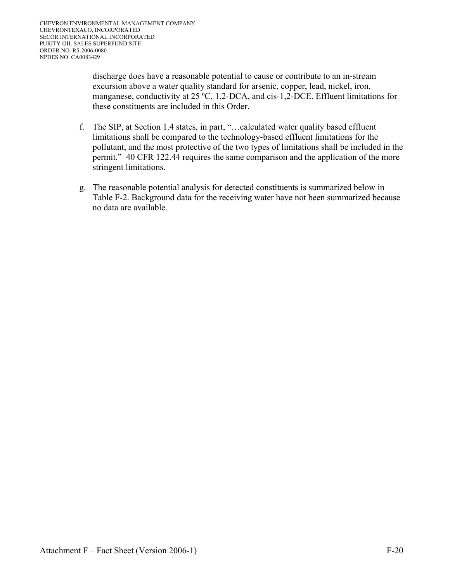discharge does have a reasonable potential to cause or contribute to an in-stream excursion above a water quality standard for arsenic, copper, lead, nickel, iron, manganese, conductivity at 25 ºC, 1,2-DCA, and cis-1,2-DCE. Effluent limitations for these constituents are included in this Order.

- f. The SIP, at Section 1.4 states, in part, "…calculated water quality based effluent limitations shall be compared to the technology-based effluent limitations for the pollutant, and the most protective of the two types of limitations shall be included in the permit." 40 CFR 122.44 requires the same comparison and the application of the more stringent limitations.
- g. The reasonable potential analysis for detected constituents is summarized below in Table F-2. Background data for the receiving water have not been summarized because no data are available.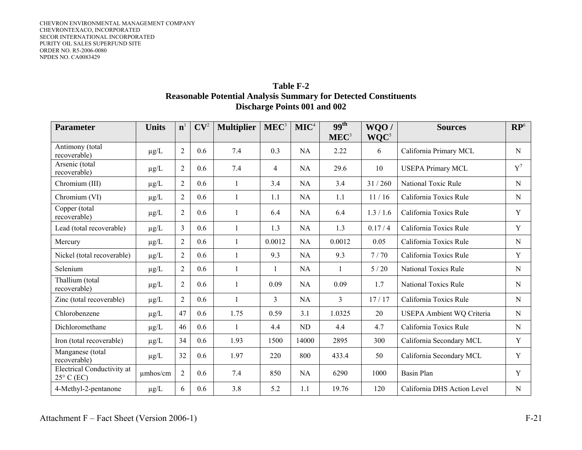CHEVRON ENVIRONMENTAL MANAGEMENT COMPANY CHEVRONTEXACO, INCORPORATED SECOR INTERNATIONAL INCORPORATED PURITY OIL SALES SUPERFUND SITE ORDER NO. R5-2006-0080 NPDES NO. CA0083429

#### **Table F-2 Reasonable Potential Analysis Summary for Detected Constituents Discharge Points 001 and 002**

| <b>Parameter</b>                                         | <b>Units</b>           | ${\bf n}^1$    | $CV^2$ | <b>Multiplier</b> | MEC <sup>3</sup> | MIC <sup>4</sup> | 99 <sup>th</sup><br>MEC <sup>3</sup> | WQO/<br>WQC <sup>5</sup> | <b>Sources</b>                   | $RP^6$      |
|----------------------------------------------------------|------------------------|----------------|--------|-------------------|------------------|------------------|--------------------------------------|--------------------------|----------------------------------|-------------|
| Antimony (total<br>recoverable)                          | $\mu$ g/L              | 2              | 0.6    | 7.4               | 0.3              | <b>NA</b>        | 2.22                                 | 6                        | California Primary MCL           | N           |
| Arsenic (total<br>recoverable)                           | $\mu$ g/L              | 2              | 0.6    | 7.4               | 4                | NA               | 29.6                                 | 10                       | <b>USEPA Primary MCL</b>         | $Y^7$       |
| Chromium (III)                                           | $\mu$ g/L              | 2              | 0.6    | 1                 | 3.4              | <b>NA</b>        | 3.4                                  | 31/260                   | National Toxic Rule              | N           |
| Chromium (VI)                                            | $\mu\text{g}/\text{L}$ | $\overline{2}$ | 0.6    |                   | 1.1              | <b>NA</b>        | 1.1                                  | 11/16                    | California Toxics Rule           | N           |
| Copper (total<br>recoverable)                            | $\mu g/L$              | 2              | 0.6    |                   | 6.4              | <b>NA</b>        | 6.4                                  | 1.3/1.6                  | California Toxics Rule           | $\mathbf Y$ |
| Lead (total recoverable)                                 | $\mu$ g/L              | 3              | 0.6    |                   | 1.3              | <b>NA</b>        | 1.3                                  | 0.17/4                   | California Toxics Rule           | Y           |
| Mercury                                                  | $\mu$ g/L              | 2              | 0.6    |                   | 0.0012           | <b>NA</b>        | 0.0012                               | 0.05                     | California Toxics Rule           | N           |
| Nickel (total recoverable)                               | $\mu$ g/L              | 2              | 0.6    |                   | 9.3              | <b>NA</b>        | 9.3                                  | 7/70                     | California Toxics Rule           | Y           |
| Selenium                                                 | $\mu$ g/L              | 2              | 0.6    |                   |                  | <b>NA</b>        | 1                                    | 5/20                     | <b>National Toxics Rule</b>      | N           |
| Thallium (total<br>recoverable)                          | $\mu$ g/L              | 2              | 0.6    |                   | 0.09             | <b>NA</b>        | 0.09                                 | 1.7                      | <b>National Toxics Rule</b>      | N           |
| Zinc (total recoverable)                                 | $\mu\text{g}/\text{L}$ | $\overline{2}$ | 0.6    |                   | $\overline{3}$   | <b>NA</b>        | $\overline{3}$                       | 17/17                    | California Toxics Rule           | ${\bf N}$   |
| Chlorobenzene                                            | $\mu$ g/L              | 47             | 0.6    | 1.75              | 0.59             | 3.1              | 1.0325                               | 20                       | <b>USEPA Ambient WQ Criteria</b> | N           |
| Dichloromethane                                          | $\mu\text{g}/\text{L}$ | 46             | 0.6    |                   | 4.4              | ND               | 4.4                                  | 4.7                      | California Toxics Rule           | N           |
| Iron (total recoverable)                                 | $\mu$ g/L              | 34             | 0.6    | 1.93              | 1500             | 14000            | 2895                                 | 300                      | California Secondary MCL         | Y           |
| Manganese (total<br>recoverable)                         | $\mu g/L$              | 32             | 0.6    | 1.97              | 220              | 800              | 433.4                                | 50                       | California Secondary MCL         | Y           |
| <b>Electrical Conductivity at</b><br>$25^{\circ}$ C (EC) | $\mu$ mhos/cm          | 2              | 0.6    | 7.4               | 850              | <b>NA</b>        | 6290                                 | 1000                     | Basin Plan                       | Y           |
| 4-Methyl-2-pentanone                                     | $\mu$ g/L              | 6              | 0.6    | 3.8               | 5.2              | 1.1              | 19.76                                | 120                      | California DHS Action Level      | ${\bf N}$   |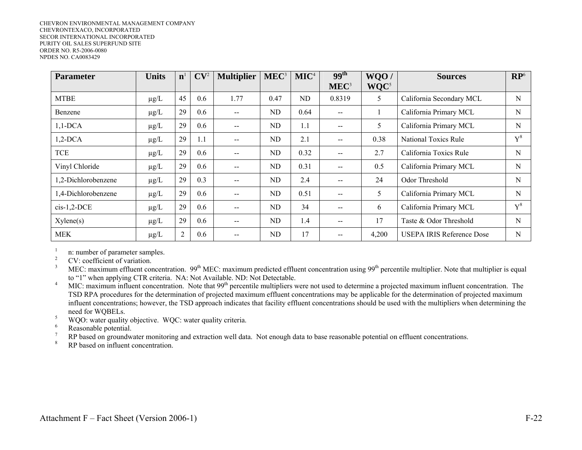#### CHEVRON ENVIRONMENTAL MANAGEMENT COMPANY CHEVRONTEXACO, INCORPORATED SECOR INTERNATIONAL INCORPORATED PURITY OIL SALES SUPERFUND SITE ORDER NO. R5-2006-0080 NPDES NO. CA0083429

| <b>Parameter</b>    | <b>Units</b> | ${\bf n}^1$    | CV <sup>2</sup> | <b>Multiplier</b> | MEC <sup>3</sup> | MIC <sup>4</sup> | 99 <sup>th</sup> | WQO/    | <b>Sources</b>                   | $RP^6$ |
|---------------------|--------------|----------------|-----------------|-------------------|------------------|------------------|------------------|---------|----------------------------------|--------|
|                     |              |                |                 |                   |                  |                  | MEC <sup>3</sup> | $WQC^5$ |                                  |        |
| <b>MTBE</b>         | $\mu$ g/L    | 45             | 0.6             | 1.77              | 0.47             | ND               | 0.8319           | 5       | California Secondary MCL         | N      |
| Benzene             | $\mu$ g/L    | 29             | 0.6             | $-$               | ND               | 0.64             | $\sim$ $\sim$    |         | California Primary MCL           | N      |
| $1,1$ -DCA          | $\mu$ g/L    | 29             | 0.6             | $-$               | ND               | 1.1              | $-$              | 5       | California Primary MCL           | N      |
| $1,2$ -DCA          | $\mu$ g/L    | 29             | 1.1             | $-$               | ND               | 2.1              | $\sim$ $\sim$    | 0.38    | <b>National Toxics Rule</b>      | $Y^8$  |
| <b>TCE</b>          | $\mu$ g/L    | 29             | 0.6             | $-$               | ND               | 0.32             | $\sim$ $\sim$    | 2.7     | California Toxics Rule           | N      |
| Vinyl Chloride      | $\mu$ g/L    | 29             | 0.6             | $-$               | ND               | 0.31             | $\sim$ $\sim$    | 0.5     | California Primary MCL           | N      |
| 1,2-Dichlorobenzene | $\mu$ g/L    | 29             | 0.3             | $- -$             | ND               | 2.4              | $- -$            | 24      | Odor Threshold                   | N      |
| ,4-Dichlorobenzene  | $\mu$ g/L    | 29             | 0.6             | $- -$             | ND               | 0.51             | $- -$            | 5       | California Primary MCL           | N      |
| $cis-1,2-DCE$       | $\mu$ g/L    | 29             | 0.6             | $- -$             | ND               | 34               | --               | 6       | California Primary MCL           | $Y^8$  |
| $X$ ylene $(s)$     | $\mu$ g/L    | 29             | 0.6             |                   | ND               | 1.4              | $- -$            | 17      | Taste & Odor Threshold           | N      |
| <b>MEK</b>          | $\mu$ g/L    | $\overline{2}$ | 0.6             |                   | <b>ND</b>        | 17               |                  | 4,200   | <b>USEPA IRIS Reference Dose</b> | N      |

<sup>1</sup> n: number of parameter samples.<br><sup>2</sup>  $CV<sub>i</sub>$  as efficient of vericion.

CV: coefficient of variation.

 $3$  MEC: maximum effluent concentration.  $99<sup>th</sup>$  MEC: maximum predicted effluent concentration using  $99<sup>th</sup>$  percentile multiplier. Note that multiplier is equal to "1" when applying CTR criteria. NA: Not Available. ND: Not Detectable.

<sup>4</sup> MIC: maximum influent concentration. Note that 99<sup>th</sup> percentile multipliers were not used to determine a projected maximum influent concentration. The TSD RPA procedures for the determination of projected maximum effluent concentrations may be applicable for the determination of projected maximum influent concentrations; however, the TSD approach indicates that facility effluent concentrations should be used with the multipliers when determining the need for WQBELs.

 $5$  WQO: water quality objective. WQC: water quality criteria.

 $\frac{6}{7}$  Reasonable potential.

<sup>7</sup> RP based on groundwater monitoring and extraction well data. Not enough data to base reasonable potential on effluent concentrations.

RP based on influent concentration.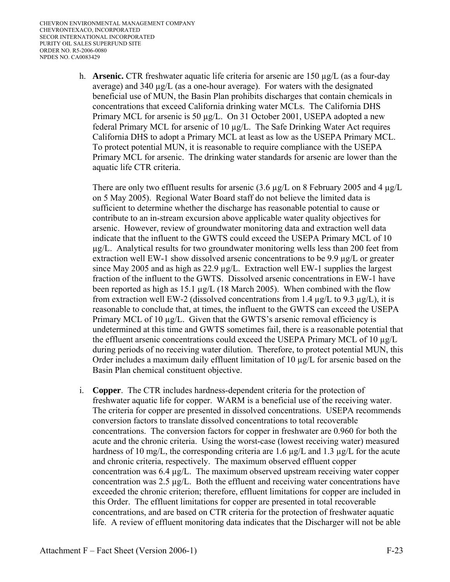h. **Arsenic.** CTR freshwater aquatic life criteria for arsenic are 150 µg/L (as a four-day average) and 340 µg/L (as a one-hour average). For waters with the designated beneficial use of MUN, the Basin Plan prohibits discharges that contain chemicals in concentrations that exceed California drinking water MCLs. The California DHS Primary MCL for arsenic is 50 µg/L. On 31 October 2001, USEPA adopted a new federal Primary MCL for arsenic of 10 µg/L. The Safe Drinking Water Act requires California DHS to adopt a Primary MCL at least as low as the USEPA Primary MCL. To protect potential MUN, it is reasonable to require compliance with the USEPA Primary MCL for arsenic. The drinking water standards for arsenic are lower than the aquatic life CTR criteria.

There are only two effluent results for arsenic  $(3.6 \mu g/L)$  on 8 February 2005 and 4  $\mu g/L$ on 5 May 2005). Regional Water Board staff do not believe the limited data is sufficient to determine whether the discharge has reasonable potential to cause or contribute to an in-stream excursion above applicable water quality objectives for arsenic. However, review of groundwater monitoring data and extraction well data indicate that the influent to the GWTS could exceed the USEPA Primary MCL of 10 µg/L. Analytical results for two groundwater monitoring wells less than 200 feet from extraction well EW-1 show dissolved arsenic concentrations to be 9.9 µg/L or greater since May 2005 and as high as  $22.9 \mu g/L$ . Extraction well EW-1 supplies the largest fraction of the influent to the GWTS. Dissolved arsenic concentrations in EW-1 have been reported as high as 15.1  $\mu$ g/L (18 March 2005). When combined with the flow from extraction well EW-2 (dissolved concentrations from 1.4  $\mu$ g/L to 9.3  $\mu$ g/L), it is reasonable to conclude that, at times, the influent to the GWTS can exceed the USEPA Primary MCL of 10  $\mu$ g/L. Given that the GWTS's arsenic removal efficiency is undetermined at this time and GWTS sometimes fail, there is a reasonable potential that the effluent arsenic concentrations could exceed the USEPA Primary MCL of 10 µg/L during periods of no receiving water dilution. Therefore, to protect potential MUN, this Order includes a maximum daily effluent limitation of 10 µg/L for arsenic based on the Basin Plan chemical constituent objective.

i. **Copper**. The CTR includes hardness-dependent criteria for the protection of freshwater aquatic life for copper. WARM is a beneficial use of the receiving water. The criteria for copper are presented in dissolved concentrations. USEPA recommends conversion factors to translate dissolved concentrations to total recoverable concentrations. The conversion factors for copper in freshwater are 0.960 for both the acute and the chronic criteria. Using the worst-case (lowest receiving water) measured hardness of 10 mg/L, the corresponding criteria are 1.6  $\mu$ g/L and 1.3  $\mu$ g/L for the acute and chronic criteria, respectively. The maximum observed effluent copper concentration was 6.4 µg/L. The maximum observed upstream receiving water copper concentration was 2.5 µg/L. Both the effluent and receiving water concentrations have exceeded the chronic criterion; therefore, effluent limitations for copper are included in this Order. The effluent limitations for copper are presented in total recoverable concentrations, and are based on CTR criteria for the protection of freshwater aquatic life. A review of effluent monitoring data indicates that the Discharger will not be able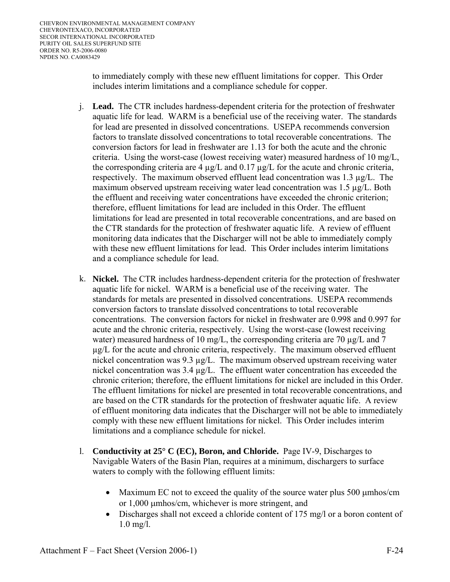to immediately comply with these new effluent limitations for copper. This Order includes interim limitations and a compliance schedule for copper.

- j. **Lead.** The CTR includes hardness-dependent criteria for the protection of freshwater aquatic life for lead. WARM is a beneficial use of the receiving water. The standards for lead are presented in dissolved concentrations. USEPA recommends conversion factors to translate dissolved concentrations to total recoverable concentrations. The conversion factors for lead in freshwater are 1.13 for both the acute and the chronic criteria. Using the worst-case (lowest receiving water) measured hardness of 10 mg/L, the corresponding criteria are 4  $\mu$ g/L and 0.17  $\mu$ g/L for the acute and chronic criteria, respectively. The maximum observed effluent lead concentration was 1.3 µg/L. The maximum observed upstream receiving water lead concentration was 1.5 µg/L. Both the effluent and receiving water concentrations have exceeded the chronic criterion; therefore, effluent limitations for lead are included in this Order. The effluent limitations for lead are presented in total recoverable concentrations, and are based on the CTR standards for the protection of freshwater aquatic life. A review of effluent monitoring data indicates that the Discharger will not be able to immediately comply with these new effluent limitations for lead. This Order includes interim limitations and a compliance schedule for lead.
- k. **Nickel.** The CTR includes hardness-dependent criteria for the protection of freshwater aquatic life for nickel. WARM is a beneficial use of the receiving water. The standards for metals are presented in dissolved concentrations. USEPA recommends conversion factors to translate dissolved concentrations to total recoverable concentrations. The conversion factors for nickel in freshwater are 0.998 and 0.997 for acute and the chronic criteria, respectively. Using the worst-case (lowest receiving water) measured hardness of 10 mg/L, the corresponding criteria are 70 µg/L and 7 µg/L for the acute and chronic criteria, respectively. The maximum observed effluent nickel concentration was 9.3 µg/L. The maximum observed upstream receiving water nickel concentration was 3.4 µg/L. The effluent water concentration has exceeded the chronic criterion; therefore, the effluent limitations for nickel are included in this Order. The effluent limitations for nickel are presented in total recoverable concentrations, and are based on the CTR standards for the protection of freshwater aquatic life. A review of effluent monitoring data indicates that the Discharger will not be able to immediately comply with these new effluent limitations for nickel. This Order includes interim limitations and a compliance schedule for nickel.
- l. **Conductivity at 25° C (EC), Boron, and Chloride.** Page IV-9, Discharges to Navigable Waters of the Basin Plan, requires at a minimum, dischargers to surface waters to comply with the following effluent limits:
	- Maximum EC not to exceed the quality of the source water plus 500 μmhos/cm or 1,000 μmhos/cm, whichever is more stringent, and
	- Discharges shall not exceed a chloride content of 175 mg/l or a boron content of 1.0 mg/l.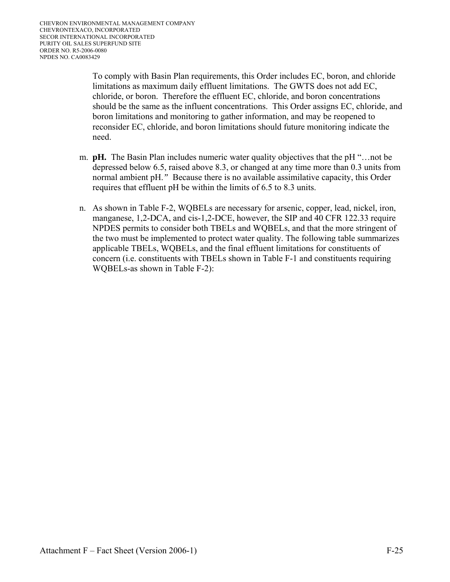To comply with Basin Plan requirements, this Order includes EC, boron, and chloride limitations as maximum daily effluent limitations. The GWTS does not add EC, chloride, or boron. Therefore the effluent EC, chloride, and boron concentrations should be the same as the influent concentrations. This Order assigns EC, chloride, and boron limitations and monitoring to gather information, and may be reopened to reconsider EC, chloride, and boron limitations should future monitoring indicate the need.

- m. **pH.** The Basin Plan includes numeric water quality objectives that the pH "…not be depressed below 6.5, raised above 8.3, or changed at any time more than 0.3 units from normal ambient pH.*"* Because there is no available assimilative capacity, this Order requires that effluent pH be within the limits of 6.5 to 8.3 units.
- n. As shown in Table F-2, WQBELs are necessary for arsenic, copper, lead, nickel, iron, manganese, 1,2-DCA, and cis-1,2-DCE, however, the SIP and 40 CFR 122.33 require NPDES permits to consider both TBELs and WQBELs, and that the more stringent of the two must be implemented to protect water quality. The following table summarizes applicable TBELs, WQBELs, and the final effluent limitations for constituents of concern (i.e. constituents with TBELs shown in Table F-1 and constituents requiring WQBELs-as shown in Table F-2):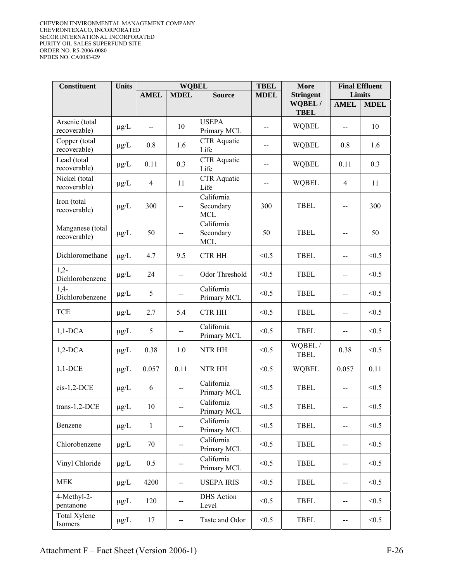| <b>Constituent</b>               | <b>Units</b> | <b>WQBEL</b>             |                          | <b>TBEL</b>                           | <b>More</b>              | <b>Final Effluent</b> |                          |             |
|----------------------------------|--------------|--------------------------|--------------------------|---------------------------------------|--------------------------|-----------------------|--------------------------|-------------|
|                                  |              | <b>AMEL</b>              | <b>MDEL</b>              | <b>Source</b>                         | <b>MDEL</b>              | <b>Stringent</b>      | Limits                   |             |
|                                  |              |                          |                          |                                       |                          | WQBEL/<br><b>TBEL</b> | <b>AMEL</b>              | <b>MDEL</b> |
| Arsenic (total<br>recoverable)   | $\mu$ g/L    | $\overline{\phantom{a}}$ | 10                       | <b>USEPA</b><br>Primary MCL           | $\overline{\phantom{a}}$ | <b>WQBEL</b>          | --                       | 10          |
| Copper (total<br>recoverable)    | $\mu$ g/L    | 0.8                      | 1.6                      | <b>CTR</b> Aquatic<br>Life            | --                       | <b>WQBEL</b>          | 0.8                      | 1.6         |
| Lead (total<br>recoverable)      | $\mu$ g/L    | 0.11                     | 0.3                      | <b>CTR</b> Aquatic<br>Life            | $-$                      | <b>WQBEL</b>          | 0.11                     | 0.3         |
| Nickel (total<br>recoverable)    | $\mu g/L$    | $\overline{4}$           | 11                       | <b>CTR</b> Aquatic<br>Life            | --                       | <b>WQBEL</b>          | $\overline{4}$           | 11          |
| Iron (total<br>recoverable)      | $\mu$ g/L    | 300                      | $-$                      | California<br>Secondary<br><b>MCL</b> | 300                      | <b>TBEL</b>           | $-$                      | 300         |
| Manganese (total<br>recoverable) | $\mu$ g/L    | 50                       | $\overline{\phantom{a}}$ | California<br>Secondary<br><b>MCL</b> | 50                       | <b>TBEL</b>           | --                       | 50          |
| Dichloromethane                  | $\mu$ g/L    | 4.7                      | 9.5                      | <b>CTR HH</b>                         | < 0.5                    | <b>TBEL</b>           | --                       | < 0.5       |
| $1,2-$<br>Dichlorobenzene        | $\mu$ g/L    | 24                       | $\overline{\phantom{a}}$ | <b>Odor Threshold</b>                 | < 0.5                    | <b>TBEL</b>           | $\overline{\phantom{a}}$ | < 0.5       |
| $1,4-$<br>Dichlorobenzene        | $\mu g/L$    | 5                        |                          | California<br>Primary MCL             | < 0.5                    | <b>TBEL</b>           | --                       | < 0.5       |
| <b>TCE</b>                       | $\mu$ g/L    | 2.7                      | 5.4                      | <b>CTR HH</b>                         | < 0.5                    | <b>TBEL</b>           | --                       | < 0.5       |
| $1,1$ -DCA                       | $\mu$ g/L    | 5                        | --                       | California<br>Primary MCL             | < 0.5                    | <b>TBEL</b>           | $-$                      | < 0.5       |
| $1,2$ -DCA                       | $\mu$ g/L    | 0.38                     | 1.0                      | NTR HH                                | < 0.5                    | WQBEL/<br><b>TBEL</b> | 0.38                     | < 0.5       |
| $1,1$ -DCE                       | $\mu g/L$    | 0.057                    | 0.11                     | NTR HH                                | < 0.5                    | <b>WQBEL</b>          | 0.057                    | 0.11        |
| $cis-1,2-DCE$                    | $\mu$ g/L    | 6                        | $-$                      | California<br>Primary MCL             | < 0.5                    | <b>TBEL</b>           | $-$                      | < 0.5       |
| $trans-1,2-DCE$                  | $\mu$ g/L    | 10                       | --                       | California<br>Primary MCL             | < 0.5                    | <b>TBEL</b>           | --                       | < 0.5       |
| Benzene                          | $\mu$ g/L    | $\mathbf{1}$             |                          | California<br>Primary MCL             | < 0.5                    | <b>TBEL</b>           |                          | < 0.5       |
| Chlorobenzene                    | $\mu$ g/L    | $70\,$                   | $-$                      | California<br>Primary MCL             | < 0.5                    | <b>TBEL</b>           | --                       | < 0.5       |
| Vinyl Chloride                   | $\mu$ g/L    | 0.5                      | --                       | California<br>Primary MCL             | < 0.5                    | <b>TBEL</b>           | $-$                      | < 0.5       |
| <b>MEK</b>                       | $\mu$ g/L    | 4200                     | $-$                      | <b>USEPA IRIS</b>                     | < 0.5                    | <b>TBEL</b>           | $-$                      | < 0.5       |
| 4-Methyl-2-<br>pentanone         | $\mu$ g/L    | 120                      | $\qquad \qquad -$        | <b>DHS</b> Action<br>Level            | < 0.5                    | <b>TBEL</b>           | $-$                      | < 0.5       |
| Total Xylene<br>Isomers          | $\mu$ g/L    | 17                       | --                       | Taste and Odor                        | < 0.5                    | <b>TBEL</b>           | $-$                      | < 0.5       |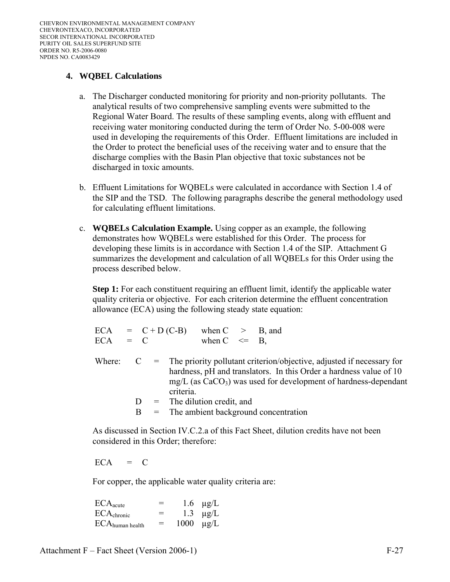## **4. WQBEL Calculations**

- a. The Discharger conducted monitoring for priority and non-priority pollutants. The analytical results of two comprehensive sampling events were submitted to the Regional Water Board. The results of these sampling events, along with effluent and receiving water monitoring conducted during the term of Order No. 5-00-008 were used in developing the requirements of this Order. Effluent limitations are included in the Order to protect the beneficial uses of the receiving water and to ensure that the discharge complies with the Basin Plan objective that toxic substances not be discharged in toxic amounts.
- b. Effluent Limitations for WQBELs were calculated in accordance with Section 1.4 of the SIP and the TSD. The following paragraphs describe the general methodology used for calculating effluent limitations.
- c. **WQBELs Calculation Example.** Using copper as an example, the following demonstrates how WQBELs were established for this Order. The process for developing these limits is in accordance with Section 1.4 of the SIP. Attachment G summarizes the development and calculation of all WQBELs for this Order using the process described below.

**Step 1:** For each constituent requiring an effluent limit, identify the applicable water quality criteria or objective. For each criterion determine the effluent concentration allowance (ECA) using the following steady state equation:

| ECA       | $= C + D (C-B)$ when $C > B$ , and |                   |  |
|-----------|------------------------------------|-------------------|--|
| $ECA = C$ |                                    | when $C \leq B$ , |  |

- Where:  $C =$  The priority pollutant criterion/objective, adjusted if necessary for hardness, pH and translators. In this Order a hardness value of 10  $mg/L$  (as  $CaCO<sub>3</sub>$ ) was used for development of hardness-dependant criteria.
	- $D =$  The dilution credit, and
	- B = The ambient background concentration

As discussed in Section IV.C.2.a of this Fact Sheet, dilution credits have not been considered in this Order; therefore:

 $ECA = C$ 

For copper, the applicable water quality criteria are:

| ECA <sub>acute</sub>        | =   |                      | 1.6 $\mu$ g/L |
|-----------------------------|-----|----------------------|---------------|
| ECA <sub>chronic</sub>      | =   |                      | 1.3 $\mu$ g/L |
| ECA <sub>human health</sub> | $=$ | $1000 \quad \mu g/L$ |               |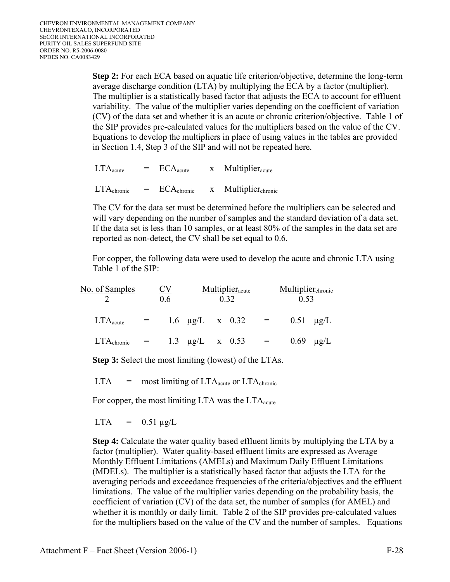**Step 2:** For each ECA based on aquatic life criterion/objective, determine the long-term average discharge condition (LTA) by multiplying the ECA by a factor (multiplier). The multiplier is a statistically based factor that adjusts the ECA to account for effluent variability. The value of the multiplier varies depending on the coefficient of variation (CV) of the data set and whether it is an acute or chronic criterion/objective. Table 1 of the SIP provides pre-calculated values for the multipliers based on the value of the CV. Equations to develop the multipliers in place of using values in the tables are provided in Section 1.4, Step 3 of the SIP and will not be repeated here.

| LTA <sub>acute</sub> | $= ECAacute$ | x Multiplier <sub>acute</sub>                                                   |
|----------------------|--------------|---------------------------------------------------------------------------------|
|                      |              | $LTA_{\text{chronic}}$ = $ECA_{\text{chronic}}$ x Multiplier <sub>chronic</sub> |

The CV for the data set must be determined before the multipliers can be selected and will vary depending on the number of samples and the standard deviation of a data set. If the data set is less than 10 samples, or at least 80% of the samples in the data set are reported as non-detect, the CV shall be set equal to 0.6.

For copper, the following data were used to develop the acute and chronic LTA using Table 1 of the SIP:

| No. of Samples           | CV<br>06                   | <b>Multiplier</b> <sub>acute</sub><br>0.32 |  | <b>Multiplier</b> <sub>chronic</sub><br>0.53 |                      |                  |
|--------------------------|----------------------------|--------------------------------------------|--|----------------------------------------------|----------------------|------------------|
| $LTA_{\text{acute}}$     | $=$ 1.6 $\mu$ g/L x 0.32 = |                                            |  |                                              | $0.51 \quad \mu g/L$ |                  |
| $LTA_{\text{chronic}}$ = |                            | 1.3 $\mu$ g/L x 0.53                       |  | $\mathbf{r} = \mathbf{r}$                    |                      | $0.69$ $\mu$ g/L |

**Step 3:** Select the most limiting (lowest) of the LTAs.

 $LTA =$  most limiting of  $LTA<sub>acute</sub>$  or  $LTA<sub>chronic</sub>$ 

For copper, the most limiting LTA was the  $LTA<sub>acute</sub>$ 

 $LTA = 0.51 \mu g/L$ 

**Step 4:** Calculate the water quality based effluent limits by multiplying the LTA by a factor (multiplier). Water quality-based effluent limits are expressed as Average Monthly Effluent Limitations (AMELs) and Maximum Daily Effluent Limitations (MDELs). The multiplier is a statistically based factor that adjusts the LTA for the averaging periods and exceedance frequencies of the criteria/objectives and the effluent limitations. The value of the multiplier varies depending on the probability basis, the coefficient of variation (CV) of the data set, the number of samples (for AMEL) and whether it is monthly or daily limit. Table 2 of the SIP provides pre-calculated values for the multipliers based on the value of the CV and the number of samples. Equations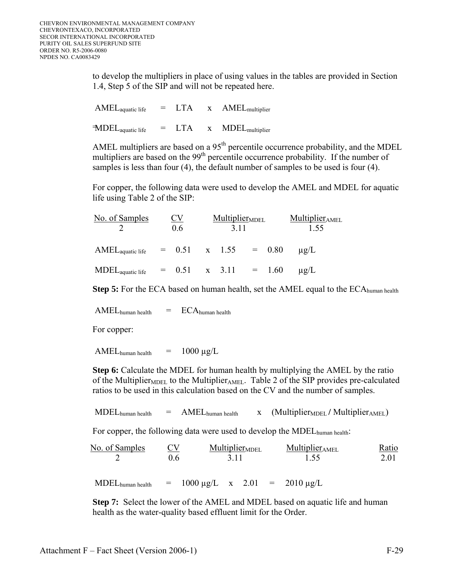to develop the multipliers in place of using values in the tables are provided in Section 1.4, Step 5 of the SIP and will not be repeated here.

 $\text{FMEL}_{\text{aquatic life}}$  = LTA x MDEL<sub>multiplier</sub>  $AMEL_{aquatic life}$  =  $LTA$  x  $AMEL_{multiplier}$ 

AMEL multipliers are based on a  $95<sup>th</sup>$  percentile occurrence probability, and the MDEL multipliers are based on the 99<sup>th</sup> percentile occurrence probability. If the number of samples is less than four (4), the default number of samples to be used is four (4).

For copper, the following data were used to develop the AMEL and MDEL for aquatic life using Table 2 of the SIP:

| No. of Samples               | CV |    | Multiplier <sub>MDEL</sub> | MultiplierAMEL |           |  |
|------------------------------|----|----|----------------------------|----------------|-----------|--|
|                              |    | 06 | 3 1 1                      |                | 1.55      |  |
| AMEL <sub>aquatic</sub> life |    |    | $= 0.51$ x 1.55 $= 0.80$   |                | $\mu$ g/L |  |
| MDEL <sub>aquatic</sub> life |    |    | $= 0.51$ x 3.11 $= 1.60$   |                | $\mu$ g/L |  |

**Step 5:** For the ECA based on human health, set the AMEL equal to the ECA<sub>human health</sub>

 $AMEL$ <sub>human health</sub>  $= ECA$ <sub>human health</sub>

For copper:

 $AMEL$ <sub>human health</sub> = 1000  $\mu$ g/L

**Step 6:** Calculate the MDEL for human health by multiplying the AMEL by the ratio of the Multiplier $_{\text{MDEL}}$  to the Multiplier $_{\text{AMEL}}$ . Table 2 of the SIP provides pre-calculated ratios to be used in this calculation based on the CV and the number of samples.

 $\text{MDEL}_{\text{human health}}$  =  $\text{AMEL}_{\text{human health}}$  x  $(\text{Multiplier}_{\text{ADEL}}/\text{Multiplier}_{\text{AMEL}})$ 

For copper, the following data were used to develop the MDEL<sub>human health</sub>:

| No. of Samples                      | СV<br>06 |                                                    | 3 1 1 | <b>Multiplier<sub>MDEL</sub></b> | <b>Multiplier</b> AMEL<br>1.55 | <u>Ratio</u><br>2.01 |  |
|-------------------------------------|----------|----------------------------------------------------|-------|----------------------------------|--------------------------------|----------------------|--|
| $\text{MDEL}_{\text{human health}}$ |          | $= 1000 \text{ µg/L}$ x 2.01 $= 2010 \text{ µg/L}$ |       |                                  |                                |                      |  |

**Step 7:** Select the lower of the AMEL and MDEL based on aquatic life and human health as the water-quality based effluent limit for the Order.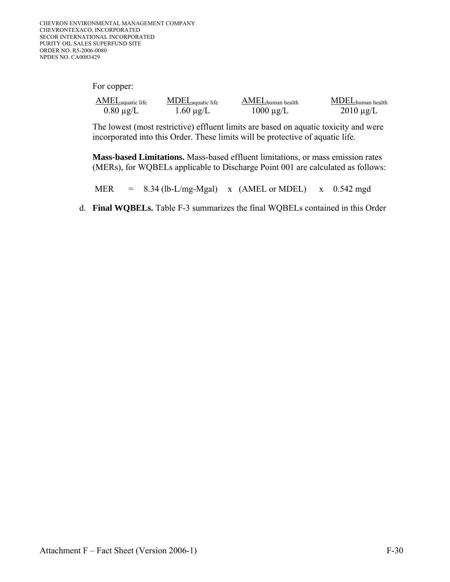| For copper:                         |                                     |                                     |                     |
|-------------------------------------|-------------------------------------|-------------------------------------|---------------------|
| <b>AMEL</b> <sub>aquatic</sub> life | <b>MDEL</b> <sub>aquatic</sub> life | $\text{AMEL}_{\text{human health}}$ | $MDEL$ human health |
| $0.80 \mu g/L$                      | $1.60 \mu g/L$                      | $1000 \mu g/L$                      | $2010 \mu g/L$      |

The lowest (most restrictive) effluent limits are based on aquatic toxicity and were incorporated into this Order. These limits will be protective of aquatic life.

**Mass-based Limitations.** Mass-based effluent limitations, or mass emission rates (MERs), for WQBELs applicable to Discharge Point 001 are calculated as follows:

MER =  $8.34$  (lb-L/mg-Mgal) x (AMEL or MDEL) x  $0.542$  mgd

d. **Final WQBELs.** Table F-3 summarizes the final WQBELs contained in this Order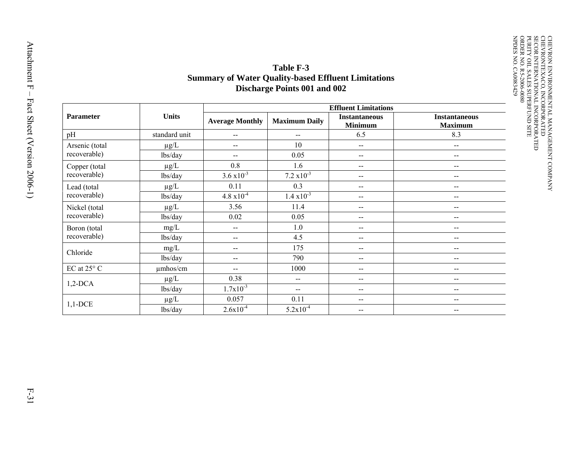| Table F-3                                                  |
|------------------------------------------------------------|
| <b>Summary of Water Quality-based Effluent Limitations</b> |
| Discharge Points 001 and 002                               |

|                    |               |                          |                             | <b>Effluent Limitations</b>                   |                                               |
|--------------------|---------------|--------------------------|-----------------------------|-----------------------------------------------|-----------------------------------------------|
| Parameter          | <b>Units</b>  | <b>Average Monthly</b>   | <b>Maximum Daily</b>        | <b>Instantaneous</b><br><b>Minimum</b>        | <b>Instantaneous</b><br><b>Maximum</b>        |
| pH                 | standard unit | $\sim$                   | $\overline{\phantom{a}}$    | 6.5                                           | 8.3                                           |
| Arsenic (total     | $\mu g/L$     | $\sim$                   | 10                          | $\overline{\phantom{m}}$                      | $\mathbf{u}$                                  |
| recoverable)       | lbs/day       | $\overline{a}$           | 0.05                        | $- -$                                         | $\overline{a}$                                |
| Copper (total      | $\mu g/L$     | 0.8                      | 1.6                         | $-$                                           | $\mathbf{--}$                                 |
| recoverable)       | lbs/day       | $3.6 \times 10^{-3}$     | $7.2 \times 10^{-3}$        | $-$                                           | $\overline{\phantom{m}}$                      |
| Lead (total        | $\mu g/L$     | 0.11                     | 0.3                         | $\overline{\phantom{a}}$                      | $\mathbf{u}$                                  |
| recoverable)       | lbs/day       | $4.8 \times 10^{-4}$     | $1.4 \times 10^{-3}$        | $\mathbf{u}$                                  | $-$                                           |
| Nickel (total      | $\mu g/L$     | 3.56                     | 11.4                        | $-$                                           | $-$                                           |
| recoverable)       | lbs/day       | 0.02                     | 0.05                        | $\mathbf{u}$                                  | $\mathbf{--}$                                 |
| Boron (total       | mg/L          | $\mathbf{u}$             | 1.0                         | $\qquad \qquad -$                             | $\overline{\phantom{a}}$                      |
| recoverable)       | lbs/day       | $\overline{\phantom{a}}$ | 4.5                         | $\overline{a}$                                | $\overline{\phantom{a}}$                      |
| Chloride           | mg/L          | --                       | 175                         | $\overline{\phantom{a}}$                      | $\mathbf{m}$                                  |
|                    | lbs/day       | --                       | 790                         | --                                            | $-$                                           |
| EC at 25 $\circ$ C | umhos/cm      | $\overline{a}$           | 1000                        | $-$                                           | $\mathord{\hspace{1pt}\text{--}\hspace{1pt}}$ |
| $1,2$ -DCA         | $\mu g/L$     | 0.38                     | $\mathcal{L}_{\mathcal{F}}$ | $-$                                           | $\mathbf{m}$                                  |
|                    | lbs/day       | $1.7x10^{-3}$            | $-$                         | --                                            | $-$                                           |
| $1,1$ -DCE         | $\mu g/L$     | 0.057                    | 0.11                        | $-$                                           | $\overline{a}$                                |
|                    | lbs/day       | $2.6x10^{-4}$            | $5.2x10^{-4}$               | $\mathord{\hspace{1pt}\text{--}\hspace{1pt}}$ | $\mathord{\hspace{1pt}\text{--}\hspace{1pt}}$ |

PDES NO. CA0083429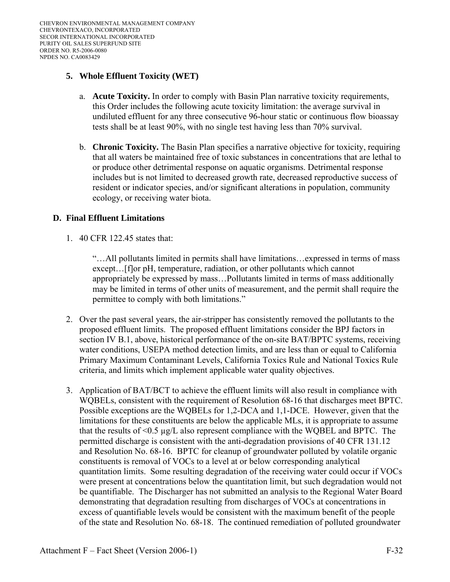# **5. Whole Effluent Toxicity (WET)**

- a. **Acute Toxicity.** In order to comply with Basin Plan narrative toxicity requirements, this Order includes the following acute toxicity limitation: the average survival in undiluted effluent for any three consecutive 96-hour static or continuous flow bioassay tests shall be at least 90%, with no single test having less than 70% survival.
- b. **Chronic Toxicity.** The Basin Plan specifies a narrative objective for toxicity, requiring that all waters be maintained free of toxic substances in concentrations that are lethal to or produce other detrimental response on aquatic organisms. Detrimental response includes but is not limited to decreased growth rate, decreased reproductive success of resident or indicator species, and/or significant alterations in population, community ecology, or receiving water biota.

# **D. Final Effluent Limitations**

1. 40 CFR 122.45 states that:

 "…All pollutants limited in permits shall have limitations…expressed in terms of mass except... [f]or pH, temperature, radiation, or other pollutants which cannot appropriately be expressed by mass…Pollutants limited in terms of mass additionally may be limited in terms of other units of measurement, and the permit shall require the permittee to comply with both limitations."

- 2. Over the past several years, the air-stripper has consistently removed the pollutants to the proposed effluent limits. The proposed effluent limitations consider the BPJ factors in section IV B.1, above, historical performance of the on-site BAT/BPTC systems, receiving water conditions, USEPA method detection limits, and are less than or equal to California Primary Maximum Contaminant Levels, California Toxics Rule and National Toxics Rule criteria, and limits which implement applicable water quality objectives.
- 3. Application of BAT/BCT to achieve the effluent limits will also result in compliance with WQBELs, consistent with the requirement of Resolution 68-16 that discharges meet BPTC. Possible exceptions are the WQBELs for 1,2-DCA and 1,1-DCE. However, given that the limitations for these constituents are below the applicable MLs, it is appropriate to assume that the results of <0.5 µg/L also represent compliance with the WQBEL and BPTC.The permitted discharge is consistent with the anti-degradation provisions of 40 CFR 131.12 and Resolution No. 68-16. BPTC for cleanup of groundwater polluted by volatile organic constituents is removal of VOCs to a level at or below corresponding analytical quantitation limits. Some resulting degradation of the receiving water could occur if VOCs were present at concentrations below the quantitation limit, but such degradation would not be quantifiable. The Discharger has not submitted an analysis to the Regional Water Board demonstrating that degradation resulting from discharges of VOCs at concentrations in excess of quantifiable levels would be consistent with the maximum benefit of the people of the state and Resolution No. 68-18. The continued remediation of polluted groundwater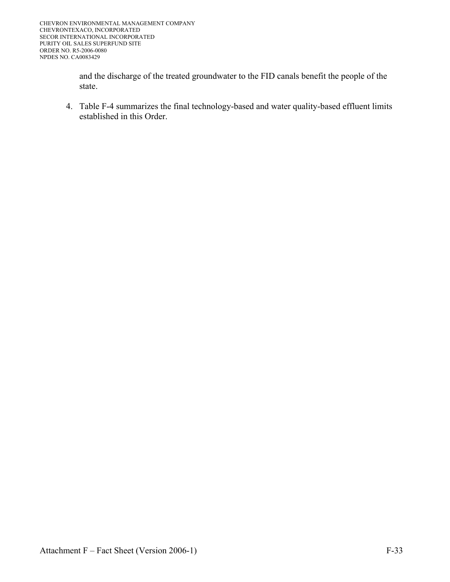and the discharge of the treated groundwater to the FID canals benefit the people of the state.

4. Table F-4 summarizes the final technology-based and water quality-based effluent limits established in this Order.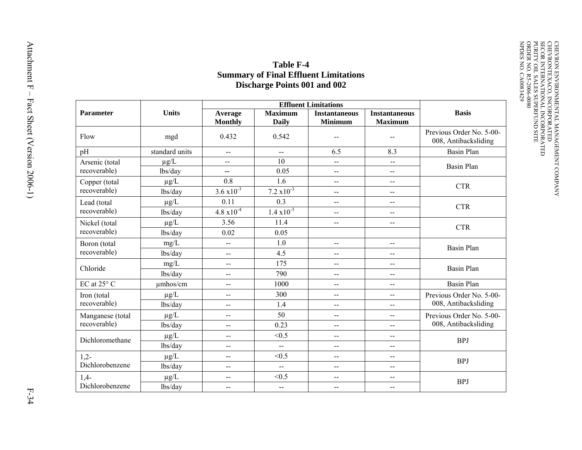| <b>Table F-4</b><br><b>Summary of Final Effluent Limitations</b><br><b>Discharge Points 001 and 002</b> |                |                           |                                |                                        |                                        |                                                  |  |  |
|---------------------------------------------------------------------------------------------------------|----------------|---------------------------|--------------------------------|----------------------------------------|----------------------------------------|--------------------------------------------------|--|--|
|                                                                                                         |                |                           |                                | <b>Effluent Limitations</b>            |                                        |                                                  |  |  |
| <b>Parameter</b>                                                                                        | <b>Units</b>   | Average<br><b>Monthly</b> | <b>Maximum</b><br><b>Daily</b> | <b>Instantaneous</b><br><b>Minimum</b> | <b>Instantaneous</b><br><b>Maximum</b> | <b>Basis</b>                                     |  |  |
| Flow                                                                                                    | mgd            | 0.432                     | 0.542                          | $\mathbf{u}$                           | $-$                                    | Previous Order No. 5-00-<br>008, Antibacksliding |  |  |
| pH                                                                                                      | standard units | $\overline{a}$            | $\overline{a}$                 | 6.5                                    | 8.3                                    | <b>Basin Plan</b>                                |  |  |
| Arsenic (total                                                                                          | $\mu$ g/L      | $\mathbf{u}$              | 10                             | $\overline{\phantom{a}}$               | $\overline{\phantom{a}}$               | <b>Basin Plan</b>                                |  |  |
| recoverable)                                                                                            | lbs/day        | $\overline{\phantom{a}}$  | 0.05                           | $\overline{a}$                         | $\overline{a}$                         |                                                  |  |  |
| Copper (total                                                                                           | $\mu$ g/L      | 0.8                       | 1.6                            | $\overline{\phantom{a}}$               | $\overline{\phantom{a}}$               | <b>CTR</b>                                       |  |  |
| recoverable)                                                                                            | lbs/day        | $3.6 \times 10^{-3}$      | $7.2 \overline{x10^{-3}}$      | $\overline{a}$                         | $\overline{a}$                         |                                                  |  |  |
| Lead (total                                                                                             | $\mu g/L$      | 0.11                      | 0.3                            | $\mathbf{H}$                           | $\overline{\phantom{a}}$               | <b>CTR</b>                                       |  |  |
| recoverable)                                                                                            | lbs/day        | $4.8 \times 10^{-4}$      | $1.4 \times 10^{-3}$           | $\overline{a}$                         | $\overline{a}$                         |                                                  |  |  |
| Nickel (total                                                                                           | $\mu$ g/L      | 3.56                      | 11.4                           | $\hspace{0.05cm}$ $\hspace{0.05cm}$    | $\overline{\phantom{m}}$               | <b>CTR</b>                                       |  |  |
| recoverable)                                                                                            | lbs/day        | 0.02                      | 0.05                           |                                        |                                        |                                                  |  |  |
| Boron (total                                                                                            | mg/L           | $\mathbf{L}$              | 1.0                            | $\mathbf{u}$                           | $\overline{a}$                         | <b>Basin Plan</b>                                |  |  |
| recoverable)                                                                                            | lbs/day        | $\overline{\phantom{a}}$  | 4.5                            | $-$                                    | $\overline{a}$                         |                                                  |  |  |
|                                                                                                         | mg/L           | $-$                       | 175                            | $\mathbf{u}$                           | $\overline{\phantom{a}}$               |                                                  |  |  |
| Chloride                                                                                                | lbs/day        | $\overline{a}$            | 790                            | $\mathbf{u}$                           | $\overline{a}$                         | <b>Basin Plan</b>                                |  |  |
| EC at $25^{\circ}$ C                                                                                    | umhos/cm       | $\overline{\phantom{a}}$  | 1000                           | $\mathcal{L}_{\mathcal{F}}$            | $\overline{\phantom{a}}$               | <b>Basin Plan</b>                                |  |  |
| Iron (total                                                                                             | $\mu g/L$      | $\overline{a}$            | 300                            | $-$                                    | $\overline{\phantom{a}}$               | Previous Order No. 5-00-                         |  |  |
| recoverable)                                                                                            | lbs/day        | --                        | 1.4                            | $\overline{\phantom{m}}$               | $\overline{\phantom{a}}$               | 008, Antibacksliding                             |  |  |
| Manganese (total                                                                                        | $\mu$ g/L      | $\overline{a}$            | 50                             | $\sim$                                 | $\overline{\phantom{a}}$               | Previous Order No. 5-00-                         |  |  |
| recoverable)                                                                                            | lbs/day        | $\overline{\phantom{a}}$  | 0.23                           | $\mathbf{--}$                          | $\sim$                                 | 008, Antibacksliding                             |  |  |
|                                                                                                         | $\mu$ g/L      | $-$                       | < 0.5                          | $\overline{\phantom{a}}$               | $\overline{a}$                         |                                                  |  |  |
| Dichloromethane                                                                                         | lbs/day        | $-$                       | $\overline{\phantom{a}}$       | $\mathbf{--}$                          | $\mathcal{L}_{\mathcal{F}}$            | <b>BPJ</b>                                       |  |  |
| $1,2-$                                                                                                  | $\mu$ g/L      | $\overline{\phantom{a}}$  | < 0.5                          | $\overline{a}$                         | $\overline{a}$                         |                                                  |  |  |
| Dichlorobenzene                                                                                         | lbs/day        | $\overline{\phantom{a}}$  | $\overline{\phantom{a}}$       | $\mathbf{u}$                           | $\overline{\phantom{a}}$               | <b>BPJ</b>                                       |  |  |
| $1.4-$                                                                                                  | $\mu g/L$      | $\overline{\phantom{a}}$  | < 0.5                          | $-$                                    | $\overline{\phantom{a}}$               |                                                  |  |  |
| Dichlorobenzene                                                                                         | lbs/day        | $\overline{\phantom{a}}$  | $\frac{1}{2}$                  | $\mathbf{u}$                           | $\overline{a}$                         | <b>BPJ</b>                                       |  |  |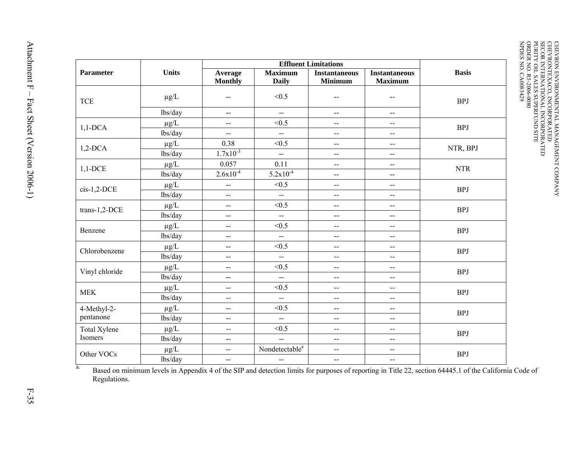| Parameter          | Units     | Average                                       | <b>Maximum</b>              | <b>Effluent Limitations</b><br><b>Instantaneous</b> | <b>Instantaneous</b>                                                                                                                                   | <b>Basis</b> |
|--------------------|-----------|-----------------------------------------------|-----------------------------|-----------------------------------------------------|--------------------------------------------------------------------------------------------------------------------------------------------------------|--------------|
|                    |           | <b>Monthly</b>                                | <b>Daily</b>                | <b>Minimum</b>                                      | <b>Maximum</b>                                                                                                                                         |              |
| <b>TCE</b>         | $\mu$ g/L | $\qquad \qquad -$                             | < 0.5                       | $\overline{\phantom{m}}$                            | $\overline{\phantom{a}}$                                                                                                                               | <b>BPJ</b>   |
|                    | lbs/day   | $\overline{a}$                                | $\overline{\phantom{a}}$    | $\overline{a}$                                      | н.                                                                                                                                                     |              |
|                    | $\mu$ g/L | $\overline{\phantom{a}}$                      | < 0.5                       | $\hspace{0.05cm}$ – $\hspace{0.05cm}$               | $\overline{\phantom{a}}$                                                                                                                               |              |
| $1,1$ -DCA         | lbs/day   | Ц.                                            | Щ.                          | $\overline{a}$                                      | $\overline{a}$                                                                                                                                         | <b>BPJ</b>   |
|                    | $\mu g/L$ | 0.38                                          | < 0.5                       | $\overline{\phantom{a}}$                            | $\overline{\phantom{a}}$                                                                                                                               |              |
| $1,2$ -DCA         | lbs/day   | $1.7x10^{-3}$                                 | $\overline{\phantom{a}}$    | $\mathbf{--}$                                       | $\overline{\phantom{a}}$                                                                                                                               | NTR, BPJ     |
|                    | $\mu$ g/L | 0.057                                         | 0.11                        | $\overline{\phantom{a}}$                            | $\overline{\phantom{a}}$                                                                                                                               |              |
| $1,1$ -DCE         | lbs/day   | $2.6x10^{-4}$                                 | $5.2x10^{-4}$               | $\overline{\phantom{m}}$                            | $\overline{\phantom{a}}$                                                                                                                               | <b>NTR</b>   |
|                    | $\mu g/L$ | $\overline{\phantom{a}}$                      | < 0.5                       | $\overline{\phantom{a}}$                            | $\overline{\phantom{a}}$                                                                                                                               |              |
| $cis-1,2-DCE$      | lbs/day   | $\overline{\phantom{a}}$                      | $\overline{\phantom{a}}$    | $\overline{\phantom{a}}$                            | н.                                                                                                                                                     | <b>BPJ</b>   |
| trans-1,2-DCE      | $\mu$ g/L | $\overline{\phantom{a}}$                      | < 0.5                       | $\overline{\phantom{m}}$                            | $\overline{\phantom{a}}$                                                                                                                               | <b>BPJ</b>   |
|                    | lbs/day   | $\overline{\phantom{a}}$                      | $\mathcal{L}_{\mathcal{F}}$ | $\mathbf{H} = \mathbf{H}$                           | $\overline{a}$                                                                                                                                         |              |
| Benzene            | $\mu$ g/L | $\overline{\phantom{a}}$                      | < 0.5                       | $\mathbf{u}$                                        | $\mathcal{L}_{\mathcal{L}}$                                                                                                                            | <b>BPJ</b>   |
|                    | lbs/day   | $\sim$                                        | $\overline{\phantom{a}}$    | $\mathord{\hspace{1pt}\text{--}\hspace{1pt}}$       | $\mathcal{L} = \mathcal{L}$                                                                                                                            |              |
|                    | $\mu g/L$ | --                                            | < 0.5                       | $\mathord{\hspace{1pt}\text{--}\hspace{1pt}}$       | $\overline{\phantom{a}}$                                                                                                                               |              |
| Chlorobenzene      | lbs/day   | $\overline{\phantom{a}}$                      | $\mathcal{L}_{\mathcal{F}}$ | $\overline{\phantom{m}}$                            | $\overline{\phantom{a}}$                                                                                                                               | <b>BPJ</b>   |
|                    | $\mu g/L$ | $\overline{\phantom{a}}$                      | < 0.5                       | $\overline{\phantom{m}}$                            | $\hspace{0.05cm}$ $\hspace{0.05cm}$                                                                                                                    |              |
| Vinyl chloride     | lbs/day   | --                                            | $\overline{\phantom{a}}$    | $\overline{a}$                                      | н.                                                                                                                                                     | <b>BPJ</b>   |
|                    | $\mu$ g/L | $\overline{\phantom{a}}$                      | < 0.5                       | $\overline{\phantom{a}}$                            | $\overline{\phantom{a}}$                                                                                                                               |              |
| <b>MEK</b>         | lbs/day   | $\overline{\phantom{a}}$                      | $\overline{a}$              | $\mathbf{u}$                                        | $\overline{\phantom{a}}$                                                                                                                               | <b>BPJ</b>   |
| 4-Methyl-2-        | $\mu$ g/L | $\overline{\phantom{a}}$                      | < 0.5                       | $\overline{\phantom{m}}$                            | $\hspace{0.05cm}$ $\hspace{0.05cm}$                                                                                                                    |              |
| pentanone          | lbs/day   | $-$                                           | $\overline{\phantom{a}}$    | $\mathord{\hspace{1pt}\text{--}\hspace{1pt}}$       | $\sim$                                                                                                                                                 | <b>BPJ</b>   |
| Total Xylene       | $\mu$ g/L | $\overline{a}$                                | < 0.5                       | $\mathcal{L}_{\mathcal{F}}$                         | $\overline{a}$                                                                                                                                         |              |
| Isomers            | lbs/day   | $\mathord{\hspace{1pt}\text{--}\hspace{1pt}}$ | $\overline{\phantom{a}}$    | $\overline{\phantom{a}}$                            | $\mathord{\hspace{1pt}\text{--}\hspace{1pt}}$                                                                                                          | <b>BPJ</b>   |
|                    | $\mu g/L$ | $\mathcal{L}_{\mathcal{F}}$                   | Nondetectable <sup>a</sup>  | $\overline{\phantom{a}}$                            | $\mathord{\hspace{1pt}\text{--}\hspace{1pt}}$                                                                                                          |              |
| Other VOCs         | lbs/day   | $\overline{a}$                                | Ц.                          | $\sim$                                              | $\overline{a}$                                                                                                                                         | <b>BPJ</b>   |
| a.<br>Regulations. |           |                                               |                             |                                                     | Based on minimum levels in Appendix 4 of the SIP and detection limits for purposes of reporting in Title 22, section 64445.1 of the California Code of |              |

CHEVRON ENVIRONMENTAL MANAGEMENT COMPANY<br>CHEVRONTEXACO, INCORPORATED<br>SECOR INTERNATIONAL INCORPORATED<br>PURITY OIL SALES SUPERFUND SITE<br>ORDER NO. CA0083429<br>NPDES NO. CA0083429

CHEVRON ENVIRONMENTAL MANAGEMENT COMPANY

PURITY OIL SALES SUPERFUND SITE SECOR INTERNATIONAL INCORPORATED CHEVRONTEXACO, INCORPORATED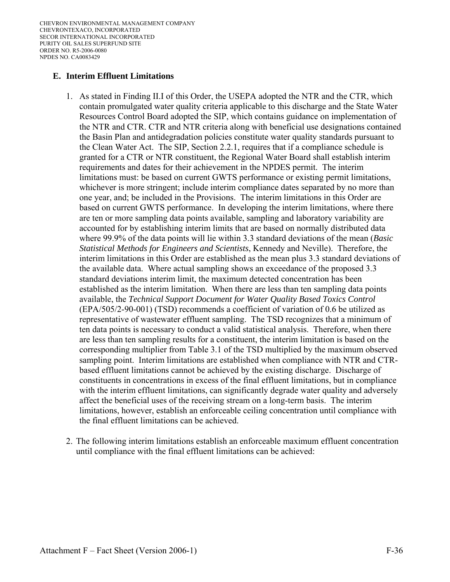CHEVRON ENVIRONMENTAL MANAGEMENT COMPANY CHEVRONTEXACO, INCORPORATED SECOR INTERNATIONAL INCORPORATED PURITY OIL SALES SUPERFUND SITE ORDER NO. R5-2006-0080 NPDES NO. CA0083429

### **E. Interim Effluent Limitations**

- 1. As stated in Finding II.I of this Order, the USEPA adopted the NTR and the CTR, which contain promulgated water quality criteria applicable to this discharge and the State Water Resources Control Board adopted the SIP, which contains guidance on implementation of the NTR and CTR. CTR and NTR criteria along with beneficial use designations contained the Basin Plan and antidegradation policies constitute water quality standards pursuant to the Clean Water Act. The SIP, Section 2.2.1, requires that if a compliance schedule is granted for a CTR or NTR constituent, the Regional Water Board shall establish interim requirements and dates for their achievement in the NPDES permit. The interim limitations must: be based on current GWTS performance or existing permit limitations, whichever is more stringent; include interim compliance dates separated by no more than one year, and; be included in the Provisions. The interim limitations in this Order are based on current GWTS performance. In developing the interim limitations, where there are ten or more sampling data points available, sampling and laboratory variability are accounted for by establishing interim limits that are based on normally distributed data where 99.9% of the data points will lie within 3.3 standard deviations of the mean (*Basic Statistical Methods for Engineers and Scientists*, Kennedy and Neville). Therefore, the interim limitations in this Order are established as the mean plus 3.3 standard deviations of the available data. Where actual sampling shows an exceedance of the proposed 3.3 standard deviations interim limit, the maximum detected concentration has been established as the interim limitation. When there are less than ten sampling data points available, the *Technical Support Document for Water Quality Based Toxics Control* (EPA/505/2-90-001) (TSD) recommends a coefficient of variation of 0.6 be utilized as representative of wastewater effluent sampling. The TSD recognizes that a minimum of ten data points is necessary to conduct a valid statistical analysis. Therefore, when there are less than ten sampling results for a constituent, the interim limitation is based on the corresponding multiplier from Table 3.1 of the TSD multiplied by the maximum observed sampling point. Interim limitations are established when compliance with NTR and CTRbased effluent limitations cannot be achieved by the existing discharge. Discharge of constituents in concentrations in excess of the final effluent limitations, but in compliance with the interim effluent limitations, can significantly degrade water quality and adversely affect the beneficial uses of the receiving stream on a long-term basis. The interim limitations, however, establish an enforceable ceiling concentration until compliance with the final effluent limitations can be achieved.
- 2. The following interim limitations establish an enforceable maximum effluent concentration until compliance with the final effluent limitations can be achieved: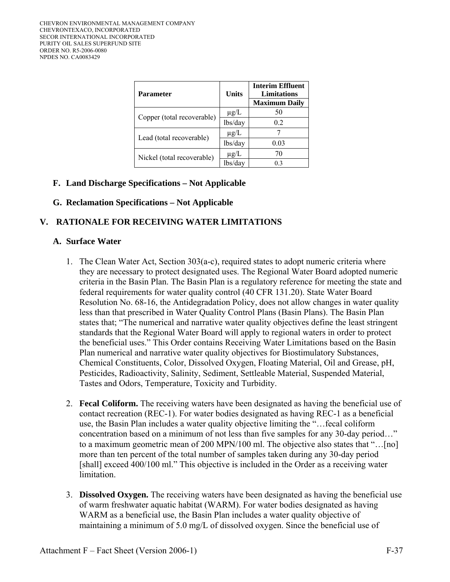CHEVRON ENVIRONMENTAL MANAGEMENT COMPANY CHEVRONTEXACO, INCORPORATED SECOR INTERNATIONAL INCORPORATED PURITY OIL SALES SUPERFUND SITE ORDER NO. R5-2006-0080 NPDES NO. CA0083429

| Parameter                  | <b>Units</b> | <b>Interim Effluent</b><br><b>Limitations</b> |  |
|----------------------------|--------------|-----------------------------------------------|--|
|                            |              | <b>Maximum Daily</b>                          |  |
| Copper (total recoverable) | $\mu$ g/L    | 50                                            |  |
|                            | lbs/day      | 0.2                                           |  |
| Lead (total recoverable)   | $\mu$ g/L    |                                               |  |
|                            | lbs/day      | 0.03                                          |  |
| Nickel (total recoverable) | $\mu$ g/L    | 70                                            |  |
|                            | lbs/day      | 0.3                                           |  |

# **F. Land Discharge Specifications – Not Applicable**

#### **G. Reclamation Specifications – Not Applicable**

#### **V. RATIONALE FOR RECEIVING WATER LIMITATIONS**

#### **A. Surface Water**

- 1. The Clean Water Act, Section 303(a-c), required states to adopt numeric criteria where they are necessary to protect designated uses. The Regional Water Board adopted numeric criteria in the Basin Plan. The Basin Plan is a regulatory reference for meeting the state and federal requirements for water quality control (40 CFR 131.20). State Water Board Resolution No. 68-16, the Antidegradation Policy, does not allow changes in water quality less than that prescribed in Water Quality Control Plans (Basin Plans). The Basin Plan states that; "The numerical and narrative water quality objectives define the least stringent standards that the Regional Water Board will apply to regional waters in order to protect the beneficial uses." This Order contains Receiving Water Limitations based on the Basin Plan numerical and narrative water quality objectives for Biostimulatory Substances, Chemical Constituents, Color, Dissolved Oxygen, Floating Material, Oil and Grease, pH, Pesticides, Radioactivity, Salinity, Sediment, Settleable Material, Suspended Material, Tastes and Odors, Temperature, Toxicity and Turbidity.
- 2. **Fecal Coliform.** The receiving waters have been designated as having the beneficial use of contact recreation (REC-1). For water bodies designated as having REC-1 as a beneficial use, the Basin Plan includes a water quality objective limiting the "…fecal coliform concentration based on a minimum of not less than five samples for any 30-day period…" to a maximum geometric mean of 200 MPN/100 ml. The objective also states that "…[no] more than ten percent of the total number of samples taken during any 30-day period [shall] exceed 400/100 ml." This objective is included in the Order as a receiving water limitation.
- 3. **Dissolved Oxygen.** The receiving waters have been designated as having the beneficial use of warm freshwater aquatic habitat (WARM). For water bodies designated as having WARM as a beneficial use, the Basin Plan includes a water quality objective of maintaining a minimum of 5.0 mg/L of dissolved oxygen. Since the beneficial use of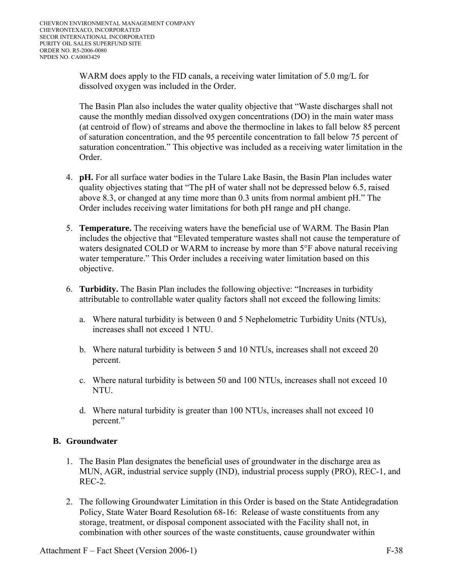WARM does apply to the FID canals, a receiving water limitation of 5.0 mg/L for dissolved oxygen was included in the Order.

The Basin Plan also includes the water quality objective that "Waste discharges shall not cause the monthly median dissolved oxygen concentrations (DO) in the main water mass (at centroid of flow) of streams and above the thermocline in lakes to fall below 85 percent of saturation concentration, and the 95 percentile concentration to fall below 75 percent of saturation concentration." This objective was included as a receiving water limitation in the Order.

- 4. **pH.** For all surface water bodies in the Tulare Lake Basin, the Basin Plan includes water quality objectives stating that "The pH of water shall not be depressed below 6.5, raised above 8.3, or changed at any time more than 0.3 units from normal ambient pH." The Order includes receiving water limitations for both pH range and pH change.
- 5. **Temperature.** The receiving waters have the beneficial use of WARM. The Basin Plan includes the objective that "Elevated temperature wastes shall not cause the temperature of waters designated COLD or WARM to increase by more than 5°F above natural receiving water temperature." This Order includes a receiving water limitation based on this objective.
- 6. **Turbidity.** The Basin Plan includes the following objective: "Increases in turbidity attributable to controllable water quality factors shall not exceed the following limits:
	- a. Where natural turbidity is between 0 and 5 Nephelometric Turbidity Units (NTUs), increases shall not exceed 1 NTU.
	- b. Where natural turbidity is between 5 and 10 NTUs, increases shall not exceed 20 percent.
	- c. Where natural turbidity is between 50 and 100 NTUs, increases shall not exceed 10 NTU.
	- d. Where natural turbidity is greater than 100 NTUs, increases shall not exceed 10 percent."

# **B. Groundwater**

- 1. The Basin Plan designates the beneficial uses of groundwater in the discharge area as MUN, AGR, industrial service supply (IND), industrial process supply (PRO), REC-1, and REC-2.
- 2. The following Groundwater Limitation in this Order is based on the State Antidegradation Policy, State Water Board Resolution 68-16: Release of waste constituents from any storage, treatment, or disposal component associated with the Facility shall not, in combination with other sources of the waste constituents, cause groundwater within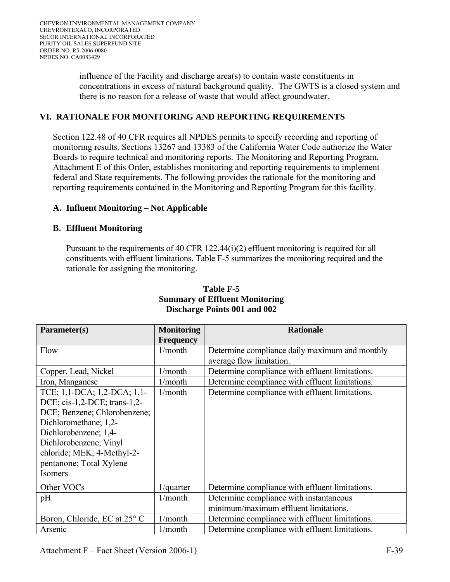influence of the Facility and discharge area(s) to contain waste constituents in concentrations in excess of natural background quality. The GWTS is a closed system and there is no reason for a release of waste that would affect groundwater.

# **VI. RATIONALE FOR MONITORING AND REPORTING REQUIREMENTS**

Section 122.48 of 40 CFR requires all NPDES permits to specify recording and reporting of monitoring results. Sections 13267 and 13383 of the California Water Code authorize the Water Boards to require technical and monitoring reports. The Monitoring and Reporting Program, Attachment E of this Order, establishes monitoring and reporting requirements to implement federal and State requirements. The following provides the rationale for the monitoring and reporting requirements contained in the Monitoring and Reporting Program for this facility.

# **A. Influent Monitoring – Not Applicable**

# **B. Effluent Monitoring**

Pursuant to the requirements of 40 CFR 122.44(i)(2) effluent monitoring is required for all constituents with effluent limitations. Table F-5 summarizes the monitoring required and the rationale for assigning the monitoring.

| Parameter(s)                                                                                                                                                                                                                                | <b>Monitoring</b><br>Frequency | <b>Rationale</b>                                                                 |  |  |  |  |  |  |  |
|---------------------------------------------------------------------------------------------------------------------------------------------------------------------------------------------------------------------------------------------|--------------------------------|----------------------------------------------------------------------------------|--|--|--|--|--|--|--|
| Flow                                                                                                                                                                                                                                        | 1/month                        | Determine compliance daily maximum and monthly<br>average flow limitation.       |  |  |  |  |  |  |  |
| Copper, Lead, Nickel                                                                                                                                                                                                                        | 1/month                        | Determine compliance with effluent limitations.                                  |  |  |  |  |  |  |  |
| Iron, Manganese                                                                                                                                                                                                                             | 1/month                        | Determine compliance with effluent limitations.                                  |  |  |  |  |  |  |  |
| TCE; 1,1-DCA; 1,2-DCA; 1,1-<br>DCE; cis-1,2-DCE; trans-1,2-<br>DCE; Benzene; Chlorobenzene;<br>Dichloromethane; 1,2-<br>Dichlorobenzene; 1,4-<br>Dichlorobenzene; Vinyl<br>chloride; MEK; 4-Methyl-2-<br>pentanone; Total Xylene<br>Isomers | 1/month                        | Determine compliance with effluent limitations.                                  |  |  |  |  |  |  |  |
| Other VOCs                                                                                                                                                                                                                                  | $1$ /quarter                   | Determine compliance with effluent limitations.                                  |  |  |  |  |  |  |  |
| pH                                                                                                                                                                                                                                          | 1/month                        | Determine compliance with instantaneous<br>minimum/maximum effluent limitations. |  |  |  |  |  |  |  |
| Boron, Chloride, EC at 25° C                                                                                                                                                                                                                | 1/month                        | Determine compliance with effluent limitations.                                  |  |  |  |  |  |  |  |
| Arsenic                                                                                                                                                                                                                                     | 1/month                        | Determine compliance with effluent limitations.                                  |  |  |  |  |  |  |  |

#### **Table F-5 Summary of Effluent Monitoring Discharge Points 001 and 002**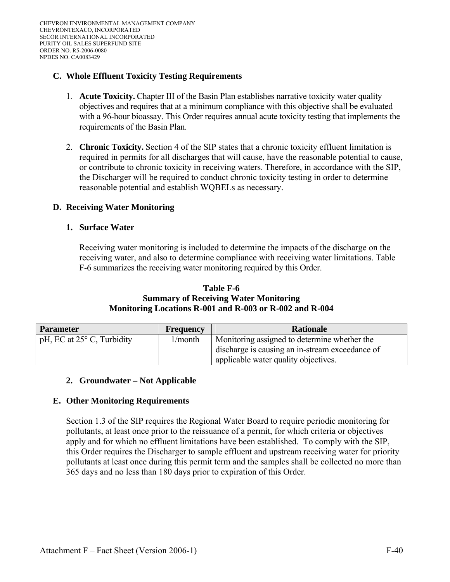# **C. Whole Effluent Toxicity Testing Requirements**

- 1. **Acute Toxicity.** Chapter III of the Basin Plan establishes narrative toxicity water quality objectives and requires that at a minimum compliance with this objective shall be evaluated with a 96-hour bioassay. This Order requires annual acute toxicity testing that implements the requirements of the Basin Plan.
- 2. **Chronic Toxicity.** Section 4 of the SIP states that a chronic toxicity effluent limitation is required in permits for all discharges that will cause, have the reasonable potential to cause, or contribute to chronic toxicity in receiving waters. Therefore, in accordance with the SIP, the Discharger will be required to conduct chronic toxicity testing in order to determine reasonable potential and establish WQBELs as necessary.

# **D. Receiving Water Monitoring**

#### **1. Surface Water**

 Receiving water monitoring is included to determine the impacts of the discharge on the receiving water, and also to determine compliance with receiving water limitations. Table F-6 summarizes the receiving water monitoring required by this Order.

## **Table F-6 Summary of Receiving Water Monitoring Monitoring Locations R-001 and R-003 or R-002 and R-004**

| <b>Parameter</b>                    | Frequency  | <b>Rationale</b>                                                                                                                        |  |  |  |  |  |  |  |
|-------------------------------------|------------|-----------------------------------------------------------------------------------------------------------------------------------------|--|--|--|--|--|--|--|
| pH, EC at $25^{\circ}$ C, Turbidity | $1/m$ onth | Monitoring assigned to determine whether the<br>discharge is causing an in-stream exceedance of<br>applicable water quality objectives. |  |  |  |  |  |  |  |

#### **2. Groundwater – Not Applicable**

#### **E. Other Monitoring Requirements**

Section 1.3 of the SIP requires the Regional Water Board to require periodic monitoring for pollutants, at least once prior to the reissuance of a permit, for which criteria or objectives apply and for which no effluent limitations have been established. To comply with the SIP, this Order requires the Discharger to sample effluent and upstream receiving water for priority pollutants at least once during this permit term and the samples shall be collected no more than 365 days and no less than 180 days prior to expiration of this Order.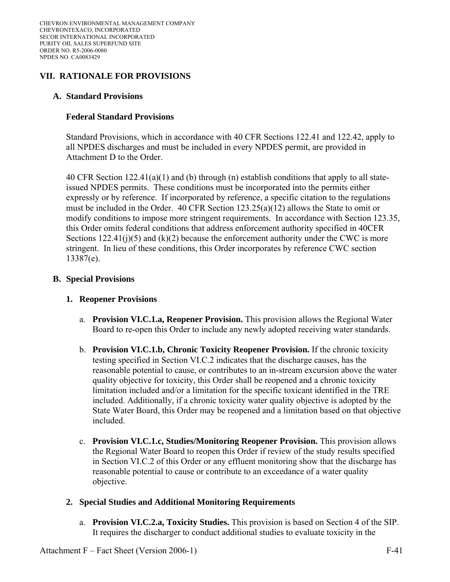# **VII. RATIONALE FOR PROVISIONS**

#### **A. Standard Provisions**

## **Federal Standard Provisions**

Standard Provisions, which in accordance with 40 CFR Sections 122.41 and 122.42, apply to all NPDES discharges and must be included in every NPDES permit, are provided in Attachment D to the Order.

40 CFR Section 122.41(a)(1) and (b) through (n) establish conditions that apply to all stateissued NPDES permits. These conditions must be incorporated into the permits either expressly or by reference. If incorporated by reference, a specific citation to the regulations must be included in the Order. 40 CFR Section 123.25(a)(12) allows the State to omit or modify conditions to impose more stringent requirements. In accordance with Section 123.35, this Order omits federal conditions that address enforcement authority specified in 40CFR Sections  $122.41(i)(5)$  and  $(k)(2)$  because the enforcement authority under the CWC is more stringent. In lieu of these conditions, this Order incorporates by reference CWC section 13387(e).

# **B. Special Provisions**

#### **1. Reopener Provisions**

- a. **Provision VI.C.1.a, Reopener Provision.** This provision allows the Regional Water Board to re-open this Order to include any newly adopted receiving water standards.
- b. **Provision VI.C.1.b, Chronic Toxicity Reopener Provision.** If the chronic toxicity testing specified in Section VI.C.2 indicates that the discharge causes, has the reasonable potential to cause, or contributes to an in-stream excursion above the water quality objective for toxicity, this Order shall be reopened and a chronic toxicity limitation included and/or a limitation for the specific toxicant identified in the TRE included. Additionally, if a chronic toxicity water quality objective is adopted by the State Water Board, this Order may be reopened and a limitation based on that objective included.
- c. **Provision VI.C.1.c, Studies/Monitoring Reopener Provision.** This provision allows the Regional Water Board to reopen this Order if review of the study results specified in Section VI.C.2 of this Order or any effluent monitoring show that the discharge has reasonable potential to cause or contribute to an exceedance of a water quality objective.

#### **2. Special Studies and Additional Monitoring Requirements**

a. **Provision VI.C.2.a, Toxicity Studies.** This provision is based on Section 4 of the SIP. It requires the discharger to conduct additional studies to evaluate toxicity in the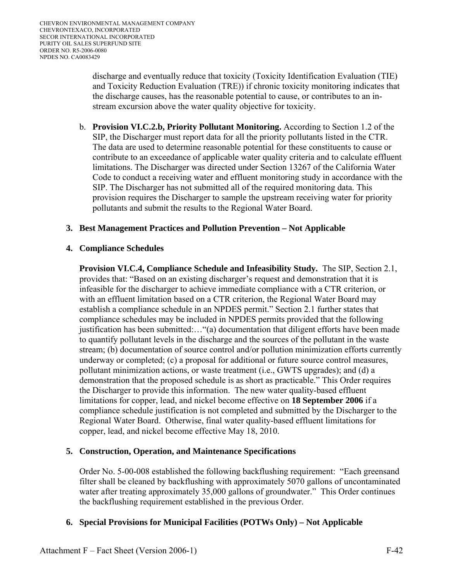discharge and eventually reduce that toxicity (Toxicity Identification Evaluation (TIE) and Toxicity Reduction Evaluation (TRE)) if chronic toxicity monitoring indicates that the discharge causes, has the reasonable potential to cause, or contributes to an instream excursion above the water quality objective for toxicity.

b. **Provision VI.C.2.b, Priority Pollutant Monitoring.** According to Section 1.2 of the SIP, the Discharger must report data for all the priority pollutants listed in the CTR. The data are used to determine reasonable potential for these constituents to cause or contribute to an exceedance of applicable water quality criteria and to calculate effluent limitations. The Discharger was directed under Section 13267 of the California Water Code to conduct a receiving water and effluent monitoring study in accordance with the SIP. The Discharger has not submitted all of the required monitoring data. This provision requires the Discharger to sample the upstream receiving water for priority pollutants and submit the results to the Regional Water Board.

# **3. Best Management Practices and Pollution Prevention – Not Applicable**

#### **4. Compliance Schedules**

**Provision VI.C.4, Compliance Schedule and Infeasibility Study.** The SIP, Section 2.1, provides that: "Based on an existing discharger's request and demonstration that it is infeasible for the discharger to achieve immediate compliance with a CTR criterion, or with an effluent limitation based on a CTR criterion, the Regional Water Board may establish a compliance schedule in an NPDES permit." Section 2.1 further states that compliance schedules may be included in NPDES permits provided that the following justification has been submitted:…"(a) documentation that diligent efforts have been made to quantify pollutant levels in the discharge and the sources of the pollutant in the waste stream; (b) documentation of source control and/or pollution minimization efforts currently underway or completed; (c) a proposal for additional or future source control measures, pollutant minimization actions, or waste treatment (i.e., GWTS upgrades); and (d) a demonstration that the proposed schedule is as short as practicable." This Order requires the Discharger to provide this information. The new water quality-based effluent limitations for copper, lead, and nickel become effective on **18 September 2006** if a compliance schedule justification is not completed and submitted by the Discharger to the Regional Water Board. Otherwise, final water quality-based effluent limitations for copper, lead, and nickel become effective May 18, 2010.

#### **5. Construction, Operation, and Maintenance Specifications**

Order No. 5-00-008 established the following backflushing requirement: "Each greensand filter shall be cleaned by backflushing with approximately 5070 gallons of uncontaminated water after treating approximately 35,000 gallons of groundwater." This Order continues the backflushing requirement established in the previous Order.

# **6. Special Provisions for Municipal Facilities (POTWs Only) – Not Applicable**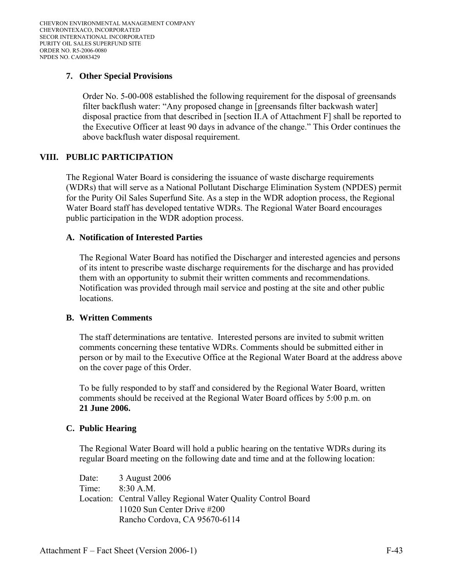## **7. Other Special Provisions**

Order No. 5-00-008 established the following requirement for the disposal of greensands filter backflush water: "Any proposed change in [greensands filter backwash water] disposal practice from that described in [section II.A of Attachment F] shall be reported to the Executive Officer at least 90 days in advance of the change." This Order continues the above backflush water disposal requirement.

# **VIII. PUBLIC PARTICIPATION**

The Regional Water Board is considering the issuance of waste discharge requirements (WDRs) that will serve as a National Pollutant Discharge Elimination System (NPDES) permit for the Purity Oil Sales Superfund Site. As a step in the WDR adoption process, the Regional Water Board staff has developed tentative WDRs. The Regional Water Board encourages public participation in the WDR adoption process.

#### **A. Notification of Interested Parties**

The Regional Water Board has notified the Discharger and interested agencies and persons of its intent to prescribe waste discharge requirements for the discharge and has provided them with an opportunity to submit their written comments and recommendations. Notification was provided through mail service and posting at the site and other public locations.

#### **B. Written Comments**

The staff determinations are tentative. Interested persons are invited to submit written comments concerning these tentative WDRs. Comments should be submitted either in person or by mail to the Executive Office at the Regional Water Board at the address above on the cover page of this Order.

To be fully responded to by staff and considered by the Regional Water Board, written comments should be received at the Regional Water Board offices by 5:00 p.m. on **21 June 2006.**

#### **C. Public Hearing**

The Regional Water Board will hold a public hearing on the tentative WDRs during its regular Board meeting on the following date and time and at the following location:

Date: 3 August 2006 Time: 8:30 A.M. Location: Central Valley Regional Water Quality Control Board 11020 Sun Center Drive #200 Rancho Cordova, CA 95670-6114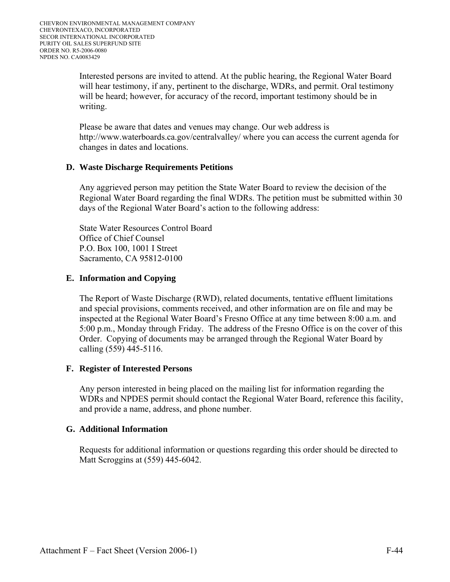Interested persons are invited to attend. At the public hearing, the Regional Water Board will hear testimony, if any, pertinent to the discharge, WDRs, and permit. Oral testimony will be heard; however, for accuracy of the record, important testimony should be in writing.

Please be aware that dates and venues may change. Our web address is http://www.waterboards.ca.gov/centralvalley/ where you can access the current agenda for changes in dates and locations.

# **D. Waste Discharge Requirements Petitions**

Any aggrieved person may petition the State Water Board to review the decision of the Regional Water Board regarding the final WDRs. The petition must be submitted within 30 days of the Regional Water Board's action to the following address:

State Water Resources Control Board Office of Chief Counsel P.O. Box 100, 1001 I Street Sacramento, CA 95812-0100

# **E. Information and Copying**

The Report of Waste Discharge (RWD), related documents, tentative effluent limitations and special provisions, comments received, and other information are on file and may be inspected at the Regional Water Board's Fresno Office at any time between 8:00 a.m. and 5:00 p.m., Monday through Friday. The address of the Fresno Office is on the cover of this Order. Copying of documents may be arranged through the Regional Water Board by calling (559) 445-5116.

#### **F. Register of Interested Persons**

Any person interested in being placed on the mailing list for information regarding the WDRs and NPDES permit should contact the Regional Water Board, reference this facility, and provide a name, address, and phone number.

# **G. Additional Information**

Requests for additional information or questions regarding this order should be directed to Matt Scroggins at (559) 445-6042.